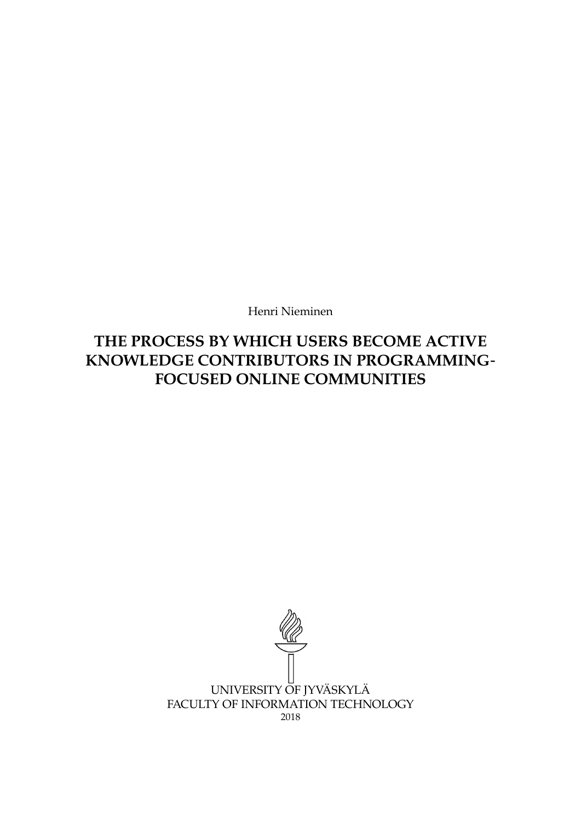Henri Nieminen

**THE PROCESS BY WHICH USERS BECOME ACTIVE KNOWLEDGE CONTRIBUTORS IN PROGRAMMING**‐ **FOCUSED ONLINE COMMUNITIES**

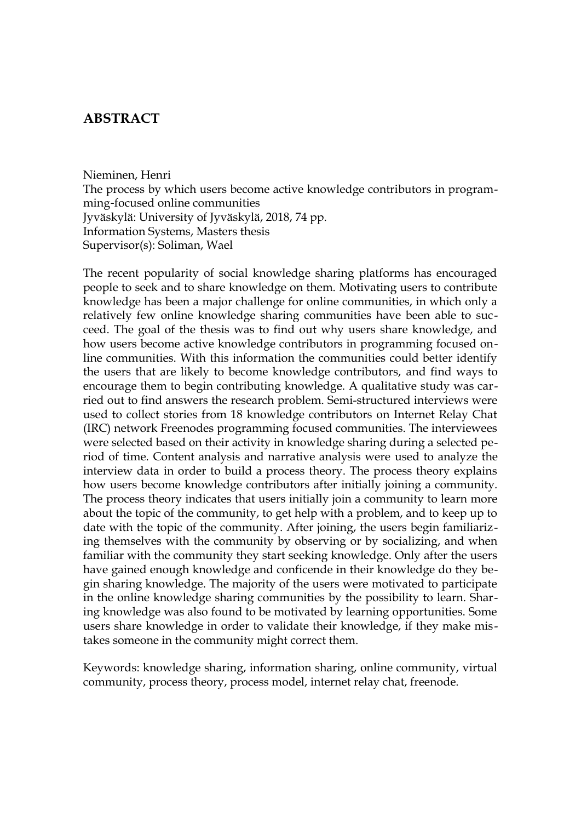## <span id="page-1-0"></span>**ABSTRACT**

Nieminen, Henri

The process by which users become active knowledge contributors in programming-focused online communities Jyväskylä: University of Jyväskylä, 2018, 74 pp. Information Systems, Masters thesis Supervisor(s): Soliman, Wael

The recent popularity of social knowledge sharing platforms has encouraged people to seek and to share knowledge on them. Motivating users to contribute knowledge has been a major challenge for online communities, in which only a relatively few online knowledge sharing communities have been able to succeed. The goal of the thesis was to find out why users share knowledge, and how users become active knowledge contributors in programming focused online communities. With this information the communities could better identify the users that are likely to become knowledge contributors, and find ways to encourage them to begin contributing knowledge. A qualitative study was carried out to find answers the research problem. Semi-structured interviews were used to collect stories from 18 knowledge contributors on Internet Relay Chat (IRC) network Freenodes programming focused communities. The interviewees were selected based on their activity in knowledge sharing during a selected period of time. Content analysis and narrative analysis were used to analyze the interview data in order to build a process theory. The process theory explains how users become knowledge contributors after initially joining a community. The process theory indicates that users initially join a community to learn more about the topic of the community, to get help with a problem, and to keep up to date with the topic of the community. After joining, the users begin familiarizing themselves with the community by observing or by socializing, and when familiar with the community they start seeking knowledge. Only after the users have gained enough knowledge and conficende in their knowledge do they begin sharing knowledge. The majority of the users were motivated to participate in the online knowledge sharing communities by the possibility to learn. Sharing knowledge was also found to be motivated by learning opportunities. Some users share knowledge in order to validate their knowledge, if they make mistakes someone in the community might correct them.

Keywords: knowledge sharing, information sharing, online community, virtual community, process theory, process model, internet relay chat, freenode.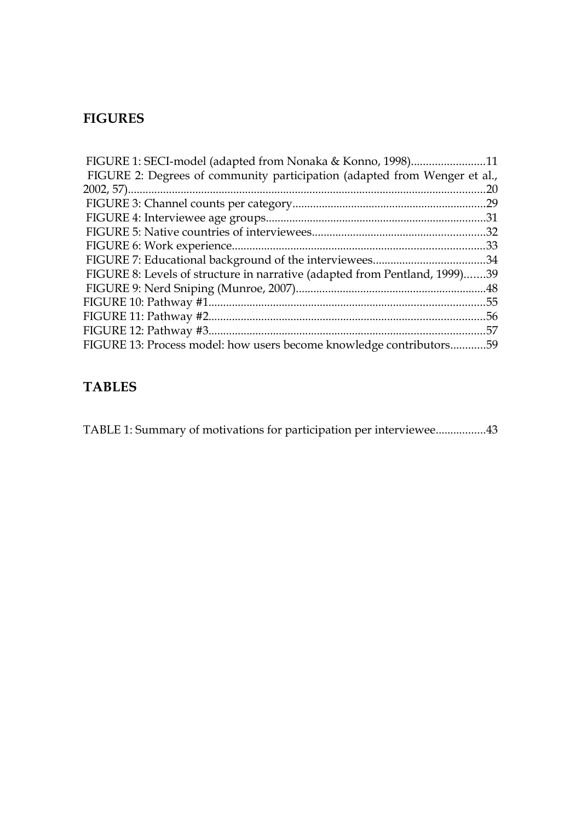# <span id="page-2-0"></span>**FIGURES**

| FIGURE 1: SECI-model (adapted from Nonaka & Konno, 1998)11                 |     |
|----------------------------------------------------------------------------|-----|
| FIGURE 2: Degrees of community participation (adapted from Wenger et al.,  |     |
|                                                                            | .20 |
|                                                                            |     |
|                                                                            |     |
|                                                                            |     |
|                                                                            |     |
|                                                                            |     |
| FIGURE 8: Levels of structure in narrative (adapted from Pentland, 1999)39 |     |
|                                                                            |     |
|                                                                            |     |
|                                                                            |     |
|                                                                            |     |
| FIGURE 13: Process model: how users become knowledge contributors59        |     |

# **TABLES**

[TABLE 1: Summary of motivations for participation per interviewee.................43](#page-42-0)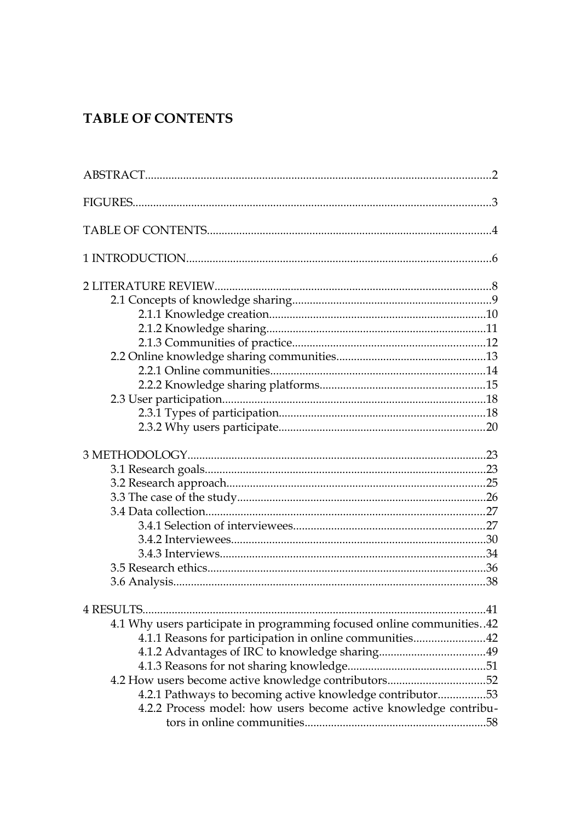# <span id="page-3-0"></span>**TABLE OF CONTENTS**

| 4.1 Why users participate in programming focused online communities42 |  |
|-----------------------------------------------------------------------|--|
| 4.1.1 Reasons for participation in online communities42               |  |
|                                                                       |  |
|                                                                       |  |
| 4.2 How users become active knowledge contributors52                  |  |
| 4.2.1 Pathways to becoming active knowledge contributor53             |  |
| 4.2.2 Process model: how users become active knowledge contribu-      |  |
|                                                                       |  |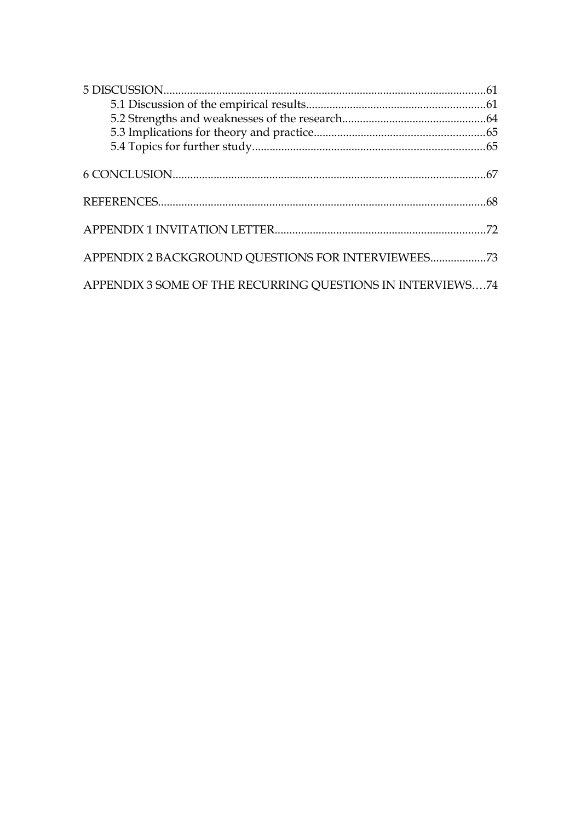| APPENDIX 2 BACKGROUND QUESTIONS FOR INTERVIEWEES73         |  |
|------------------------------------------------------------|--|
| APPENDIX 3 SOME OF THE RECURRING QUESTIONS IN INTERVIEWS74 |  |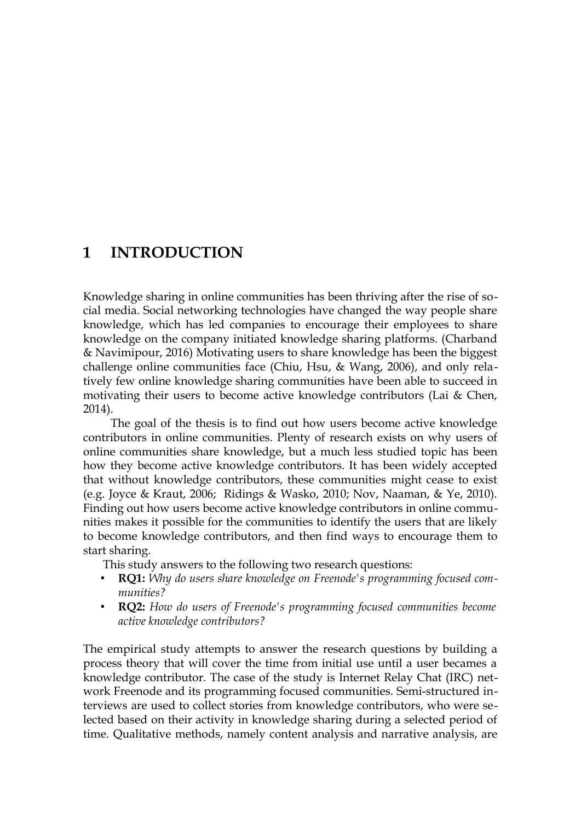## <span id="page-5-0"></span>**1 INTRODUCTION**

Knowledge sharing in online communities has been thriving after the rise of social media. Social networking technologies have changed the way people share knowledge, which has led companies to encourage their employees to share knowledge on the company initiated knowledge sharing platforms. (Charband & Navimipour, 2016) Motivating users to share knowledge has been the biggest challenge online communities face (Chiu, Hsu, & Wang, 2006), and only relatively few online knowledge sharing communities have been able to succeed in motivating their users to become active knowledge contributors (Lai & Chen, 2014).

The goal of the thesis is to find out how users become active knowledge contributors in online communities. Plenty of research exists on why users of online communities share knowledge, but a much less studied topic has been how they become active knowledge contributors. It has been widely accepted that without knowledge contributors, these communities might cease to exist (e.g. Joyce & Kraut, 2006; Ridings & Wasko, 2010; Nov, Naaman, & Ye, 2010). Finding out how users become active knowledge contributors in online communities makes it possible for the communities to identify the users that are likely to become knowledge contributors, and then find ways to encourage them to start sharing.

This study answers to the following two research questions:

- **RQ1:** *Why do users share knowledge on Freenode's programming focused communities?*
- **RQ2:** *How do users of Freenode's programming focused communities become active knowledge contributors?*

The empirical study attempts to answer the research questions by building a process theory that will cover the time from initial use until a user becames a knowledge contributor. The case of the study is Internet Relay Chat (IRC) network Freenode and its programming focused communities. Semi-structured interviews are used to collect stories from knowledge contributors, who were selected based on their activity in knowledge sharing during a selected period of time. Qualitative methods, namely content analysis and narrative analysis, are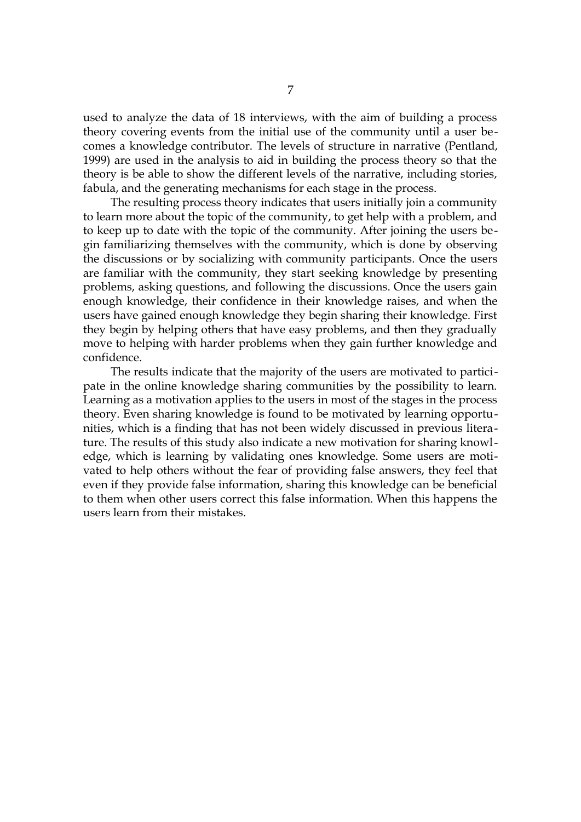used to analyze the data of 18 interviews, with the aim of building a process theory covering events from the initial use of the community until a user becomes a knowledge contributor. The levels of structure in narrative (Pentland, 1999) are used in the analysis to aid in building the process theory so that the theory is be able to show the different levels of the narrative, including stories, fabula, and the generating mechanisms for each stage in the process.

The resulting process theory indicates that users initially join a community to learn more about the topic of the community, to get help with a problem, and to keep up to date with the topic of the community. After joining the users begin familiarizing themselves with the community, which is done by observing the discussions or by socializing with community participants. Once the users are familiar with the community, they start seeking knowledge by presenting problems, asking questions, and following the discussions. Once the users gain enough knowledge, their confidence in their knowledge raises, and when the users have gained enough knowledge they begin sharing their knowledge. First they begin by helping others that have easy problems, and then they gradually move to helping with harder problems when they gain further knowledge and confidence.

The results indicate that the majority of the users are motivated to participate in the online knowledge sharing communities by the possibility to learn. Learning as a motivation applies to the users in most of the stages in the process theory. Even sharing knowledge is found to be motivated by learning opportunities, which is a finding that has not been widely discussed in previous literature. The results of this study also indicate a new motivation for sharing knowledge, which is learning by validating ones knowledge. Some users are motivated to help others without the fear of providing false answers, they feel that even if they provide false information, sharing this knowledge can be beneficial to them when other users correct this false information. When this happens the users learn from their mistakes.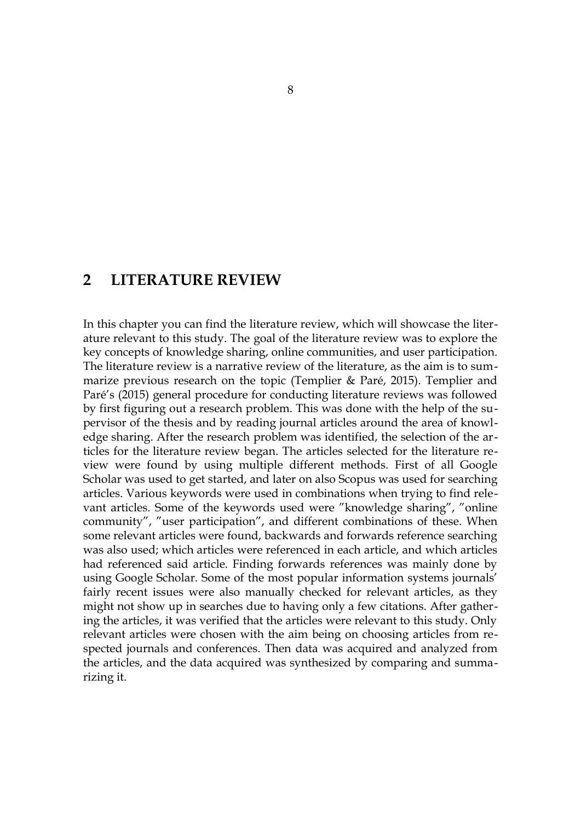## <span id="page-7-0"></span>**2 LITERATURE REVIEW**

In this chapter you can find the literature review, which will showcase the literature relevant to this study. The goal of the literature review was to explore the key concepts of knowledge sharing, online communities, and user participation. The literature review is a narrative review of the literature, as the aim is to summarize previous research on the topic (Templier & Paré, 2015). Templier and Paré's (2015) general procedure for conducting literature reviews was followed by first figuring out a research problem. This was done with the help of the supervisor of the thesis and by reading journal articles around the area of knowledge sharing. After the research problem was identified, the selection of the articles for the literature review began. The articles selected for the literature review were found by using multiple different methods. First of all Google Scholar was used to get started, and later on also Scopus was used for searching articles. Various keywords were used in combinations when trying to find relevant articles. Some of the keywords used were "knowledge sharing", "online community", "user participation", and different combinations of these. When some relevant articles were found, backwards and forwards reference searching was also used; which articles were referenced in each article, and which articles had referenced said article. Finding forwards references was mainly done by using Google Scholar. Some of the most popular information systems journals' fairly recent issues were also manually checked for relevant articles, as they might not show up in searches due to having only a few citations. After gathering the articles, it was verified that the articles were relevant to this study. Only relevant articles were chosen with the aim being on choosing articles from respected journals and conferences. Then data was acquired and analyzed from the articles, and the data acquired was synthesized by comparing and summarizing it.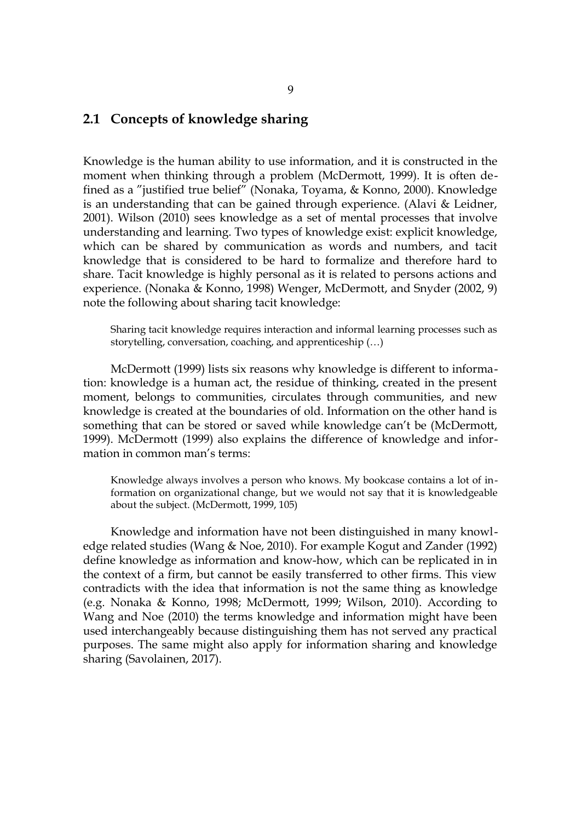## <span id="page-8-0"></span>**2.1 Concepts of knowledge sharing**

Knowledge is the human ability to use information, and it is constructed in the moment when thinking through a problem (McDermott, 1999). It is often defined as a "justified true belief" (Nonaka, Toyama, & Konno, 2000). Knowledge is an understanding that can be gained through experience. (Alavi & Leidner, 2001). Wilson (2010) sees knowledge as a set of mental processes that involve understanding and learning. Two types of knowledge exist: explicit knowledge, which can be shared by communication as words and numbers, and tacit knowledge that is considered to be hard to formalize and therefore hard to share. Tacit knowledge is highly personal as it is related to persons actions and experience. (Nonaka & Konno, 1998) Wenger, McDermott, and Snyder (2002, 9) note the following about sharing tacit knowledge:

Sharing tacit knowledge requires interaction and informal learning processes such as storytelling, conversation, coaching, and apprenticeship (…)

McDermott (1999) lists six reasons why knowledge is different to information: knowledge is a human act, the residue of thinking, created in the present moment, belongs to communities, circulates through communities, and new knowledge is created at the boundaries of old. Information on the other hand is something that can be stored or saved while knowledge can't be (McDermott, 1999). McDermott (1999) also explains the difference of knowledge and information in common man's terms:

Knowledge always involves a person who knows. My bookcase contains a lot of information on organizational change, but we would not say that it is knowledgeable about the subject. (McDermott, 1999, 105)

Knowledge and information have not been distinguished in many knowledge related studies (Wang & Noe, 2010). For example Kogut and Zander (1992) define knowledge as information and know-how, which can be replicated in in the context of a firm, but cannot be easily transferred to other firms. This view contradicts with the idea that information is not the same thing as knowledge (e.g. Nonaka & Konno, 1998; McDermott, 1999; Wilson, 2010). According to Wang and Noe (2010) the terms knowledge and information might have been used interchangeably because distinguishing them has not served any practical purposes. The same might also apply for information sharing and knowledge sharing (Savolainen, 2017).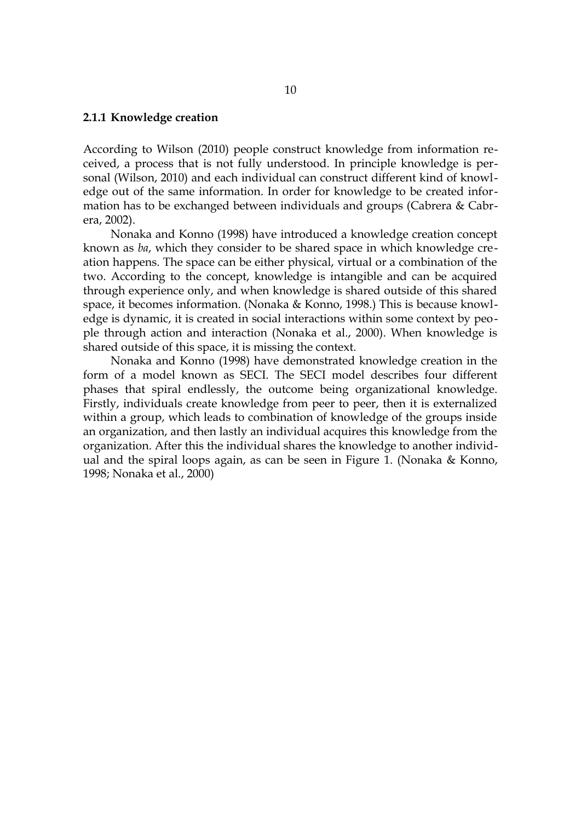### <span id="page-9-0"></span>**2.1.1 Knowledge creation**

According to Wilson (2010) people construct knowledge from information received, a process that is not fully understood. In principle knowledge is personal (Wilson, 2010) and each individual can construct different kind of knowledge out of the same information. In order for knowledge to be created information has to be exchanged between individuals and groups (Cabrera & Cabrera, 2002).

Nonaka and Konno (1998) have introduced a knowledge creation concept known as *ba*, which they consider to be shared space in which knowledge creation happens. The space can be either physical, virtual or a combination of the two. According to the concept, knowledge is intangible and can be acquired through experience only, and when knowledge is shared outside of this shared space, it becomes information. (Nonaka & Konno, 1998.) This is because knowledge is dynamic, it is created in social interactions within some context by people through action and interaction (Nonaka et al., 2000). When knowledge is shared outside of this space, it is missing the context.

Nonaka and Konno (1998) have demonstrated knowledge creation in the form of a model known as SECI. The SECI model describes four different phases that spiral endlessly, the outcome being organizational knowledge. Firstly, individuals create knowledge from peer to peer, then it is externalized within a group, which leads to combination of knowledge of the groups inside an organization, and then lastly an individual acquires this knowledge from the organization. After this the individual shares the knowledge to another individual and the spiral loops again, as can be seen in Figure [1.](#page-10-0) (Nonaka & Konno, 1998; Nonaka et al., 2000)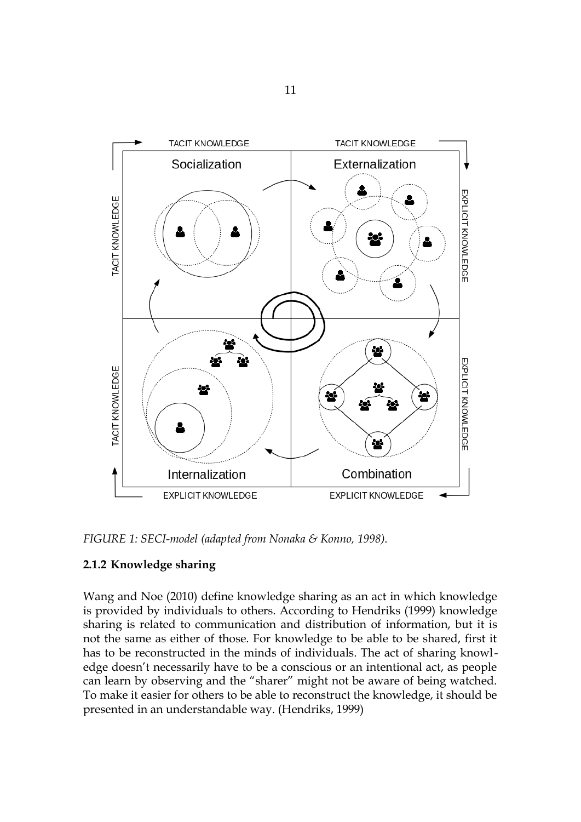

<span id="page-10-0"></span>*FIGURE 1: SECI-model (adapted from Nonaka & Konno, 1998).*

## <span id="page-10-1"></span>**2.1.2 Knowledge sharing**

Wang and Noe (2010) define knowledge sharing as an act in which knowledge is provided by individuals to others. According to Hendriks (1999) knowledge sharing is related to communication and distribution of information, but it is not the same as either of those. For knowledge to be able to be shared, first it has to be reconstructed in the minds of individuals. The act of sharing knowledge doesn't necessarily have to be a conscious or an intentional act, as people can learn by observing and the "sharer" might not be aware of being watched. To make it easier for others to be able to reconstruct the knowledge, it should be presented in an understandable way. (Hendriks, 1999)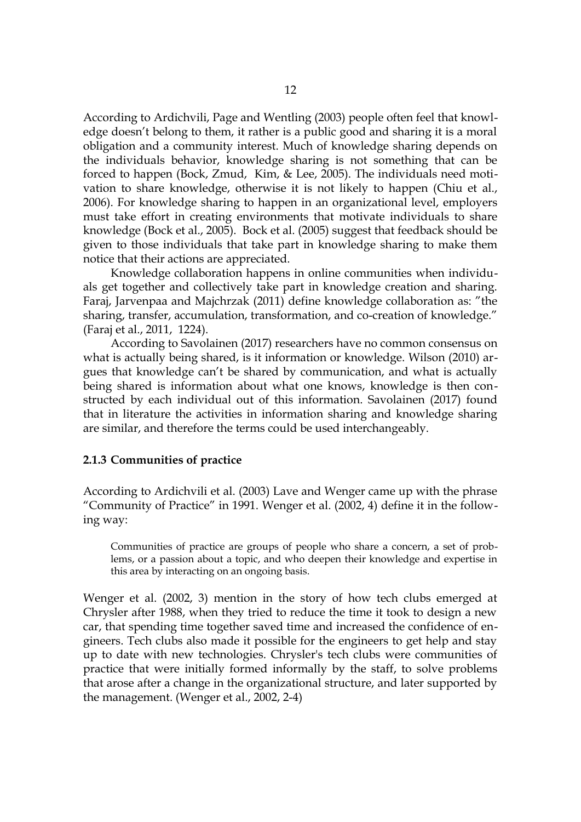According to Ardichvili, Page and Wentling (2003) people often feel that knowledge doesn't belong to them, it rather is a public good and sharing it is a moral obligation and a community interest. Much of knowledge sharing depends on the individuals behavior, knowledge sharing is not something that can be forced to happen (Bock, Zmud, Kim, & Lee, 2005). The individuals need motivation to share knowledge, otherwise it is not likely to happen (Chiu et al., 2006). For knowledge sharing to happen in an organizational level, employers must take effort in creating environments that motivate individuals to share knowledge (Bock et al., 2005). Bock et al. (2005) suggest that feedback should be given to those individuals that take part in knowledge sharing to make them notice that their actions are appreciated.

Knowledge collaboration happens in online communities when individuals get together and collectively take part in knowledge creation and sharing. Faraj, Jarvenpaa and Majchrzak (2011) define knowledge collaboration as: "the sharing, transfer, accumulation, transformation, and co-creation of knowledge." (Faraj et al., 2011, 1224).

According to Savolainen (2017) researchers have no common consensus on what is actually being shared, is it information or knowledge. Wilson (2010) argues that knowledge can't be shared by communication, and what is actually being shared is information about what one knows, knowledge is then constructed by each individual out of this information. Savolainen (2017) found that in literature the activities in information sharing and knowledge sharing are similar, and therefore the terms could be used interchangeably.

#### <span id="page-11-0"></span>**2.1.3 Communities of practice**

According to Ardichvili et al. (2003) Lave and Wenger came up with the phrase "Community of Practice" in 1991. Wenger et al. (2002, 4) define it in the following way:

Communities of practice are groups of people who share a concern, a set of problems, or a passion about a topic, and who deepen their knowledge and expertise in this area by interacting on an ongoing basis.

Wenger et al. (2002, 3) mention in the story of how tech clubs emerged at Chrysler after 1988, when they tried to reduce the time it took to design a new car, that spending time together saved time and increased the confidence of engineers. Tech clubs also made it possible for the engineers to get help and stay up to date with new technologies. Chrysler's tech clubs were communities of practice that were initially formed informally by the staff, to solve problems that arose after a change in the organizational structure, and later supported by the management. (Wenger et al., 2002, 2-4)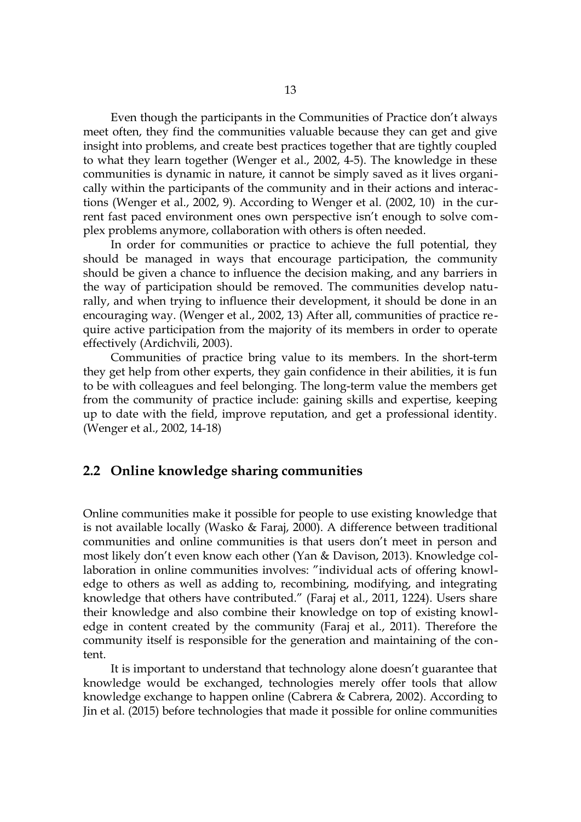Even though the participants in the Communities of Practice don't always meet often, they find the communities valuable because they can get and give insight into problems, and create best practices together that are tightly coupled to what they learn together (Wenger et al., 2002, 4-5). The knowledge in these communities is dynamic in nature, it cannot be simply saved as it lives organically within the participants of the community and in their actions and interactions (Wenger et al., 2002, 9). According to Wenger et al. (2002, 10) in the current fast paced environment ones own perspective isn't enough to solve complex problems anymore, collaboration with others is often needed.

In order for communities or practice to achieve the full potential, they should be managed in ways that encourage participation, the community should be given a chance to influence the decision making, and any barriers in the way of participation should be removed. The communities develop naturally, and when trying to influence their development, it should be done in an encouraging way. (Wenger et al., 2002, 13) After all, communities of practice require active participation from the majority of its members in order to operate effectively (Ardichvili, 2003).

Communities of practice bring value to its members. In the short-term they get help from other experts, they gain confidence in their abilities, it is fun to be with colleagues and feel belonging. The long-term value the members get from the community of practice include: gaining skills and expertise, keeping up to date with the field, improve reputation, and get a professional identity. (Wenger et al., 2002, 14-18)

### <span id="page-12-0"></span>**2.2 Online knowledge sharing communities**

Online communities make it possible for people to use existing knowledge that is not available locally (Wasko & Faraj, 2000). A difference between traditional communities and online communities is that users don't meet in person and most likely don't even know each other (Yan & Davison, 2013). Knowledge collaboration in online communities involves: "individual acts of offering knowledge to others as well as adding to, recombining, modifying, and integrating knowledge that others have contributed." (Faraj et al., 2011, 1224). Users share their knowledge and also combine their knowledge on top of existing knowledge in content created by the community (Faraj et al., 2011). Therefore the community itself is responsible for the generation and maintaining of the content.

It is important to understand that technology alone doesn't guarantee that knowledge would be exchanged, technologies merely offer tools that allow knowledge exchange to happen online (Cabrera & Cabrera, 2002). According to Jin et al. (2015) before technologies that made it possible for online communities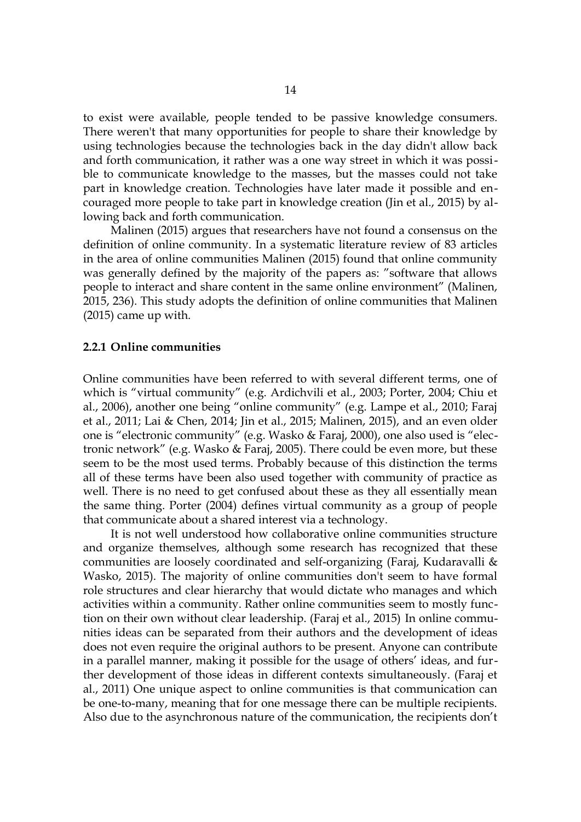to exist were available, people tended to be passive knowledge consumers. There weren't that many opportunities for people to share their knowledge by using technologies because the technologies back in the day didn't allow back and forth communication, it rather was a one way street in which it was possible to communicate knowledge to the masses, but the masses could not take part in knowledge creation. Technologies have later made it possible and encouraged more people to take part in knowledge creation (Jin et al., 2015) by allowing back and forth communication.

Malinen (2015) argues that researchers have not found a consensus on the definition of online community. In a systematic literature review of 83 articles in the area of online communities Malinen (2015) found that online community was generally defined by the majority of the papers as: "software that allows people to interact and share content in the same online environment" (Malinen, 2015, 236). This study adopts the definition of online communities that Malinen (2015) came up with.

#### <span id="page-13-0"></span>**2.2.1 Online communities**

Online communities have been referred to with several different terms, one of which is "virtual community" (e.g. Ardichvili et al., 2003; Porter, 2004; Chiu et al., 2006), another one being "online community" (e.g. Lampe et al., 2010; Faraj et al., 2011; Lai & Chen, 2014; Jin et al., 2015; Malinen, 2015), and an even older one is "electronic community" (e.g. Wasko & Faraj, 2000), one also used is "electronic network" (e.g. Wasko & Faraj, 2005). There could be even more, but these seem to be the most used terms. Probably because of this distinction the terms all of these terms have been also used together with community of practice as well. There is no need to get confused about these as they all essentially mean the same thing. Porter (2004) defines virtual community as a group of people that communicate about a shared interest via a technology.

It is not well understood how collaborative online communities structure and organize themselves, although some research has recognized that these communities are loosely coordinated and self-organizing (Faraj, Kudaravalli & Wasko, 2015). The majority of online communities don't seem to have formal role structures and clear hierarchy that would dictate who manages and which activities within a community. Rather online communities seem to mostly function on their own without clear leadership. (Faraj et al., 2015) In online communities ideas can be separated from their authors and the development of ideas does not even require the original authors to be present. Anyone can contribute in a parallel manner, making it possible for the usage of others' ideas, and further development of those ideas in different contexts simultaneously. (Faraj et al., 2011) One unique aspect to online communities is that communication can be one-to-many, meaning that for one message there can be multiple recipients. Also due to the asynchronous nature of the communication, the recipients don't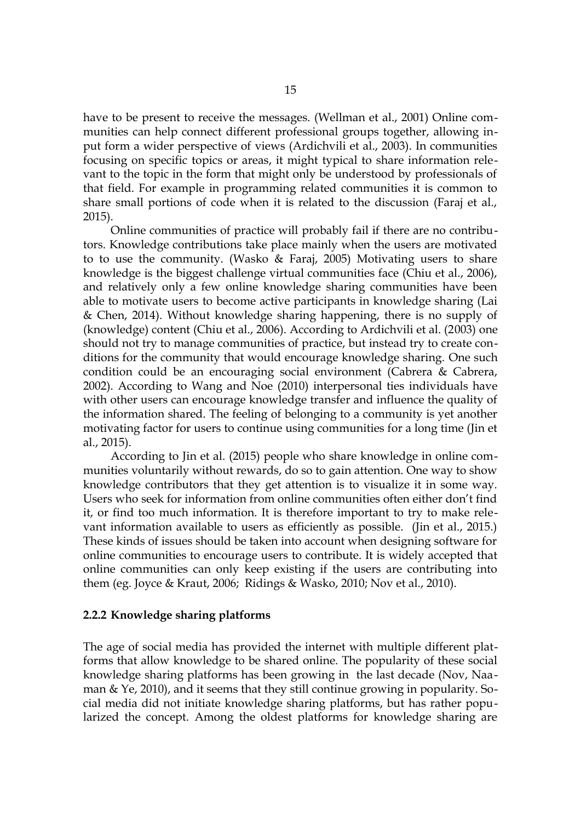have to be present to receive the messages. (Wellman et al., 2001) Online communities can help connect different professional groups together, allowing input form a wider perspective of views (Ardichvili et al., 2003). In communities focusing on specific topics or areas, it might typical to share information relevant to the topic in the form that might only be understood by professionals of that field. For example in programming related communities it is common to share small portions of code when it is related to the discussion (Faraj et al., 2015).

Online communities of practice will probably fail if there are no contributors. Knowledge contributions take place mainly when the users are motivated to to use the community. (Wasko & Faraj, 2005) Motivating users to share knowledge is the biggest challenge virtual communities face (Chiu et al., 2006), and relatively only a few online knowledge sharing communities have been able to motivate users to become active participants in knowledge sharing (Lai & Chen, 2014). Without knowledge sharing happening, there is no supply of (knowledge) content (Chiu et al., 2006). According to Ardichvili et al. (2003) one should not try to manage communities of practice, but instead try to create conditions for the community that would encourage knowledge sharing. One such condition could be an encouraging social environment (Cabrera & Cabrera, 2002). According to Wang and Noe (2010) interpersonal ties individuals have with other users can encourage knowledge transfer and influence the quality of the information shared. The feeling of belonging to a community is yet another motivating factor for users to continue using communities for a long time (Jin et al., 2015).

According to Jin et al. (2015) people who share knowledge in online communities voluntarily without rewards, do so to gain attention. One way to show knowledge contributors that they get attention is to visualize it in some way. Users who seek for information from online communities often either don't find it, or find too much information. It is therefore important to try to make relevant information available to users as efficiently as possible. (Jin et al., 2015.) These kinds of issues should be taken into account when designing software for online communities to encourage users to contribute. It is widely accepted that online communities can only keep existing if the users are contributing into them (eg. Joyce & Kraut, 2006; Ridings & Wasko, 2010; Nov et al., 2010).

#### <span id="page-14-0"></span>**2.2.2 Knowledge sharing platforms**

The age of social media has provided the internet with multiple different platforms that allow knowledge to be shared online. The popularity of these social knowledge sharing platforms has been growing in the last decade (Nov, Naaman & Ye, 2010), and it seems that they still continue growing in popularity. Social media did not initiate knowledge sharing platforms, but has rather popularized the concept. Among the oldest platforms for knowledge sharing are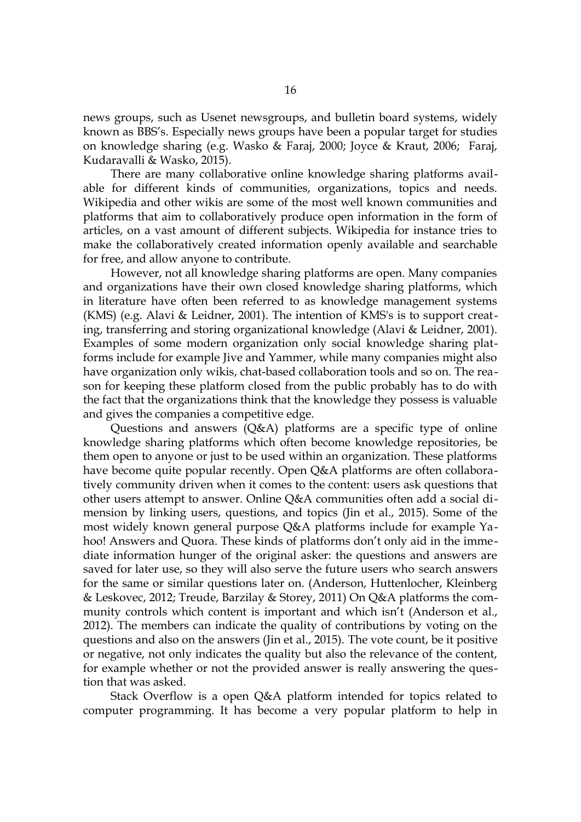news groups, such as Usenet newsgroups, and bulletin board systems, widely known as BBS's. Especially news groups have been a popular target for studies on knowledge sharing (e.g. Wasko & Faraj, 2000; Joyce & Kraut, 2006; Faraj, Kudaravalli & Wasko, 2015).

There are many collaborative online knowledge sharing platforms available for different kinds of communities, organizations, topics and needs. Wikipedia and other wikis are some of the most well known communities and platforms that aim to collaboratively produce open information in the form of articles, on a vast amount of different subjects. Wikipedia for instance tries to make the collaboratively created information openly available and searchable for free, and allow anyone to contribute.

However, not all knowledge sharing platforms are open. Many companies and organizations have their own closed knowledge sharing platforms, which in literature have often been referred to as knowledge management systems (KMS) (e.g. Alavi & Leidner, 2001). The intention of KMS's is to support creating, transferring and storing organizational knowledge (Alavi & Leidner, 2001). Examples of some modern organization only social knowledge sharing platforms include for example Jive and Yammer, while many companies might also have organization only wikis, chat-based collaboration tools and so on. The reason for keeping these platform closed from the public probably has to do with the fact that the organizations think that the knowledge they possess is valuable and gives the companies a competitive edge.

Questions and answers (Q&A) platforms are a specific type of online knowledge sharing platforms which often become knowledge repositories, be them open to anyone or just to be used within an organization. These platforms have become quite popular recently. Open Q&A platforms are often collaboratively community driven when it comes to the content: users ask questions that other users attempt to answer. Online Q&A communities often add a social dimension by linking users, questions, and topics (Jin et al., 2015). Some of the most widely known general purpose Q&A platforms include for example Yahoo! Answers and Quora. These kinds of platforms don't only aid in the immediate information hunger of the original asker: the questions and answers are saved for later use, so they will also serve the future users who search answers for the same or similar questions later on. (Anderson, Huttenlocher, Kleinberg & Leskovec, 2012; Treude, Barzilay & Storey, 2011) On Q&A platforms the community controls which content is important and which isn't (Anderson et al., 2012). The members can indicate the quality of contributions by voting on the questions and also on the answers (Jin et al., 2015). The vote count, be it positive or negative, not only indicates the quality but also the relevance of the content, for example whether or not the provided answer is really answering the question that was asked.

Stack Overflow is a open Q&A platform intended for topics related to computer programming. It has become a very popular platform to help in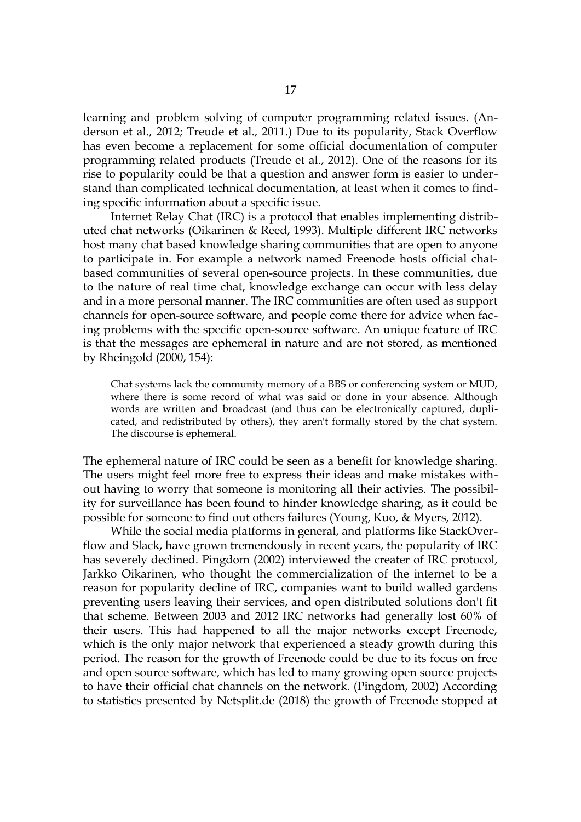learning and problem solving of computer programming related issues. (Anderson et al., 2012; Treude et al., 2011.) Due to its popularity, Stack Overflow has even become a replacement for some official documentation of computer programming related products (Treude et al., 2012). One of the reasons for its rise to popularity could be that a question and answer form is easier to understand than complicated technical documentation, at least when it comes to finding specific information about a specific issue.

Internet Relay Chat (IRC) is a protocol that enables implementing distributed chat networks (Oikarinen & Reed, 1993). Multiple different IRC networks host many chat based knowledge sharing communities that are open to anyone to participate in. For example a network named Freenode hosts official chatbased communities of several open-source projects. In these communities, due to the nature of real time chat, knowledge exchange can occur with less delay and in a more personal manner. The IRC communities are often used as support channels for open-source software, and people come there for advice when facing problems with the specific open-source software. An unique feature of IRC is that the messages are ephemeral in nature and are not stored, as mentioned by Rheingold (2000, 154):

Chat systems lack the community memory of a BBS or conferencing system or MUD, where there is some record of what was said or done in your absence. Although words are written and broadcast (and thus can be electronically captured, duplicated, and redistributed by others), they aren't formally stored by the chat system. The discourse is ephemeral.

The ephemeral nature of IRC could be seen as a benefit for knowledge sharing. The users might feel more free to express their ideas and make mistakes without having to worry that someone is monitoring all their activies. The possibility for surveillance has been found to hinder knowledge sharing, as it could be possible for someone to find out others failures (Young, Kuo, & Myers, 2012).

While the social media platforms in general, and platforms like StackOverflow and Slack, have grown tremendously in recent years, the popularity of IRC has severely declined. Pingdom (2002) interviewed the creater of IRC protocol, Jarkko Oikarinen, who thought the commercialization of the internet to be a reason for popularity decline of IRC, companies want to build walled gardens preventing users leaving their services, and open distributed solutions don't fit that scheme. Between 2003 and 2012 IRC networks had generally lost 60% of their users. This had happened to all the major networks except Freenode, which is the only major network that experienced a steady growth during this period. The reason for the growth of Freenode could be due to its focus on free and open source software, which has led to many growing open source projects to have their official chat channels on the network. (Pingdom, 2002) According to statistics presented by Netsplit.de (2018) the growth of Freenode stopped at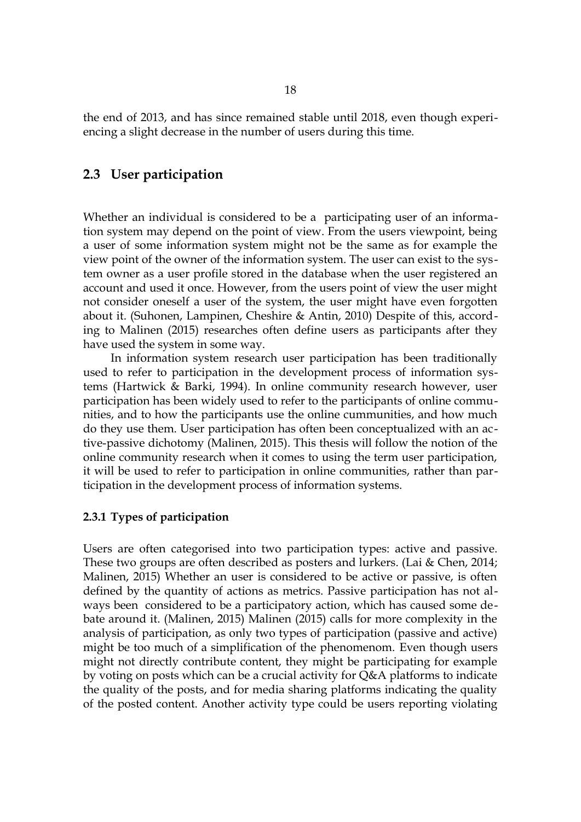the end of 2013, and has since remained stable until 2018, even though experiencing a slight decrease in the number of users during this time.

### <span id="page-17-1"></span>**2.3 User participation**

Whether an individual is considered to be a participating user of an information system may depend on the point of view. From the users viewpoint, being a user of some information system might not be the same as for example the view point of the owner of the information system. The user can exist to the system owner as a user profile stored in the database when the user registered an account and used it once. However, from the users point of view the user might not consider oneself a user of the system, the user might have even forgotten about it. (Suhonen, Lampinen, Cheshire & Antin, 2010) Despite of this, according to Malinen (2015) researches often define users as participants after they have used the system in some way.

In information system research user participation has been traditionally used to refer to participation in the development process of information systems (Hartwick & Barki, 1994). In online community research however, user participation has been widely used to refer to the participants of online communities, and to how the participants use the online cummunities, and how much do they use them. User participation has often been conceptualized with an active-passive dichotomy (Malinen, 2015). This thesis will follow the notion of the online community research when it comes to using the term user participation, it will be used to refer to participation in online communities, rather than participation in the development process of information systems.

#### <span id="page-17-0"></span>**2.3.1 Types of participation**

Users are often categorised into two participation types: active and passive. These two groups are often described as posters and lurkers. (Lai & Chen, 2014; Malinen, 2015) Whether an user is considered to be active or passive, is often defined by the quantity of actions as metrics. Passive participation has not always been considered to be a participatory action, which has caused some debate around it. (Malinen, 2015) Malinen (2015) calls for more complexity in the analysis of participation, as only two types of participation (passive and active) might be too much of a simplification of the phenomenom. Even though users might not directly contribute content, they might be participating for example by voting on posts which can be a crucial activity for Q&A platforms to indicate the quality of the posts, and for media sharing platforms indicating the quality of the posted content. Another activity type could be users reporting violating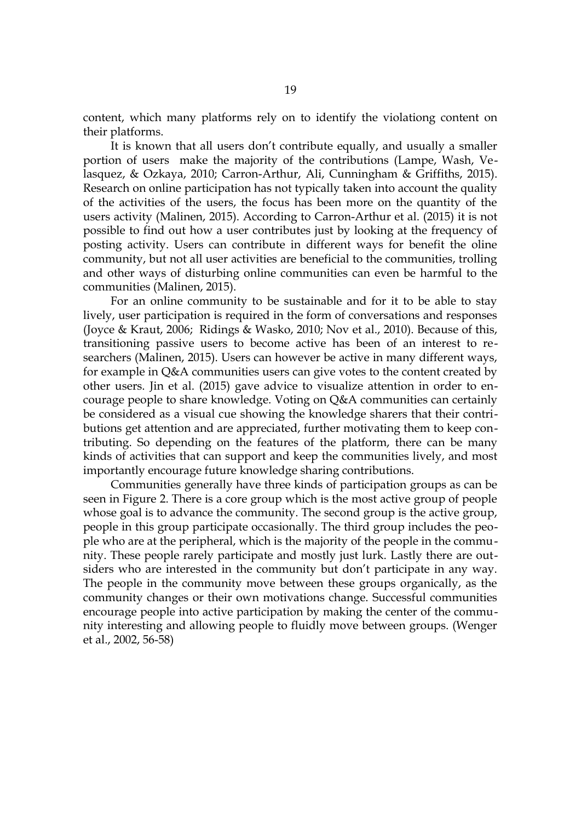content, which many platforms rely on to identify the violationg content on their platforms.

It is known that all users don't contribute equally, and usually a smaller portion of users make the majority of the contributions (Lampe, Wash, Velasquez, & Ozkaya, 2010; Carron-Arthur, Ali, Cunningham & Griffiths, 2015). Research on online participation has not typically taken into account the quality of the activities of the users, the focus has been more on the quantity of the users activity (Malinen, 2015). According to Carron-Arthur et al. (2015) it is not possible to find out how a user contributes just by looking at the frequency of posting activity. Users can contribute in different ways for benefit the oline community, but not all user activities are beneficial to the communities, trolling and other ways of disturbing online communities can even be harmful to the communities (Malinen, 2015).

For an online community to be sustainable and for it to be able to stay lively, user participation is required in the form of conversations and responses (Joyce & Kraut, 2006; Ridings & Wasko, 2010; Nov et al., 2010). Because of this, transitioning passive users to become active has been of an interest to researchers (Malinen, 2015). Users can however be active in many different ways, for example in Q&A communities users can give votes to the content created by other users. Jin et al. (2015) gave advice to visualize attention in order to encourage people to share knowledge. Voting on Q&A communities can certainly be considered as a visual cue showing the knowledge sharers that their contributions get attention and are appreciated, further motivating them to keep contributing. So depending on the features of the platform, there can be many kinds of activities that can support and keep the communities lively, and most importantly encourage future knowledge sharing contributions.

Communities generally have three kinds of participation groups as can be seen in Figure [2.](#page-19-0) There is a core group which is the most active group of people whose goal is to advance the community. The second group is the active group, people in this group participate occasionally. The third group includes the people who are at the peripheral, which is the majority of the people in the community. These people rarely participate and mostly just lurk. Lastly there are outsiders who are interested in the community but don't participate in any way. The people in the community move between these groups organically, as the community changes or their own motivations change. Successful communities encourage people into active participation by making the center of the community interesting and allowing people to fluidly move between groups. (Wenger et al., 2002, 56-58)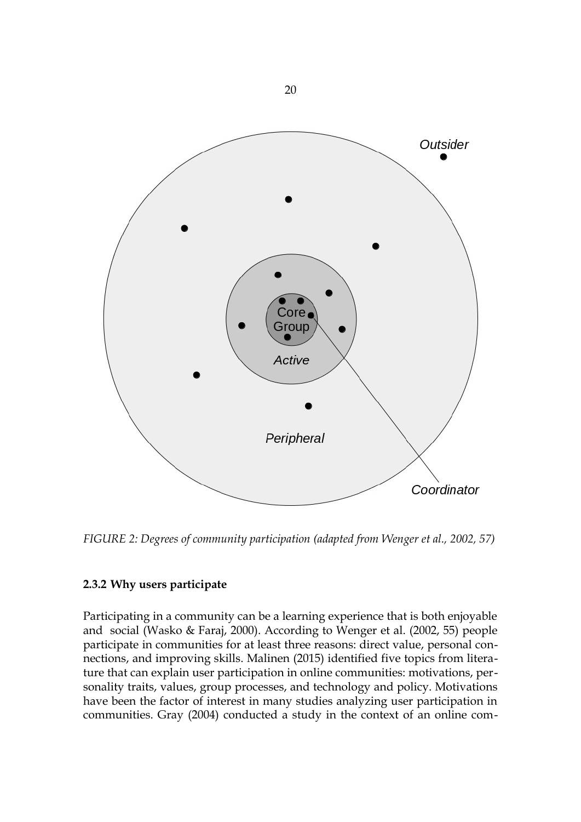

<span id="page-19-0"></span>*FIGURE 2: Degrees of community participation (adapted from Wenger et al., 2002, 57)*

## <span id="page-19-1"></span>**2.3.2 Why users participate**

Participating in a community can be a learning experience that is both enjoyable and social (Wasko & Faraj, 2000). According to Wenger et al. (2002, 55) people participate in communities for at least three reasons: direct value, personal connections, and improving skills. Malinen (2015) identified five topics from literature that can explain user participation in online communities: motivations, personality traits, values, group processes, and technology and policy. Motivations have been the factor of interest in many studies analyzing user participation in communities. Gray (2004) conducted a study in the context of an online com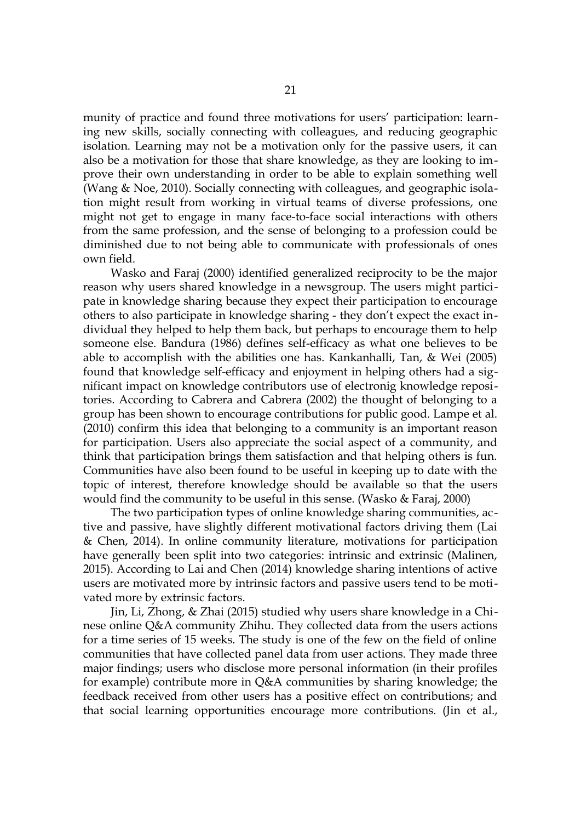munity of practice and found three motivations for users' participation: learning new skills, socially connecting with colleagues, and reducing geographic isolation. Learning may not be a motivation only for the passive users, it can also be a motivation for those that share knowledge, as they are looking to improve their own understanding in order to be able to explain something well (Wang & Noe, 2010). Socially connecting with colleagues, and geographic isolation might result from working in virtual teams of diverse professions, one might not get to engage in many face-to-face social interactions with others from the same profession, and the sense of belonging to a profession could be diminished due to not being able to communicate with professionals of ones own field.

Wasko and Faraj (2000) identified generalized reciprocity to be the major reason why users shared knowledge in a newsgroup. The users might participate in knowledge sharing because they expect their participation to encourage others to also participate in knowledge sharing - they don't expect the exact individual they helped to help them back, but perhaps to encourage them to help someone else. Bandura (1986) defines self-efficacy as what one believes to be able to accomplish with the abilities one has. Kankanhalli, Tan, & Wei (2005) found that knowledge self-efficacy and enjoyment in helping others had a significant impact on knowledge contributors use of electronig knowledge repositories. According to Cabrera and Cabrera (2002) the thought of belonging to a group has been shown to encourage contributions for public good. Lampe et al. (2010) confirm this idea that belonging to a community is an important reason for participation. Users also appreciate the social aspect of a community, and think that participation brings them satisfaction and that helping others is fun. Communities have also been found to be useful in keeping up to date with the topic of interest, therefore knowledge should be available so that the users would find the community to be useful in this sense. (Wasko & Faraj, 2000)

The two participation types of online knowledge sharing communities, active and passive, have slightly different motivational factors driving them (Lai & Chen, 2014). In online community literature, motivations for participation have generally been split into two categories: intrinsic and extrinsic (Malinen, 2015). According to Lai and Chen (2014) knowledge sharing intentions of active users are motivated more by intrinsic factors and passive users tend to be motivated more by extrinsic factors.

Jin, Li, Zhong, & Zhai (2015) studied why users share knowledge in a Chinese online Q&A community Zhihu. They collected data from the users actions for a time series of 15 weeks. The study is one of the few on the field of online communities that have collected panel data from user actions. They made three major findings; users who disclose more personal information (in their profiles for example) contribute more in Q&A communities by sharing knowledge; the feedback received from other users has a positive effect on contributions; and that social learning opportunities encourage more contributions. (Jin et al.,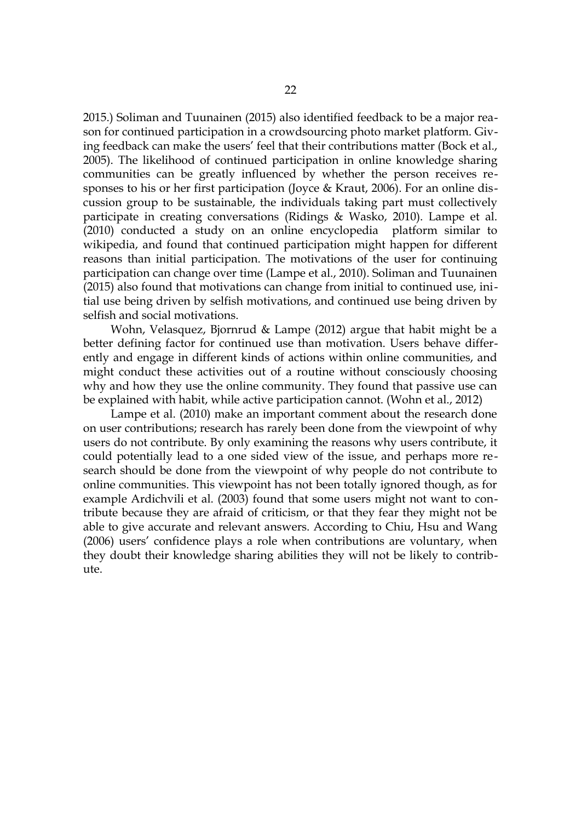2015.) Soliman and Tuunainen (2015) also identified feedback to be a major reason for continued participation in a crowdsourcing photo market platform. Giving feedback can make the users' feel that their contributions matter (Bock et al., 2005). The likelihood of continued participation in online knowledge sharing communities can be greatly influenced by whether the person receives responses to his or her first participation (Joyce & Kraut, 2006). For an online discussion group to be sustainable, the individuals taking part must collectively participate in creating conversations (Ridings & Wasko, 2010). Lampe et al. (2010) conducted a study on an online encyclopedia platform similar to wikipedia, and found that continued participation might happen for different reasons than initial participation. The motivations of the user for continuing participation can change over time (Lampe et al., 2010). Soliman and Tuunainen (2015) also found that motivations can change from initial to continued use, initial use being driven by selfish motivations, and continued use being driven by selfish and social motivations.

Wohn, Velasquez, Bjornrud & Lampe (2012) argue that habit might be a better defining factor for continued use than motivation. Users behave differently and engage in different kinds of actions within online communities, and might conduct these activities out of a routine without consciously choosing why and how they use the online community. They found that passive use can be explained with habit, while active participation cannot. (Wohn et al., 2012)

Lampe et al. (2010) make an important comment about the research done on user contributions; research has rarely been done from the viewpoint of why users do not contribute. By only examining the reasons why users contribute, it could potentially lead to a one sided view of the issue, and perhaps more research should be done from the viewpoint of why people do not contribute to online communities. This viewpoint has not been totally ignored though, as for example Ardichvili et al. (2003) found that some users might not want to contribute because they are afraid of criticism, or that they fear they might not be able to give accurate and relevant answers. According to Chiu, Hsu and Wang (2006) users' confidence plays a role when contributions are voluntary, when they doubt their knowledge sharing abilities they will not be likely to contribute.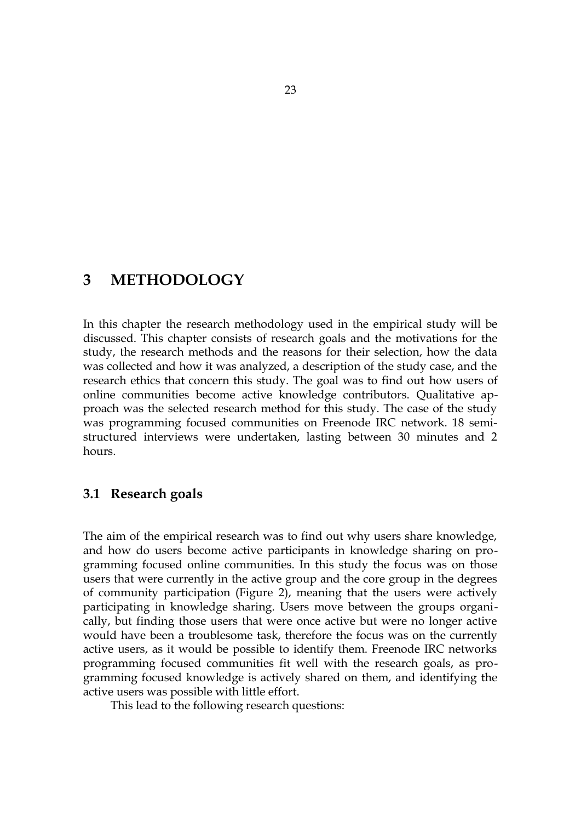## <span id="page-22-1"></span>**3 METHODOLOGY**

In this chapter the research methodology used in the empirical study will be discussed. This chapter consists of research goals and the motivations for the study, the research methods and the reasons for their selection, how the data was collected and how it was analyzed, a description of the study case, and the research ethics that concern this study. The goal was to find out how users of online communities become active knowledge contributors. Qualitative approach was the selected research method for this study. The case of the study was programming focused communities on Freenode IRC network. 18 semistructured interviews were undertaken, lasting between 30 minutes and 2 hours.

## <span id="page-22-0"></span>**3.1 Research goals**

The aim of the empirical research was to find out why users share knowledge, and how do users become active participants in knowledge sharing on programming focused online communities. In this study the focus was on those users that were currently in the active group and the core group in the degrees of community participation (Figure [2\)](#page-19-0), meaning that the users were actively participating in knowledge sharing. Users move between the groups organically, but finding those users that were once active but were no longer active would have been a troublesome task, therefore the focus was on the currently active users, as it would be possible to identify them. Freenode IRC networks programming focused communities fit well with the research goals, as programming focused knowledge is actively shared on them, and identifying the active users was possible with little effort.

This lead to the following research questions: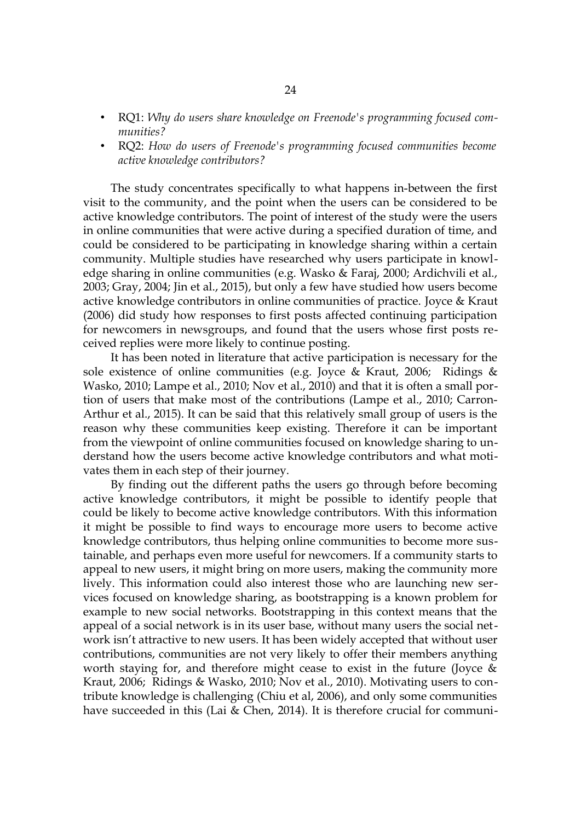- RQ1: *Why do users share knowledge on Freenode's programming focused communities?*
- RQ2: *How do users of Freenode's programming focused communities become active knowledge contributors?*

The study concentrates specifically to what happens in-between the first visit to the community, and the point when the users can be considered to be active knowledge contributors. The point of interest of the study were the users in online communities that were active during a specified duration of time, and could be considered to be participating in knowledge sharing within a certain community. Multiple studies have researched why users participate in knowledge sharing in online communities (e.g. Wasko & Faraj, 2000; Ardichvili et al., 2003; Gray, 2004; Jin et al., 2015), but only a few have studied how users become active knowledge contributors in online communities of practice. Joyce & Kraut (2006) did study how responses to first posts affected continuing participation for newcomers in newsgroups, and found that the users whose first posts received replies were more likely to continue posting.

It has been noted in literature that active participation is necessary for the sole existence of online communities (e.g. Joyce & Kraut, 2006; Ridings & Wasko, 2010; Lampe et al., 2010; Nov et al., 2010) and that it is often a small portion of users that make most of the contributions (Lampe et al., 2010; Carron-Arthur et al., 2015). It can be said that this relatively small group of users is the reason why these communities keep existing. Therefore it can be important from the viewpoint of online communities focused on knowledge sharing to understand how the users become active knowledge contributors and what motivates them in each step of their journey.

By finding out the different paths the users go through before becoming active knowledge contributors, it might be possible to identify people that could be likely to become active knowledge contributors. With this information it might be possible to find ways to encourage more users to become active knowledge contributors, thus helping online communities to become more sustainable, and perhaps even more useful for newcomers. If a community starts to appeal to new users, it might bring on more users, making the community more lively. This information could also interest those who are launching new services focused on knowledge sharing, as bootstrapping is a known problem for example to new social networks. Bootstrapping in this context means that the appeal of a social network is in its user base, without many users the social network isn't attractive to new users. It has been widely accepted that without user contributions, communities are not very likely to offer their members anything worth staying for, and therefore might cease to exist in the future (Joyce & Kraut, 2006; Ridings & Wasko, 2010; Nov et al., 2010). Motivating users to contribute knowledge is challenging (Chiu et al, 2006), and only some communities have succeeded in this (Lai & Chen, 2014). It is therefore crucial for communi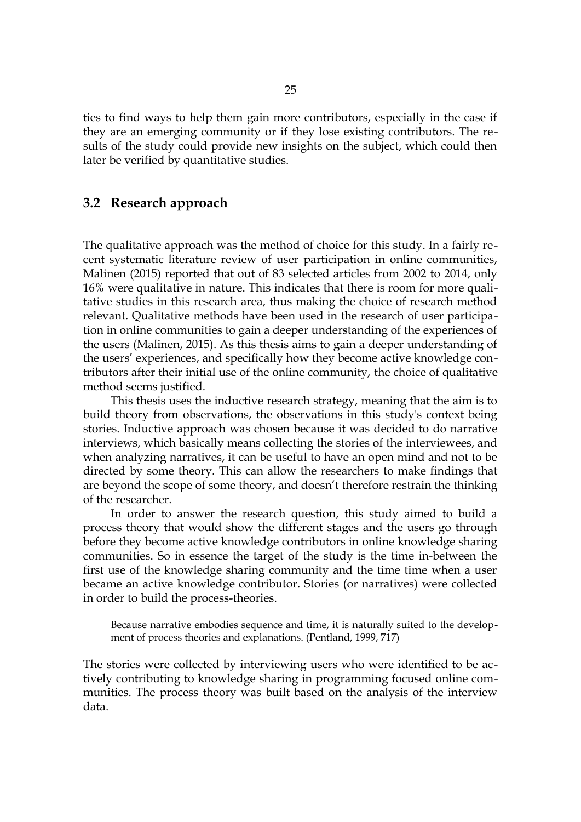ties to find ways to help them gain more contributors, especially in the case if they are an emerging community or if they lose existing contributors. The results of the study could provide new insights on the subject, which could then later be verified by quantitative studies.

## <span id="page-24-0"></span>**3.2 Research approach**

The qualitative approach was the method of choice for this study. In a fairly recent systematic literature review of user participation in online communities, Malinen (2015) reported that out of 83 selected articles from 2002 to 2014, only 16% were qualitative in nature. This indicates that there is room for more qualitative studies in this research area, thus making the choice of research method relevant. Qualitative methods have been used in the research of user participation in online communities to gain a deeper understanding of the experiences of the users (Malinen, 2015). As this thesis aims to gain a deeper understanding of the users' experiences, and specifically how they become active knowledge contributors after their initial use of the online community, the choice of qualitative method seems justified.

This thesis uses the inductive research strategy, meaning that the aim is to build theory from observations, the observations in this study's context being stories. Inductive approach was chosen because it was decided to do narrative interviews, which basically means collecting the stories of the interviewees, and when analyzing narratives, it can be useful to have an open mind and not to be directed by some theory. This can allow the researchers to make findings that are beyond the scope of some theory, and doesn't therefore restrain the thinking of the researcher.

In order to answer the research question, this study aimed to build a process theory that would show the different stages and the users go through before they become active knowledge contributors in online knowledge sharing communities. So in essence the target of the study is the time in-between the first use of the knowledge sharing community and the time time when a user became an active knowledge contributor. Stories (or narratives) were collected in order to build the process-theories.

Because narrative embodies sequence and time, it is naturally suited to the development of process theories and explanations. (Pentland, 1999, 717)

The stories were collected by interviewing users who were identified to be actively contributing to knowledge sharing in programming focused online communities. The process theory was built based on the analysis of the interview data.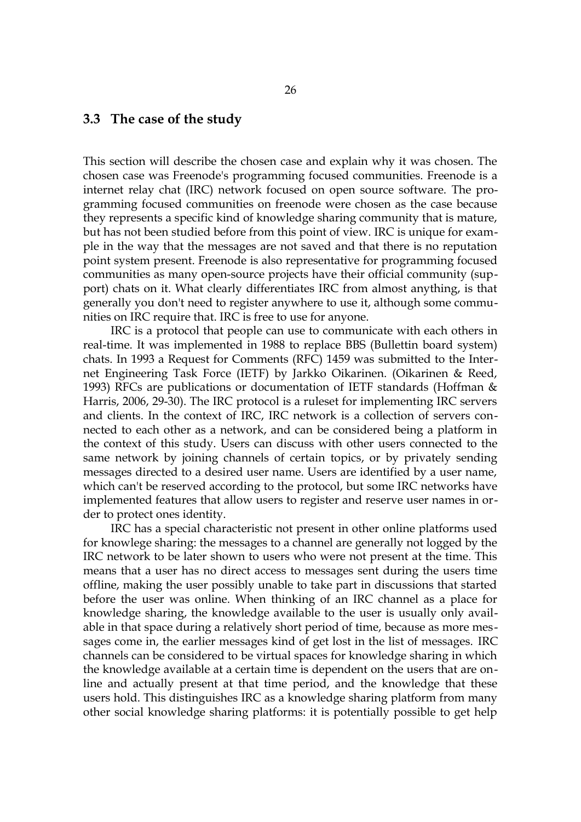#### <span id="page-25-0"></span>**3.3 The case of the study**

This section will describe the chosen case and explain why it was chosen. The chosen case was Freenode's programming focused communities. Freenode is a internet relay chat (IRC) network focused on open source software. The programming focused communities on freenode were chosen as the case because they represents a specific kind of knowledge sharing community that is mature, but has not been studied before from this point of view. IRC is unique for example in the way that the messages are not saved and that there is no reputation point system present. Freenode is also representative for programming focused communities as many open-source projects have their official community (support) chats on it. What clearly differentiates IRC from almost anything, is that generally you don't need to register anywhere to use it, although some communities on IRC require that. IRC is free to use for anyone.

IRC is a protocol that people can use to communicate with each others in real-time. It was implemented in 1988 to replace BBS (Bullettin board system) chats. In 1993 a Request for Comments (RFC) 1459 was submitted to the Internet Engineering Task Force (IETF) by Jarkko Oikarinen. (Oikarinen & Reed, 1993) RFCs are publications or documentation of IETF standards (Hoffman & Harris, 2006, 29-30). The IRC protocol is a ruleset for implementing IRC servers and clients. In the context of IRC, IRC network is a collection of servers connected to each other as a network, and can be considered being a platform in the context of this study. Users can discuss with other users connected to the same network by joining channels of certain topics, or by privately sending messages directed to a desired user name. Users are identified by a user name, which can't be reserved according to the protocol, but some IRC networks have implemented features that allow users to register and reserve user names in order to protect ones identity.

IRC has a special characteristic not present in other online platforms used for knowlege sharing: the messages to a channel are generally not logged by the IRC network to be later shown to users who were not present at the time. This means that a user has no direct access to messages sent during the users time offline, making the user possibly unable to take part in discussions that started before the user was online. When thinking of an IRC channel as a place for knowledge sharing, the knowledge available to the user is usually only available in that space during a relatively short period of time, because as more messages come in, the earlier messages kind of get lost in the list of messages. IRC channels can be considered to be virtual spaces for knowledge sharing in which the knowledge available at a certain time is dependent on the users that are online and actually present at that time period, and the knowledge that these users hold. This distinguishes IRC as a knowledge sharing platform from many other social knowledge sharing platforms: it is potentially possible to get help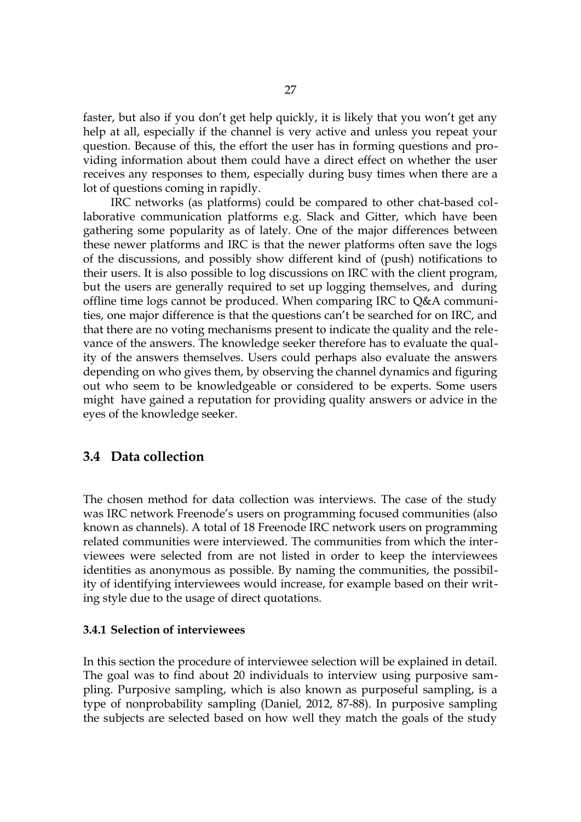faster, but also if you don't get help quickly, it is likely that you won't get any help at all, especially if the channel is very active and unless you repeat your question. Because of this, the effort the user has in forming questions and providing information about them could have a direct effect on whether the user receives any responses to them, especially during busy times when there are a lot of questions coming in rapidly.

IRC networks (as platforms) could be compared to other chat-based collaborative communication platforms e.g. Slack and Gitter, which have been gathering some popularity as of lately. One of the major differences between these newer platforms and IRC is that the newer platforms often save the logs of the discussions, and possibly show different kind of (push) notifications to their users. It is also possible to log discussions on IRC with the client program, but the users are generally required to set up logging themselves, and during offline time logs cannot be produced. When comparing IRC to Q&A communities, one major difference is that the questions can't be searched for on IRC, and that there are no voting mechanisms present to indicate the quality and the relevance of the answers. The knowledge seeker therefore has to evaluate the quality of the answers themselves. Users could perhaps also evaluate the answers depending on who gives them, by observing the channel dynamics and figuring out who seem to be knowledgeable or considered to be experts. Some users might have gained a reputation for providing quality answers or advice in the eyes of the knowledge seeker.

## <span id="page-26-1"></span>**3.4 Data collection**

The chosen method for data collection was interviews. The case of the study was IRC network Freenode's users on programming focused communities (also known as channels). A total of 18 Freenode IRC network users on programming related communities were interviewed. The communities from which the interviewees were selected from are not listed in order to keep the interviewees identities as anonymous as possible. By naming the communities, the possibility of identifying interviewees would increase, for example based on their writing style due to the usage of direct quotations.

#### <span id="page-26-0"></span>**3.4.1 Selection of interviewees**

In this section the procedure of interviewee selection will be explained in detail. The goal was to find about 20 individuals to interview using purposive sampling. Purposive sampling, which is also known as purposeful sampling, is a type of nonprobability sampling (Daniel, 2012, 87-88). In purposive sampling the subjects are selected based on how well they match the goals of the study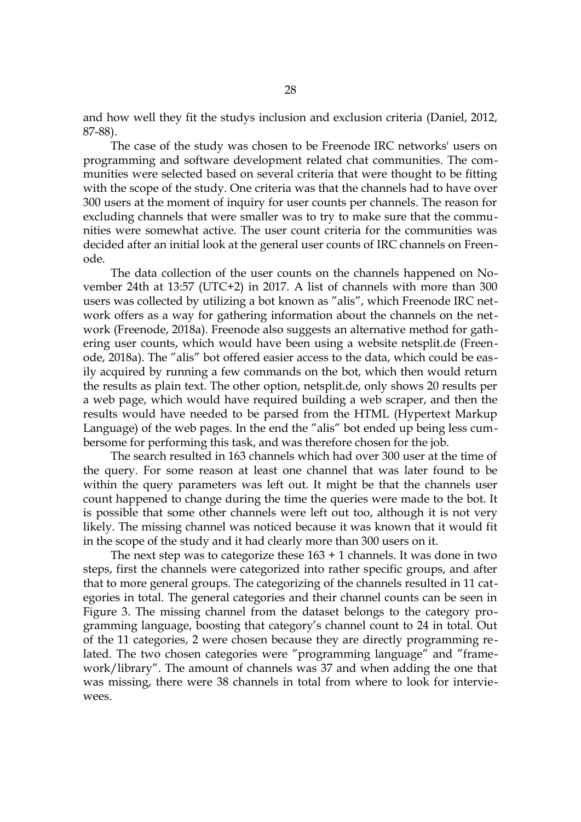and how well they fit the studys inclusion and exclusion criteria (Daniel, 2012, 87-88).

The case of the study was chosen to be Freenode IRC networks' users on programming and software development related chat communities. The communities were selected based on several criteria that were thought to be fitting with the scope of the study. One criteria was that the channels had to have over 300 users at the moment of inquiry for user counts per channels. The reason for excluding channels that were smaller was to try to make sure that the communities were somewhat active. The user count criteria for the communities was decided after an initial look at the general user counts of IRC channels on Freenode.

The data collection of the user counts on the channels happened on November 24th at 13:57 (UTC+2) in 2017. A list of channels with more than 300 users was collected by utilizing a bot known as "alis", which Freenode IRC network offers as a way for gathering information about the channels on the network (Freenode, 2018a). Freenode also suggests an alternative method for gathering user counts, which would have been using a website netsplit.de (Freenode, 2018a). The "alis" bot offered easier access to the data, which could be easily acquired by running a few commands on the bot, which then would return the results as plain text. The other option, netsplit.de, only shows 20 results per a web page, which would have required building a web scraper, and then the results would have needed to be parsed from the HTML (Hypertext Markup Language) of the web pages. In the end the "alis" bot ended up being less cumbersome for performing this task, and was therefore chosen for the job.

The search resulted in 163 channels which had over 300 user at the time of the query. For some reason at least one channel that was later found to be within the query parameters was left out. It might be that the channels user count happened to change during the time the queries were made to the bot. It is possible that some other channels were left out too, although it is not very likely. The missing channel was noticed because it was known that it would fit in the scope of the study and it had clearly more than 300 users on it.

The next step was to categorize these  $163 + 1$  channels. It was done in two steps, first the channels were categorized into rather specific groups, and after that to more general groups. The categorizing of the channels resulted in 11 categories in total. The general categories and their channel counts can be seen in Figure [3.](#page-28-0) The missing channel from the dataset belongs to the category programming language, boosting that category's channel count to 24 in total. Out of the 11 categories, 2 were chosen because they are directly programming related. The two chosen categories were "programming language" and "framework/library". The amount of channels was 37 and when adding the one that was missing, there were 38 channels in total from where to look for interviewees.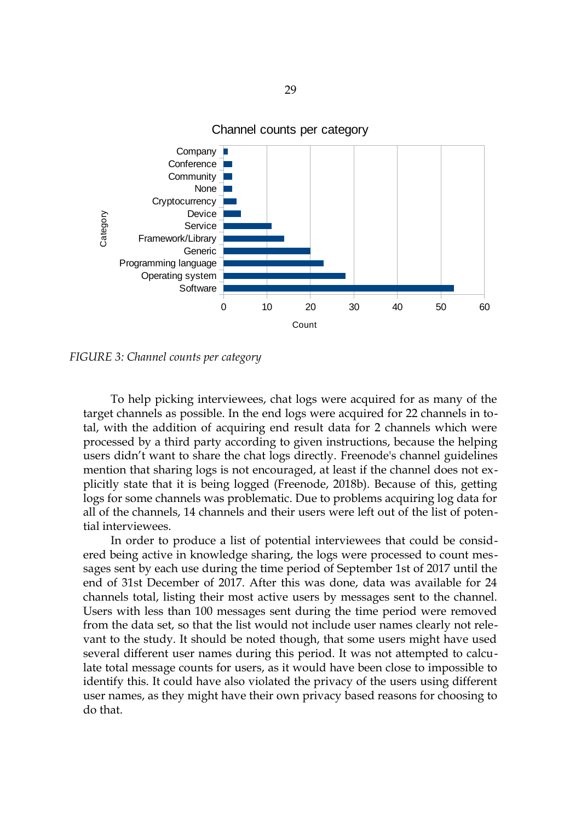

Channel counts per category

<span id="page-28-0"></span>*FIGURE 3: Channel counts per category*

To help picking interviewees, chat logs were acquired for as many of the target channels as possible. In the end logs were acquired for 22 channels in total, with the addition of acquiring end result data for 2 channels which were processed by a third party according to given instructions, because the helping users didn't want to share the chat logs directly. Freenode's channel guidelines mention that sharing logs is not encouraged, at least if the channel does not explicitly state that it is being logged (Freenode, 2018b). Because of this, getting logs for some channels was problematic. Due to problems acquiring log data for all of the channels, 14 channels and their users were left out of the list of potential interviewees.

In order to produce a list of potential interviewees that could be considered being active in knowledge sharing, the logs were processed to count messages sent by each use during the time period of September 1st of 2017 until the end of 31st December of 2017. After this was done, data was available for 24 channels total, listing their most active users by messages sent to the channel. Users with less than 100 messages sent during the time period were removed from the data set, so that the list would not include user names clearly not relevant to the study. It should be noted though, that some users might have used several different user names during this period. It was not attempted to calculate total message counts for users, as it would have been close to impossible to identify this. It could have also violated the privacy of the users using different user names, as they might have their own privacy based reasons for choosing to do that.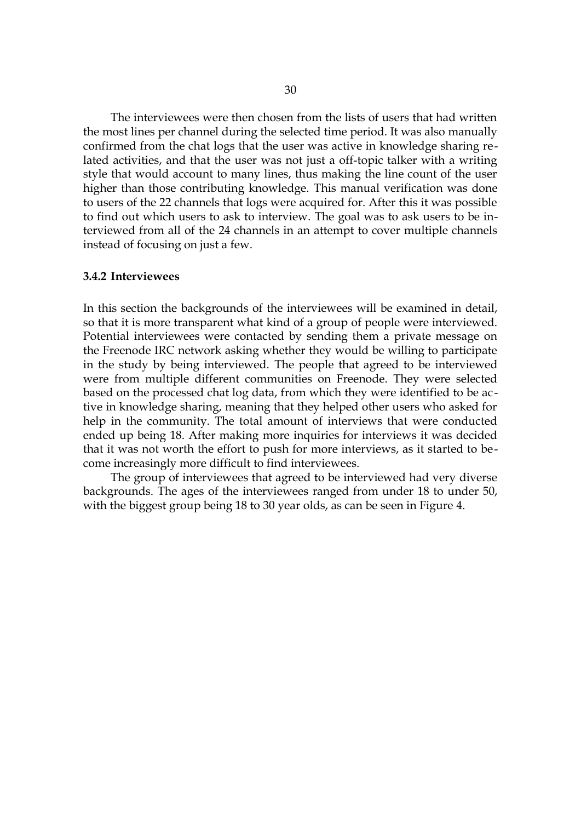The interviewees were then chosen from the lists of users that had written the most lines per channel during the selected time period. It was also manually confirmed from the chat logs that the user was active in knowledge sharing related activities, and that the user was not just a off-topic talker with a writing style that would account to many lines, thus making the line count of the user higher than those contributing knowledge. This manual verification was done to users of the 22 channels that logs were acquired for. After this it was possible to find out which users to ask to interview. The goal was to ask users to be interviewed from all of the 24 channels in an attempt to cover multiple channels instead of focusing on just a few.

#### <span id="page-29-0"></span>**3.4.2 Interviewees**

In this section the backgrounds of the interviewees will be examined in detail, so that it is more transparent what kind of a group of people were interviewed. Potential interviewees were contacted by sending them a private message on the Freenode IRC network asking whether they would be willing to participate in the study by being interviewed. The people that agreed to be interviewed were from multiple different communities on Freenode. They were selected based on the processed chat log data, from which they were identified to be active in knowledge sharing, meaning that they helped other users who asked for help in the community. The total amount of interviews that were conducted ended up being 18. After making more inquiries for interviews it was decided that it was not worth the effort to push for more interviews, as it started to become increasingly more difficult to find interviewees.

The group of interviewees that agreed to be interviewed had very diverse backgrounds. The ages of the interviewees ranged from under 18 to under 50, with the biggest group being 18 to 30 year olds, as can be seen in Figure [4.](#page-30-0)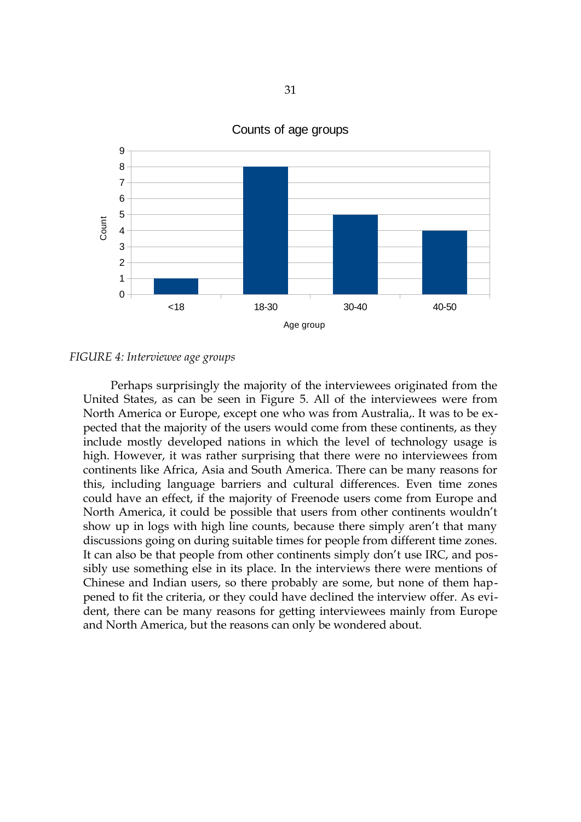

Counts of age groups

*FIGURE 4: Interviewee age groups*

<span id="page-30-0"></span>Perhaps surprisingly the majority of the interviewees originated from the United States, as can be seen in Figure [5.](#page-31-0) All of the interviewees were from North America or Europe, except one who was from Australia,. It was to be expected that the majority of the users would come from these continents, as they include mostly developed nations in which the level of technology usage is high. However, it was rather surprising that there were no interviewees from continents like Africa, Asia and South America. There can be many reasons for this, including language barriers and cultural differences. Even time zones could have an effect, if the majority of Freenode users come from Europe and North America, it could be possible that users from other continents wouldn't show up in logs with high line counts, because there simply aren't that many discussions going on during suitable times for people from different time zones. It can also be that people from other continents simply don't use IRC, and possibly use something else in its place. In the interviews there were mentions of Chinese and Indian users, so there probably are some, but none of them happened to fit the criteria, or they could have declined the interview offer. As evident, there can be many reasons for getting interviewees mainly from Europe and North America, but the reasons can only be wondered about.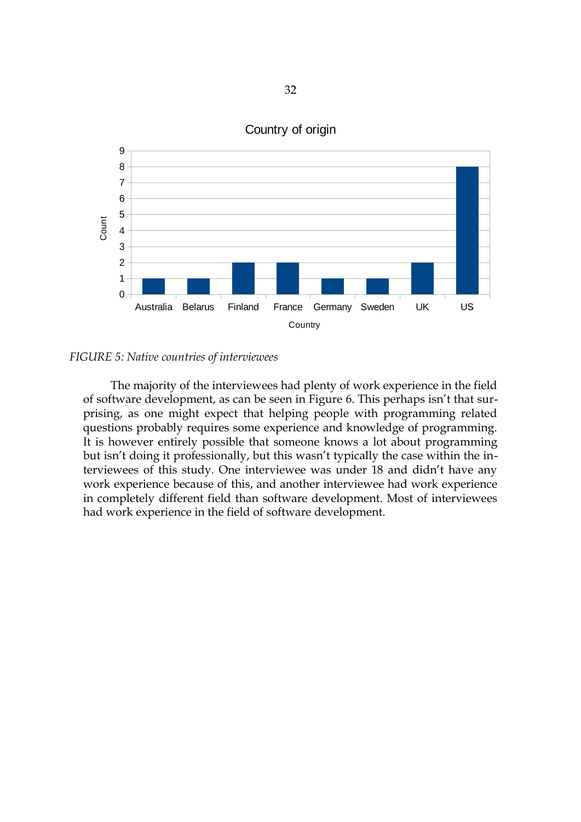

### Country of origin

*FIGURE 5: Native countries of interviewees*

<span id="page-31-0"></span>The majority of the interviewees had plenty of work experience in the field of software development, as can be seen in Figure [6.](#page-32-0) This perhaps isn't that surprising, as one might expect that helping people with programming related questions probably requires some experience and knowledge of programming. It is however entirely possible that someone knows a lot about programming but isn't doing it professionally, but this wasn't typically the case within the interviewees of this study. One interviewee was under 18 and didn't have any work experience because of this, and another interviewee had work experience in completely different field than software development. Most of interviewees had work experience in the field of software development.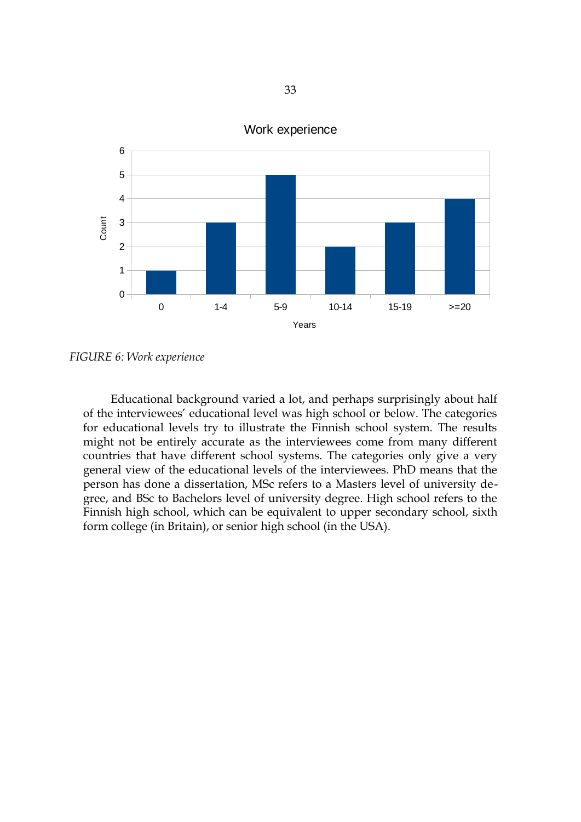

Work experience

Educational background varied a lot, and perhaps surprisingly about half of the interviewees' educational level was high school or below. The categories for educational levels try to illustrate the Finnish school system. The results might not be entirely accurate as the interviewees come from many different countries that have different school systems. The categories only give a very general view of the educational levels of the interviewees. PhD means that the person has done a dissertation, MSc refers to a Masters level of university degree, and BSc to Bachelors level of university degree. High school refers to the Finnish high school, which can be equivalent to upper secondary school, sixth form college (in Britain), or senior high school (in the USA).

<span id="page-32-0"></span>*FIGURE 6: Work experience*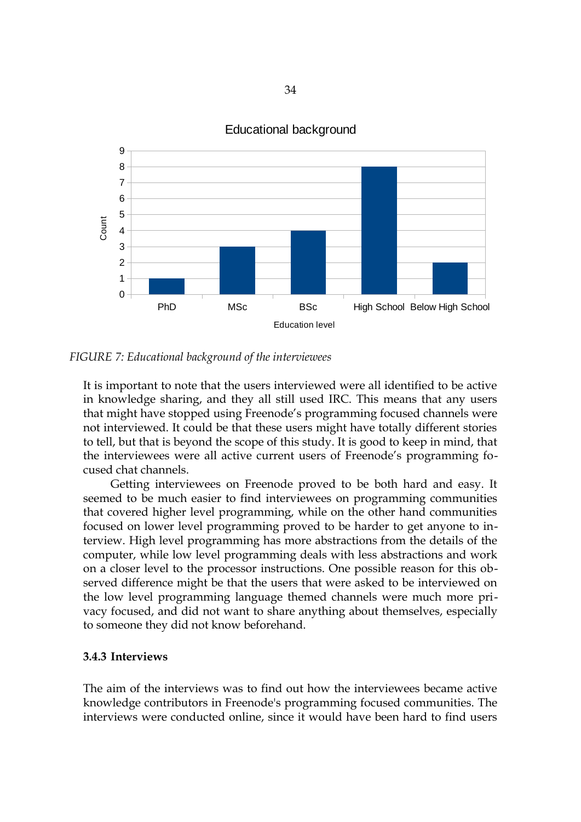

## Educational background

*FIGURE 7: Educational background of the interviewees*

<span id="page-33-0"></span>It is important to note that the users interviewed were all identified to be active in knowledge sharing, and they all still used IRC. This means that any users that might have stopped using Freenode's programming focused channels were not interviewed. It could be that these users might have totally different stories to tell, but that is beyond the scope of this study. It is good to keep in mind, that the interviewees were all active current users of Freenode's programming focused chat channels.

Getting interviewees on Freenode proved to be both hard and easy. It seemed to be much easier to find interviewees on programming communities that covered higher level programming, while on the other hand communities focused on lower level programming proved to be harder to get anyone to interview. High level programming has more abstractions from the details of the computer, while low level programming deals with less abstractions and work on a closer level to the processor instructions. One possible reason for this observed difference might be that the users that were asked to be interviewed on the low level programming language themed channels were much more privacy focused, and did not want to share anything about themselves, especially to someone they did not know beforehand.

## <span id="page-33-1"></span>**3.4.3 Interviews**

The aim of the interviews was to find out how the interviewees became active knowledge contributors in Freenode's programming focused communities. The interviews were conducted online, since it would have been hard to find users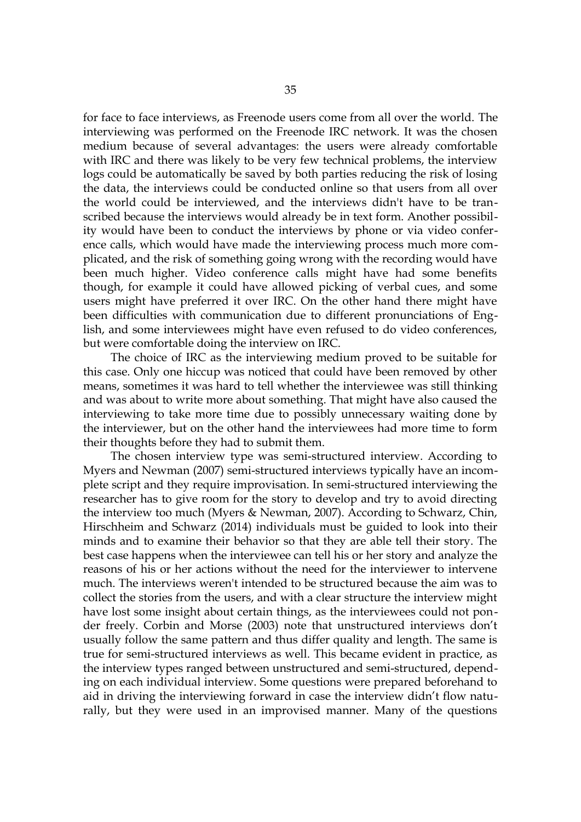for face to face interviews, as Freenode users come from all over the world. The interviewing was performed on the Freenode IRC network. It was the chosen medium because of several advantages: the users were already comfortable with IRC and there was likely to be very few technical problems, the interview logs could be automatically be saved by both parties reducing the risk of losing the data, the interviews could be conducted online so that users from all over the world could be interviewed, and the interviews didn't have to be transcribed because the interviews would already be in text form. Another possibility would have been to conduct the interviews by phone or via video conference calls, which would have made the interviewing process much more complicated, and the risk of something going wrong with the recording would have been much higher. Video conference calls might have had some benefits though, for example it could have allowed picking of verbal cues, and some users might have preferred it over IRC. On the other hand there might have been difficulties with communication due to different pronunciations of English, and some interviewees might have even refused to do video conferences, but were comfortable doing the interview on IRC.

The choice of IRC as the interviewing medium proved to be suitable for this case. Only one hiccup was noticed that could have been removed by other means, sometimes it was hard to tell whether the interviewee was still thinking and was about to write more about something. That might have also caused the interviewing to take more time due to possibly unnecessary waiting done by the interviewer, but on the other hand the interviewees had more time to form their thoughts before they had to submit them.

The chosen interview type was semi-structured interview. According to Myers and Newman (2007) semi-structured interviews typically have an incomplete script and they require improvisation. In semi-structured interviewing the researcher has to give room for the story to develop and try to avoid directing the interview too much (Myers & Newman, 2007). According to Schwarz, Chin, Hirschheim and Schwarz (2014) individuals must be guided to look into their minds and to examine their behavior so that they are able tell their story. The best case happens when the interviewee can tell his or her story and analyze the reasons of his or her actions without the need for the interviewer to intervene much. The interviews weren't intended to be structured because the aim was to collect the stories from the users, and with a clear structure the interview might have lost some insight about certain things, as the interviewees could not ponder freely. Corbin and Morse (2003) note that unstructured interviews don't usually follow the same pattern and thus differ quality and length. The same is true for semi-structured interviews as well. This became evident in practice, as the interview types ranged between unstructured and semi-structured, depending on each individual interview. Some questions were prepared beforehand to aid in driving the interviewing forward in case the interview didn't flow naturally, but they were used in an improvised manner. Many of the questions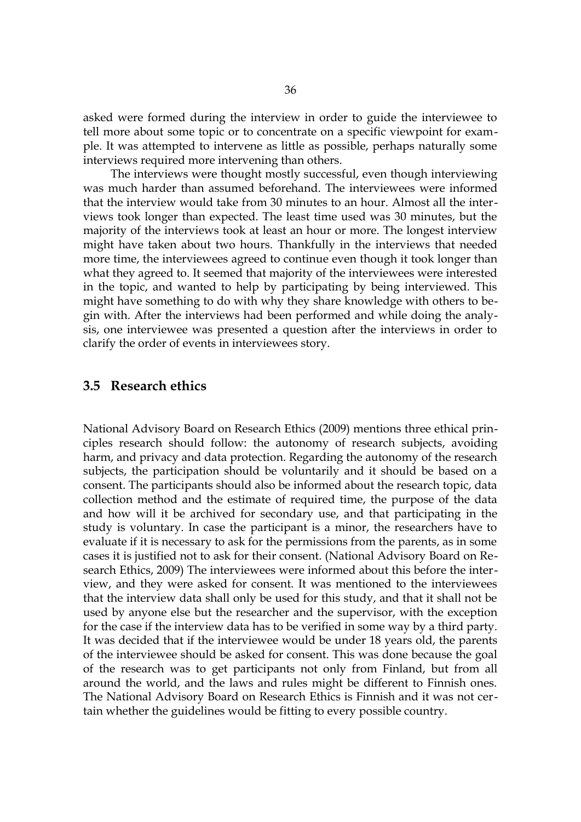asked were formed during the interview in order to guide the interviewee to tell more about some topic or to concentrate on a specific viewpoint for example. It was attempted to intervene as little as possible, perhaps naturally some interviews required more intervening than others.

The interviews were thought mostly successful, even though interviewing was much harder than assumed beforehand. The interviewees were informed that the interview would take from 30 minutes to an hour. Almost all the interviews took longer than expected. The least time used was 30 minutes, but the majority of the interviews took at least an hour or more. The longest interview might have taken about two hours. Thankfully in the interviews that needed more time, the interviewees agreed to continue even though it took longer than what they agreed to. It seemed that majority of the interviewees were interested in the topic, and wanted to help by participating by being interviewed. This might have something to do with why they share knowledge with others to begin with. After the interviews had been performed and while doing the analysis, one interviewee was presented a question after the interviews in order to clarify the order of events in interviewees story.

#### <span id="page-35-0"></span>**3.5 Research ethics**

National Advisory Board on Research Ethics (2009) mentions three ethical principles research should follow: the autonomy of research subjects, avoiding harm, and privacy and data protection. Regarding the autonomy of the research subjects, the participation should be voluntarily and it should be based on a consent. The participants should also be informed about the research topic, data collection method and the estimate of required time, the purpose of the data and how will it be archived for secondary use, and that participating in the study is voluntary. In case the participant is a minor, the researchers have to evaluate if it is necessary to ask for the permissions from the parents, as in some cases it is justified not to ask for their consent. (National Advisory Board on Research Ethics, 2009) The interviewees were informed about this before the interview, and they were asked for consent. It was mentioned to the interviewees that the interview data shall only be used for this study, and that it shall not be used by anyone else but the researcher and the supervisor, with the exception for the case if the interview data has to be verified in some way by a third party. It was decided that if the interviewee would be under 18 years old, the parents of the interviewee should be asked for consent. This was done because the goal of the research was to get participants not only from Finland, but from all around the world, and the laws and rules might be different to Finnish ones. The National Advisory Board on Research Ethics is Finnish and it was not certain whether the guidelines would be fitting to every possible country.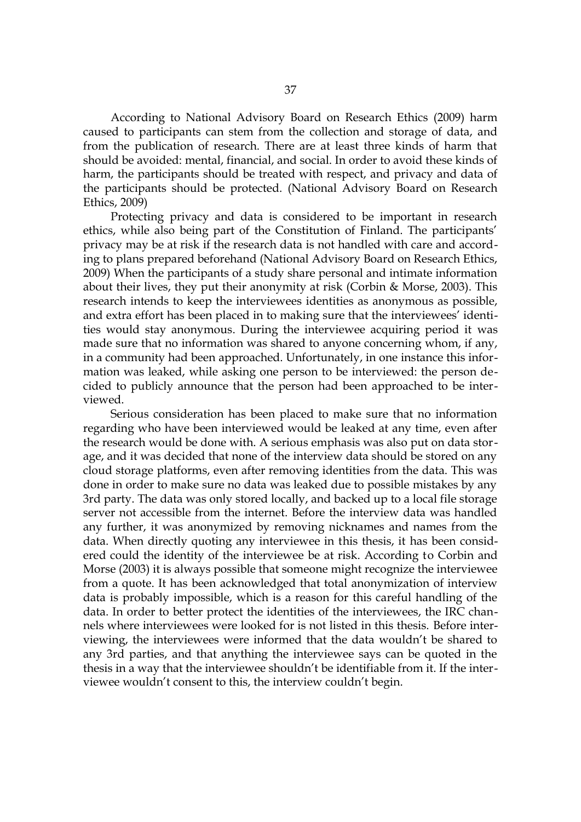According to National Advisory Board on Research Ethics (2009) harm caused to participants can stem from the collection and storage of data, and from the publication of research. There are at least three kinds of harm that should be avoided: mental, financial, and social. In order to avoid these kinds of harm, the participants should be treated with respect, and privacy and data of the participants should be protected. (National Advisory Board on Research Ethics, 2009)

Protecting privacy and data is considered to be important in research ethics, while also being part of the Constitution of Finland. The participants' privacy may be at risk if the research data is not handled with care and according to plans prepared beforehand (National Advisory Board on Research Ethics, 2009) When the participants of a study share personal and intimate information about their lives, they put their anonymity at risk (Corbin & Morse, 2003). This research intends to keep the interviewees identities as anonymous as possible, and extra effort has been placed in to making sure that the interviewees' identities would stay anonymous. During the interviewee acquiring period it was made sure that no information was shared to anyone concerning whom, if any, in a community had been approached. Unfortunately, in one instance this information was leaked, while asking one person to be interviewed: the person decided to publicly announce that the person had been approached to be interviewed.

Serious consideration has been placed to make sure that no information regarding who have been interviewed would be leaked at any time, even after the research would be done with. A serious emphasis was also put on data storage, and it was decided that none of the interview data should be stored on any cloud storage platforms, even after removing identities from the data. This was done in order to make sure no data was leaked due to possible mistakes by any 3rd party. The data was only stored locally, and backed up to a local file storage server not accessible from the internet. Before the interview data was handled any further, it was anonymized by removing nicknames and names from the data. When directly quoting any interviewee in this thesis, it has been considered could the identity of the interviewee be at risk. According to Corbin and Morse (2003) it is always possible that someone might recognize the interviewee from a quote. It has been acknowledged that total anonymization of interview data is probably impossible, which is a reason for this careful handling of the data. In order to better protect the identities of the interviewees, the IRC channels where interviewees were looked for is not listed in this thesis. Before interviewing, the interviewees were informed that the data wouldn't be shared to any 3rd parties, and that anything the interviewee says can be quoted in the thesis in a way that the interviewee shouldn't be identifiable from it. If the interviewee wouldn't consent to this, the interview couldn't begin.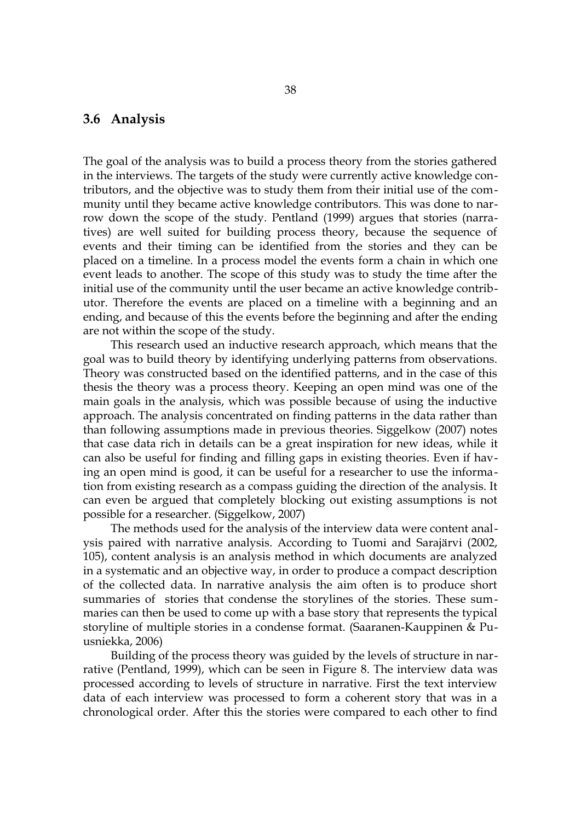## **3.6 Analysis**

The goal of the analysis was to build a process theory from the stories gathered in the interviews. The targets of the study were currently active knowledge contributors, and the objective was to study them from their initial use of the community until they became active knowledge contributors. This was done to narrow down the scope of the study. Pentland (1999) argues that stories (narratives) are well suited for building process theory, because the sequence of events and their timing can be identified from the stories and they can be placed on a timeline. In a process model the events form a chain in which one event leads to another. The scope of this study was to study the time after the initial use of the community until the user became an active knowledge contributor. Therefore the events are placed on a timeline with a beginning and an ending, and because of this the events before the beginning and after the ending are not within the scope of the study.

This research used an inductive research approach, which means that the goal was to build theory by identifying underlying patterns from observations. Theory was constructed based on the identified patterns, and in the case of this thesis the theory was a process theory. Keeping an open mind was one of the main goals in the analysis, which was possible because of using the inductive approach. The analysis concentrated on finding patterns in the data rather than than following assumptions made in previous theories. Siggelkow (2007) notes that case data rich in details can be a great inspiration for new ideas, while it can also be useful for finding and filling gaps in existing theories. Even if having an open mind is good, it can be useful for a researcher to use the information from existing research as a compass guiding the direction of the analysis. It can even be argued that completely blocking out existing assumptions is not possible for a researcher. (Siggelkow, 2007)

The methods used for the analysis of the interview data were content analysis paired with narrative analysis. According to Tuomi and Sarajärvi (2002, 105), content analysis is an analysis method in which documents are analyzed in a systematic and an objective way, in order to produce a compact description of the collected data. In narrative analysis the aim often is to produce short summaries of stories that condense the storylines of the stories. These summaries can then be used to come up with a base story that represents the typical storyline of multiple stories in a condense format. (Saaranen-Kauppinen & Puusniekka, 2006)

Building of the process theory was guided by the levels of structure in narrative (Pentland, 1999), which can be seen in Figure [8.](#page-38-0) The interview data was processed according to levels of structure in narrative. First the text interview data of each interview was processed to form a coherent story that was in a chronological order. After this the stories were compared to each other to find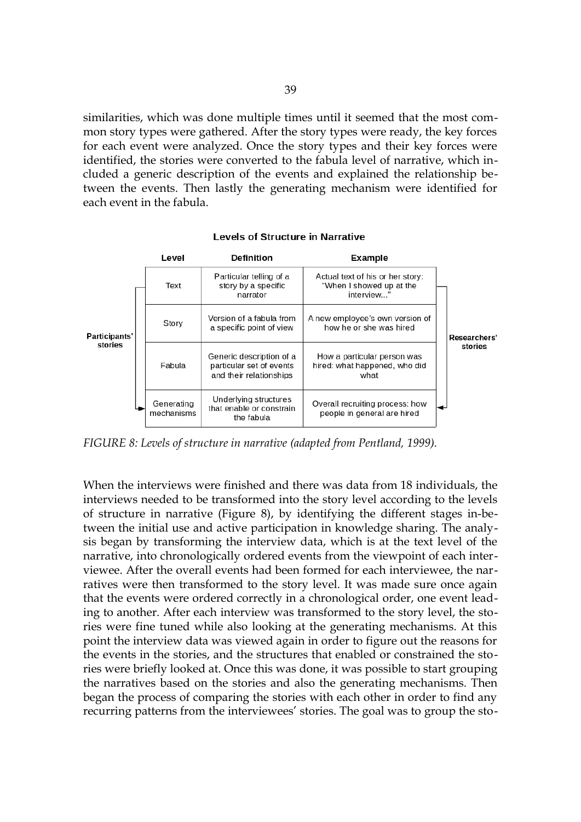similarities, which was done multiple times until it seemed that the most common story types were gathered. After the story types were ready, the key forces for each event were analyzed. Once the story types and their key forces were identified, the stories were converted to the fabula level of narrative, which included a generic description of the events and explained the relationship between the events. Then lastly the generating mechanism were identified for each event in the fabula.

#### Level **Definition** Example Particular telling of a Actual text of his or her story: Text story by a specific "When I showed up at the interview... narrator Version of a fabula from A new employee's own version of Story a specific point of view how he or she was hired Participants' Researchers' stories stories Generic description of a How a particular person was Fabula particular set of events hired: what happened, who did and their relationships what Underlying structures Generating Overall recruiting process: how that enable or constrain mechanisms people in general are hired the fabula

#### **Levels of Structure in Narrative**

<span id="page-38-0"></span>*FIGURE 8: Levels of structure in narrative (adapted from Pentland, 1999).*

When the interviews were finished and there was data from 18 individuals, the interviews needed to be transformed into the story level according to the levels of structure in narrative (Figure [8\)](#page-38-0), by identifying the different stages in-between the initial use and active participation in knowledge sharing. The analysis began by transforming the interview data, which is at the text level of the narrative, into chronologically ordered events from the viewpoint of each interviewee. After the overall events had been formed for each interviewee, the narratives were then transformed to the story level. It was made sure once again that the events were ordered correctly in a chronological order, one event leading to another. After each interview was transformed to the story level, the stories were fine tuned while also looking at the generating mechanisms. At this point the interview data was viewed again in order to figure out the reasons for the events in the stories, and the structures that enabled or constrained the stories were briefly looked at. Once this was done, it was possible to start grouping the narratives based on the stories and also the generating mechanisms. Then began the process of comparing the stories with each other in order to find any recurring patterns from the interviewees' stories. The goal was to group the sto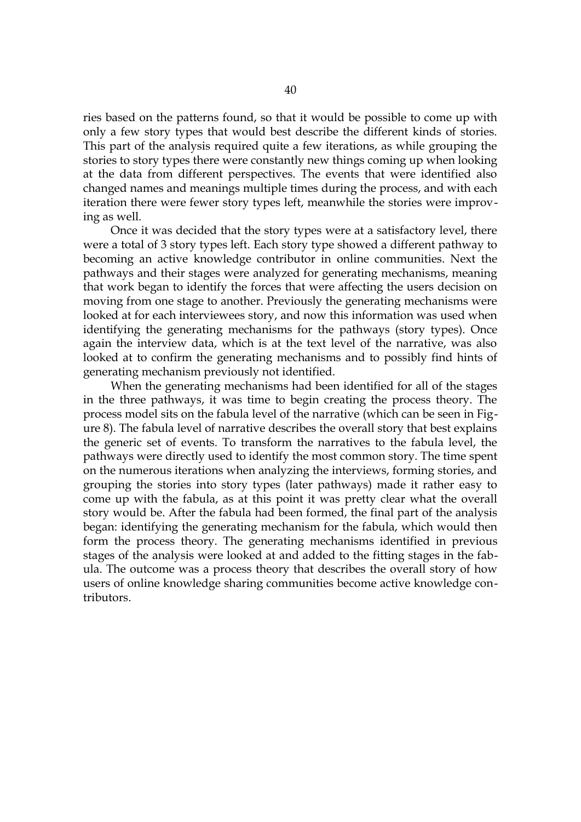ries based on the patterns found, so that it would be possible to come up with only a few story types that would best describe the different kinds of stories. This part of the analysis required quite a few iterations, as while grouping the stories to story types there were constantly new things coming up when looking at the data from different perspectives. The events that were identified also changed names and meanings multiple times during the process, and with each iteration there were fewer story types left, meanwhile the stories were improving as well.

Once it was decided that the story types were at a satisfactory level, there were a total of 3 story types left. Each story type showed a different pathway to becoming an active knowledge contributor in online communities. Next the pathways and their stages were analyzed for generating mechanisms, meaning that work began to identify the forces that were affecting the users decision on moving from one stage to another. Previously the generating mechanisms were looked at for each interviewees story, and now this information was used when identifying the generating mechanisms for the pathways (story types). Once again the interview data, which is at the text level of the narrative, was also looked at to confirm the generating mechanisms and to possibly find hints of generating mechanism previously not identified.

When the generating mechanisms had been identified for all of the stages in the three pathways, it was time to begin creating the process theory. The process model sits on the fabula level of the narrative (which can be seen in Figure [8\)](#page-38-0). The fabula level of narrative describes the overall story that best explains the generic set of events. To transform the narratives to the fabula level, the pathways were directly used to identify the most common story. The time spent on the numerous iterations when analyzing the interviews, forming stories, and grouping the stories into story types (later pathways) made it rather easy to come up with the fabula, as at this point it was pretty clear what the overall story would be. After the fabula had been formed, the final part of the analysis began: identifying the generating mechanism for the fabula, which would then form the process theory. The generating mechanisms identified in previous stages of the analysis were looked at and added to the fitting stages in the fabula. The outcome was a process theory that describes the overall story of how users of online knowledge sharing communities become active knowledge contributors.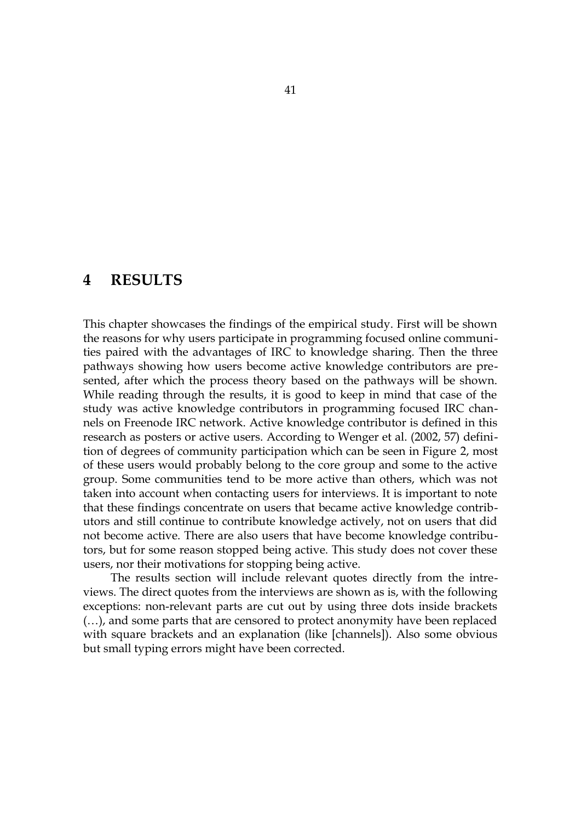# **4 RESULTS**

This chapter showcases the findings of the empirical study. First will be shown the reasons for why users participate in programming focused online communities paired with the advantages of IRC to knowledge sharing. Then the three pathways showing how users become active knowledge contributors are presented, after which the process theory based on the pathways will be shown. While reading through the results, it is good to keep in mind that case of the study was active knowledge contributors in programming focused IRC channels on Freenode IRC network. Active knowledge contributor is defined in this research as posters or active users. According to Wenger et al. (2002, 57) definition of degrees of community participation which can be seen in Figure [2,](#page-19-0) most of these users would probably belong to the core group and some to the active group. Some communities tend to be more active than others, which was not taken into account when contacting users for interviews. It is important to note that these findings concentrate on users that became active knowledge contributors and still continue to contribute knowledge actively, not on users that did not become active. There are also users that have become knowledge contributors, but for some reason stopped being active. This study does not cover these users, nor their motivations for stopping being active.

The results section will include relevant quotes directly from the intreviews. The direct quotes from the interviews are shown as is, with the following exceptions: non-relevant parts are cut out by using three dots inside brackets (…), and some parts that are censored to protect anonymity have been replaced with square brackets and an explanation (like [channels]). Also some obvious but small typing errors might have been corrected.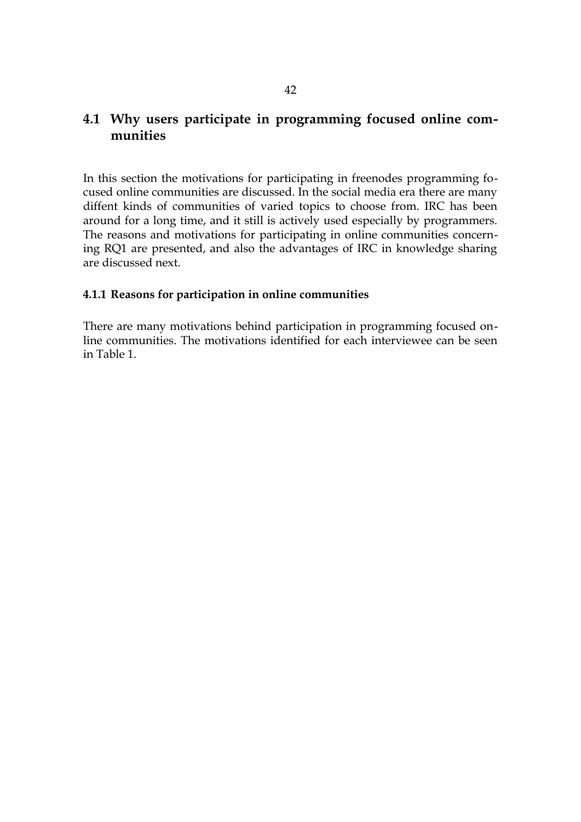# **4.1 Why users participate in programming focused online communities**

In this section the motivations for participating in freenodes programming focused online communities are discussed. In the social media era there are many diffent kinds of communities of varied topics to choose from. IRC has been around for a long time, and it still is actively used especially by programmers. The reasons and motivations for participating in online communities concerning RQ1 are presented, and also the advantages of IRC in knowledge sharing are discussed next.

## **4.1.1 Reasons for participation in online communities**

There are many motivations behind participation in programming focused online communities. The motivations identified for each interviewee can be seen in Table [1.](#page-42-0)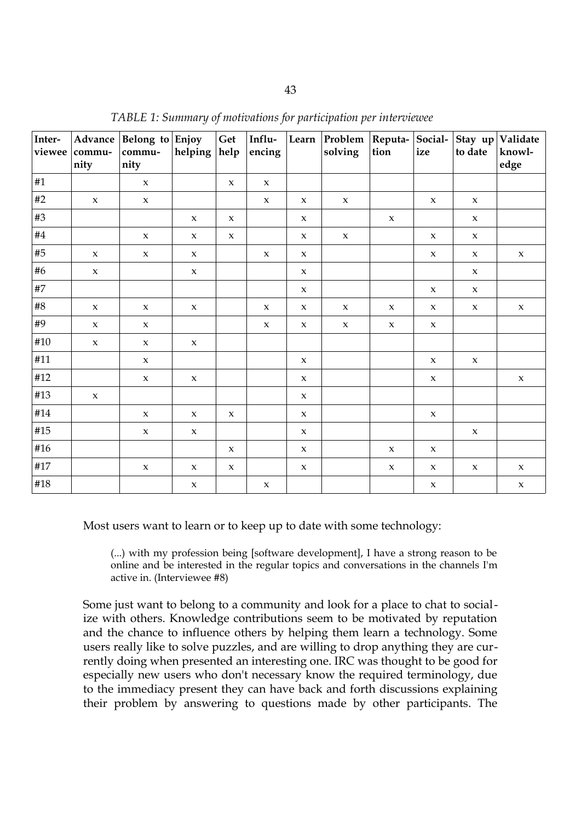| Inter- | Advance<br>viewee   commu-<br>nity | Belong to $Enjoy$<br>commu-<br>nity | helping $ help$     | Get                 | Influ-<br>encing    |                     | Learn Problem Reputa- Social-<br>solving | tion                | ize                 | to date             | Stay up Validate<br>knowl-<br>edge |
|--------|------------------------------------|-------------------------------------|---------------------|---------------------|---------------------|---------------------|------------------------------------------|---------------------|---------------------|---------------------|------------------------------------|
| #1     |                                    | $\mathbf x$                         |                     | $\mathbf{x}$        | $\boldsymbol{\chi}$ |                     |                                          |                     |                     |                     |                                    |
| #2     | $\boldsymbol{\chi}$                | $\mathbf x$                         |                     |                     | $\mathbf{x}$        | $\mathbf{x}$        | $\mathbf x$                              |                     | $\boldsymbol{\chi}$ | $\boldsymbol{\chi}$ |                                    |
| #3     |                                    |                                     | $\mathsf X$         | $\mathsf X$         |                     | $\boldsymbol{\chi}$ |                                          | $\mathsf X$         |                     | $\boldsymbol{\chi}$ |                                    |
| #4     |                                    | $\mathbf x$                         | $\mathbf x$         | $\mathsf X$         |                     | $\boldsymbol{\chi}$ | $\boldsymbol{\chi}$                      |                     | $\mathsf X$         | $\boldsymbol{\chi}$ |                                    |
| #5     | $\mathbf x$                        | $\mathbf x$                         | $\mathbf x$         |                     | $\mathbf{x}$        | $\mathbf x$         |                                          |                     | $\mathsf X$         | $\boldsymbol{\chi}$ | $\mathbf x$                        |
| #6     | $\mathsf X$                        |                                     | $\boldsymbol{\chi}$ |                     |                     | $\mathbf x$         |                                          |                     |                     | $\boldsymbol{\chi}$ |                                    |
| #7     |                                    |                                     |                     |                     |                     | $\boldsymbol{\chi}$ |                                          |                     | $\boldsymbol{\chi}$ | $\boldsymbol{\chi}$ |                                    |
| #8     | $\mathsf X$                        | $\mathbf{x}$                        | $\boldsymbol{\chi}$ |                     | $\mathbf{x}$        | $\boldsymbol{\chi}$ | $\mathbf x$                              | $\boldsymbol{\chi}$ | $\boldsymbol{\chi}$ | $\boldsymbol{\chi}$ | $\mathbf x$                        |
| #9     | $\boldsymbol{\chi}$                | $\mathbf{x}$                        |                     |                     | $\boldsymbol{\chi}$ | $\boldsymbol{\chi}$ | $\boldsymbol{\chi}$                      | $\boldsymbol{\chi}$ | $\boldsymbol{\chi}$ |                     |                                    |
| #10    | $\mathsf X$                        | $\mathbf x$                         | $\mathbf x$         |                     |                     |                     |                                          |                     |                     |                     |                                    |
| #11    |                                    | $\mathbf x$                         |                     |                     |                     | $\boldsymbol{\chi}$ |                                          |                     | $\mathsf X$         | $\boldsymbol{\chi}$ |                                    |
| #12    |                                    | $\mathbf x$                         | $\mathbf x$         |                     |                     | $\mathbf x$         |                                          |                     | $\boldsymbol{\chi}$ |                     | $\mathbf x$                        |
| #13    | $\mathsf X$                        |                                     |                     |                     |                     | $\mathbf x$         |                                          |                     |                     |                     |                                    |
| #14    |                                    | $\mathbf{x}$                        | $\boldsymbol{\chi}$ | $\boldsymbol{\chi}$ |                     | $\mathbf x$         |                                          |                     | $\mathsf X$         |                     |                                    |
| #15    |                                    | $\mathbf x$                         | $\boldsymbol{\chi}$ |                     |                     | $\mathbf x$         |                                          |                     |                     | $\boldsymbol{\chi}$ |                                    |
| #16    |                                    |                                     |                     | $\boldsymbol{\chi}$ |                     | $\mathbf{x}$        |                                          | $\boldsymbol{\chi}$ | $\boldsymbol{\chi}$ |                     |                                    |
| #17    |                                    | $\mathsf X$                         | $\boldsymbol{\chi}$ | $\boldsymbol{\chi}$ |                     | $\boldsymbol{\chi}$ |                                          | $\boldsymbol{\chi}$ | $\boldsymbol{\chi}$ | $\mathsf X$         | $\mathbf x$                        |
| #18    |                                    |                                     | $\mathbf x$         |                     | $\boldsymbol{\chi}$ |                     |                                          |                     | $\boldsymbol{\chi}$ |                     | $\mathbf x$                        |

<span id="page-42-0"></span>*TABLE 1: Summary of motivations for participation per interviewee*

Most users want to learn or to keep up to date with some technology:

(...) with my profession being [software development], I have a strong reason to be online and be interested in the regular topics and conversations in the channels I'm active in. (Interviewee #8)

Some just want to belong to a community and look for a place to chat to socialize with others. Knowledge contributions seem to be motivated by reputation and the chance to influence others by helping them learn a technology. Some users really like to solve puzzles, and are willing to drop anything they are currently doing when presented an interesting one. IRC was thought to be good for especially new users who don't necessary know the required terminology, due to the immediacy present they can have back and forth discussions explaining their problem by answering to questions made by other participants. The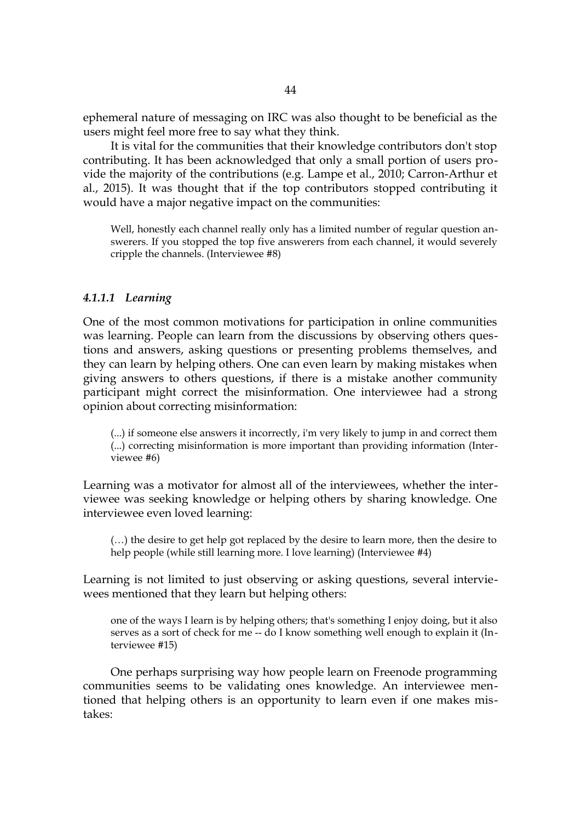ephemeral nature of messaging on IRC was also thought to be beneficial as the users might feel more free to say what they think.

It is vital for the communities that their knowledge contributors don't stop contributing. It has been acknowledged that only a small portion of users provide the majority of the contributions (e.g. Lampe et al., 2010; Carron-Arthur et al., 2015). It was thought that if the top contributors stopped contributing it would have a major negative impact on the communities:

Well, honestly each channel really only has a limited number of regular question answerers. If you stopped the top five answerers from each channel, it would severely cripple the channels. (Interviewee #8)

#### *4.1.1.1 Learning*

One of the most common motivations for participation in online communities was learning. People can learn from the discussions by observing others questions and answers, asking questions or presenting problems themselves, and they can learn by helping others. One can even learn by making mistakes when giving answers to others questions, if there is a mistake another community participant might correct the misinformation. One interviewee had a strong opinion about correcting misinformation:

(...) if someone else answers it incorrectly, i'm very likely to jump in and correct them (...) correcting misinformation is more important than providing information (Interviewee #6)

Learning was a motivator for almost all of the interviewees, whether the interviewee was seeking knowledge or helping others by sharing knowledge. One interviewee even loved learning:

(…) the desire to get help got replaced by the desire to learn more, then the desire to help people (while still learning more. I love learning) (Interviewee #4)

Learning is not limited to just observing or asking questions, several interviewees mentioned that they learn but helping others:

one of the ways I learn is by helping others; that's something I enjoy doing, but it also serves as a sort of check for me -- do I know something well enough to explain it (Interviewee #15)

One perhaps surprising way how people learn on Freenode programming communities seems to be validating ones knowledge. An interviewee mentioned that helping others is an opportunity to learn even if one makes mistakes: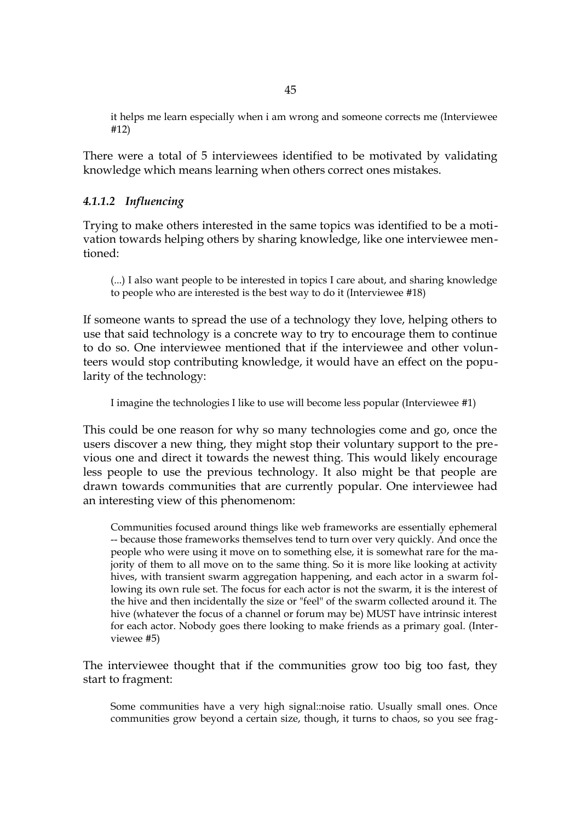it helps me learn especially when i am wrong and someone corrects me (Interviewee #12)

There were a total of 5 interviewees identified to be motivated by validating knowledge which means learning when others correct ones mistakes.

### *4.1.1.2 Influencing*

Trying to make others interested in the same topics was identified to be a motivation towards helping others by sharing knowledge, like one interviewee mentioned:

(...) I also want people to be interested in topics I care about, and sharing knowledge to people who are interested is the best way to do it (Interviewee #18)

If someone wants to spread the use of a technology they love, helping others to use that said technology is a concrete way to try to encourage them to continue to do so. One interviewee mentioned that if the interviewee and other volunteers would stop contributing knowledge, it would have an effect on the popularity of the technology:

I imagine the technologies I like to use will become less popular (Interviewee #1)

This could be one reason for why so many technologies come and go, once the users discover a new thing, they might stop their voluntary support to the previous one and direct it towards the newest thing. This would likely encourage less people to use the previous technology. It also might be that people are drawn towards communities that are currently popular. One interviewee had an interesting view of this phenomenom:

Communities focused around things like web frameworks are essentially ephemeral -- because those frameworks themselves tend to turn over very quickly. And once the people who were using it move on to something else, it is somewhat rare for the majority of them to all move on to the same thing. So it is more like looking at activity hives, with transient swarm aggregation happening, and each actor in a swarm following its own rule set. The focus for each actor is not the swarm, it is the interest of the hive and then incidentally the size or "feel" of the swarm collected around it. The hive (whatever the focus of a channel or forum may be) MUST have intrinsic interest for each actor. Nobody goes there looking to make friends as a primary goal. (Interviewee #5)

The interviewee thought that if the communities grow too big too fast, they start to fragment:

Some communities have a very high signal::noise ratio. Usually small ones. Once communities grow beyond a certain size, though, it turns to chaos, so you see frag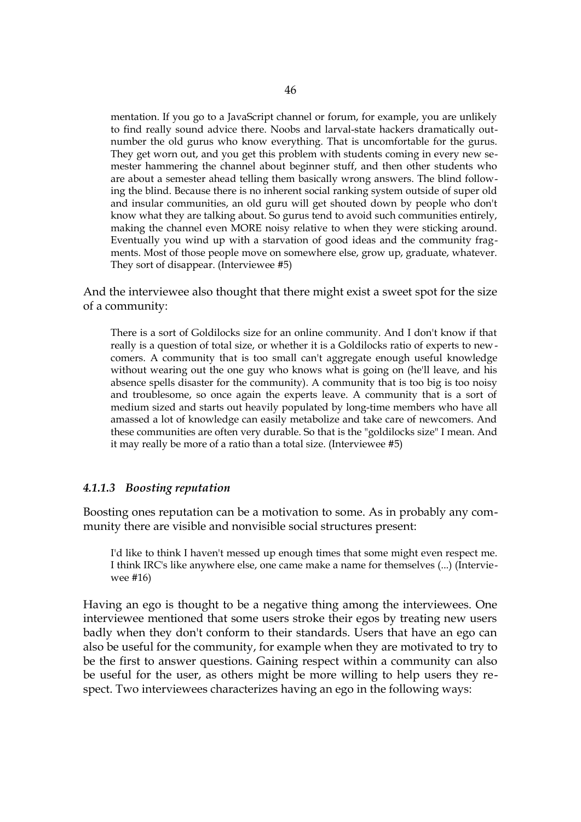mentation. If you go to a JavaScript channel or forum, for example, you are unlikely to find really sound advice there. Noobs and larval-state hackers dramatically outnumber the old gurus who know everything. That is uncomfortable for the gurus. They get worn out, and you get this problem with students coming in every new semester hammering the channel about beginner stuff, and then other students who are about a semester ahead telling them basically wrong answers. The blind following the blind. Because there is no inherent social ranking system outside of super old and insular communities, an old guru will get shouted down by people who don't know what they are talking about. So gurus tend to avoid such communities entirely, making the channel even MORE noisy relative to when they were sticking around. Eventually you wind up with a starvation of good ideas and the community fragments. Most of those people move on somewhere else, grow up, graduate, whatever. They sort of disappear. (Interviewee #5)

And the interviewee also thought that there might exist a sweet spot for the size of a community:

There is a sort of Goldilocks size for an online community. And I don't know if that really is a question of total size, or whether it is a Goldilocks ratio of experts to newcomers. A community that is too small can't aggregate enough useful knowledge without wearing out the one guy who knows what is going on (he'll leave, and his absence spells disaster for the community). A community that is too big is too noisy and troublesome, so once again the experts leave. A community that is a sort of medium sized and starts out heavily populated by long-time members who have all amassed a lot of knowledge can easily metabolize and take care of newcomers. And these communities are often very durable. So that is the "goldilocks size" I mean. And it may really be more of a ratio than a total size. (Interviewee #5)

#### *4.1.1.3 Boosting reputation*

Boosting ones reputation can be a motivation to some. As in probably any community there are visible and nonvisible social structures present:

I'd like to think I haven't messed up enough times that some might even respect me. I think IRC's like anywhere else, one came make a name for themselves (...) (Interviewee #16)

Having an ego is thought to be a negative thing among the interviewees. One interviewee mentioned that some users stroke their egos by treating new users badly when they don't conform to their standards. Users that have an ego can also be useful for the community, for example when they are motivated to try to be the first to answer questions. Gaining respect within a community can also be useful for the user, as others might be more willing to help users they respect. Two interviewees characterizes having an ego in the following ways: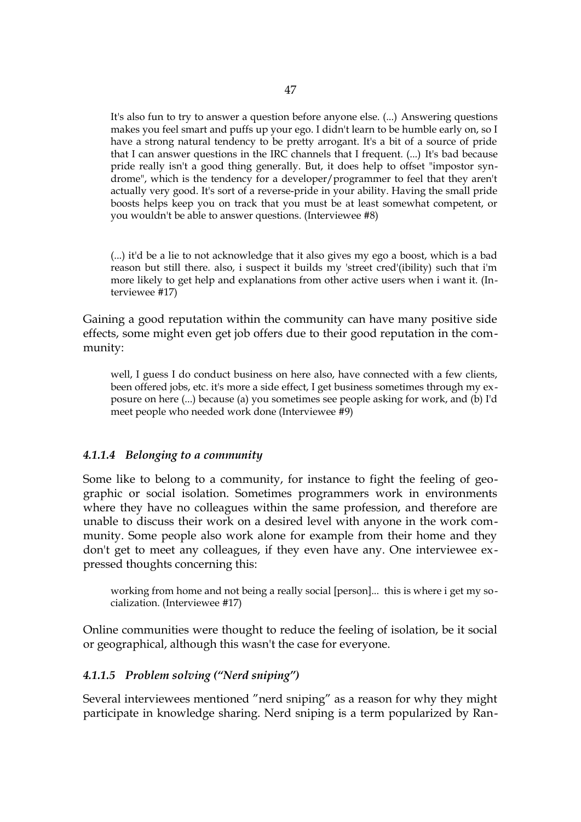It's also fun to try to answer a question before anyone else. (...) Answering questions makes you feel smart and puffs up your ego. I didn't learn to be humble early on, so I have a strong natural tendency to be pretty arrogant. It's a bit of a source of pride that I can answer questions in the IRC channels that I frequent. (...) It's bad because pride really isn't a good thing generally. But, it does help to offset "impostor syndrome", which is the tendency for a developer/programmer to feel that they aren't actually very good. It's sort of a reverse-pride in your ability. Having the small pride boosts helps keep you on track that you must be at least somewhat competent, or you wouldn't be able to answer questions. (Interviewee #8)

(...) it'd be a lie to not acknowledge that it also gives my ego a boost, which is a bad reason but still there. also, i suspect it builds my 'street cred'(ibility) such that i'm more likely to get help and explanations from other active users when i want it. (Interviewee #17)

Gaining a good reputation within the community can have many positive side effects, some might even get job offers due to their good reputation in the community:

well, I guess I do conduct business on here also, have connected with a few clients, been offered jobs, etc. it's more a side effect, I get business sometimes through my exposure on here (...) because (a) you sometimes see people asking for work, and (b) I'd meet people who needed work done (Interviewee #9)

#### *4.1.1.4 Belonging to a community*

Some like to belong to a community, for instance to fight the feeling of geographic or social isolation. Sometimes programmers work in environments where they have no colleagues within the same profession, and therefore are unable to discuss their work on a desired level with anyone in the work community. Some people also work alone for example from their home and they don't get to meet any colleagues, if they even have any. One interviewee expressed thoughts concerning this:

working from home and not being a really social [person]... this is where i get my socialization. (Interviewee #17)

Online communities were thought to reduce the feeling of isolation, be it social or geographical, although this wasn't the case for everyone.

#### *4.1.1.5 Problem solving ("Nerd sniping")*

Several interviewees mentioned "nerd sniping" as a reason for why they might participate in knowledge sharing. Nerd sniping is a term popularized by Ran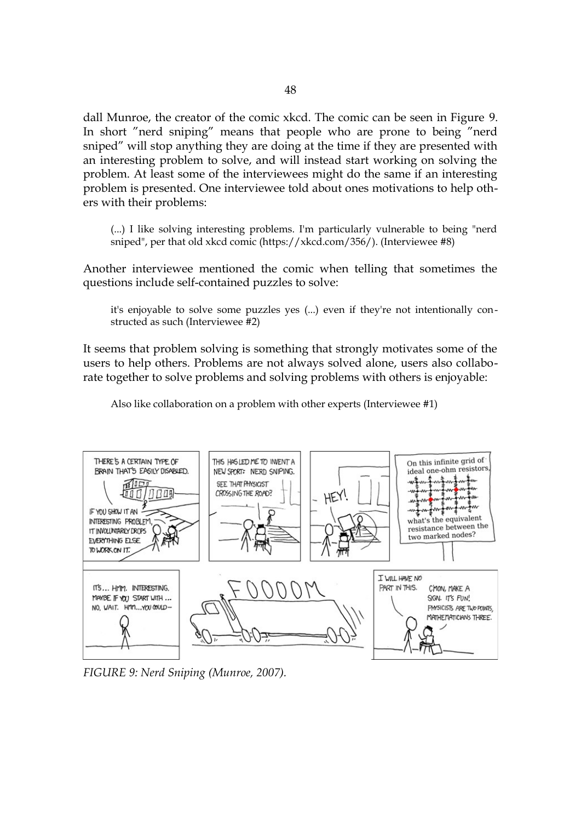dall Munroe, the creator of the comic xkcd. The comic can be seen in Figure [9.](#page-47-0) In short "nerd sniping" means that people who are prone to being "nerd sniped" will stop anything they are doing at the time if they are presented with an interesting problem to solve, and will instead start working on solving the problem. At least some of the interviewees might do the same if an interesting problem is presented. One interviewee told about ones motivations to help others with their problems:

(...) I like solving interesting problems. I'm particularly vulnerable to being "nerd sniped", per that old xkcd comic (https://xkcd.com/356/). (Interviewee #8)

Another interviewee mentioned the comic when telling that sometimes the questions include self-contained puzzles to solve:

it's enjoyable to solve some puzzles yes (...) even if they're not intentionally constructed as such (Interviewee #2)

It seems that problem solving is something that strongly motivates some of the users to help others. Problems are not always solved alone, users also collaborate together to solve problems and solving problems with others is enjoyable:

Also like collaboration on a problem with other experts (Interviewee #1)



<span id="page-47-0"></span>*FIGURE 9: Nerd Sniping (Munroe, 2007).*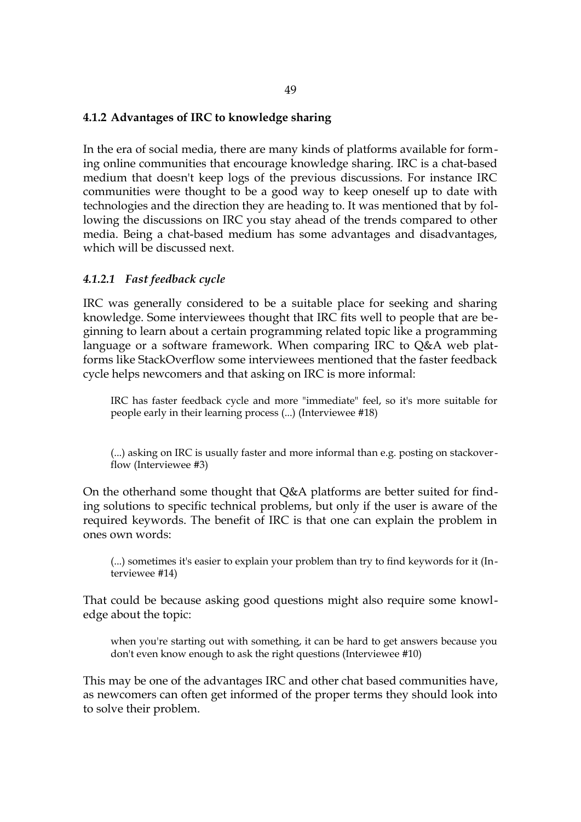#### **4.1.2 Advantages of IRC to knowledge sharing**

In the era of social media, there are many kinds of platforms available for forming online communities that encourage knowledge sharing. IRC is a chat-based medium that doesn't keep logs of the previous discussions. For instance IRC communities were thought to be a good way to keep oneself up to date with technologies and the direction they are heading to. It was mentioned that by following the discussions on IRC you stay ahead of the trends compared to other media. Being a chat-based medium has some advantages and disadvantages, which will be discussed next.

## *4.1.2.1 Fast feedback cycle*

IRC was generally considered to be a suitable place for seeking and sharing knowledge. Some interviewees thought that IRC fits well to people that are beginning to learn about a certain programming related topic like a programming language or a software framework. When comparing IRC to Q&A web platforms like StackOverflow some interviewees mentioned that the faster feedback cycle helps newcomers and that asking on IRC is more informal:

IRC has faster feedback cycle and more "immediate" feel, so it's more suitable for people early in their learning process (...) (Interviewee #18)

(...) asking on IRC is usually faster and more informal than e.g. posting on stackoverflow (Interviewee #3)

On the otherhand some thought that Q&A platforms are better suited for finding solutions to specific technical problems, but only if the user is aware of the required keywords. The benefit of IRC is that one can explain the problem in ones own words:

(...) sometimes it's easier to explain your problem than try to find keywords for it (Interviewee #14)

That could be because asking good questions might also require some knowledge about the topic:

when you're starting out with something, it can be hard to get answers because you don't even know enough to ask the right questions (Interviewee #10)

This may be one of the advantages IRC and other chat based communities have, as newcomers can often get informed of the proper terms they should look into to solve their problem.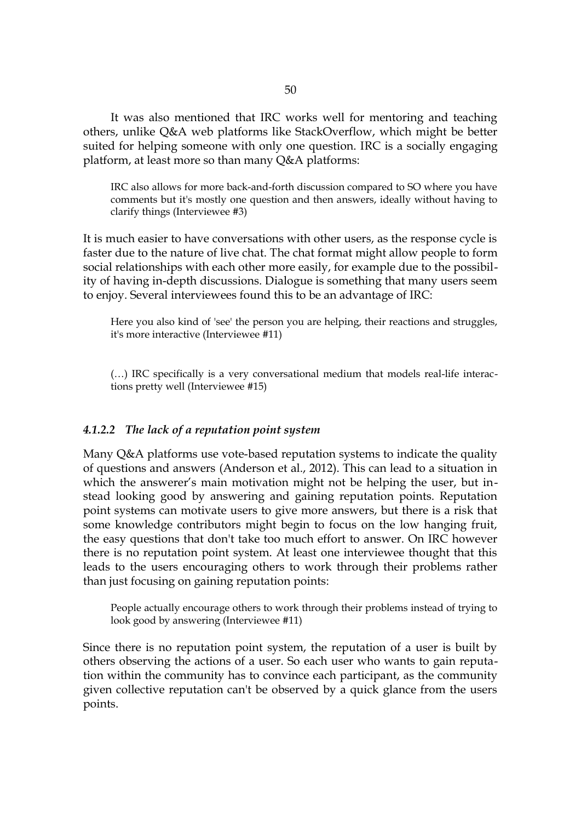It was also mentioned that IRC works well for mentoring and teaching others, unlike Q&A web platforms like StackOverflow, which might be better suited for helping someone with only one question. IRC is a socially engaging platform, at least more so than many Q&A platforms:

IRC also allows for more back-and-forth discussion compared to SO where you have comments but it's mostly one question and then answers, ideally without having to clarify things (Interviewee #3)

It is much easier to have conversations with other users, as the response cycle is faster due to the nature of live chat. The chat format might allow people to form social relationships with each other more easily, for example due to the possibility of having in-depth discussions. Dialogue is something that many users seem to enjoy. Several interviewees found this to be an advantage of IRC:

Here you also kind of 'see' the person you are helping, their reactions and struggles, it's more interactive (Interviewee #11)

(…) IRC specifically is a very conversational medium that models real-life interactions pretty well (Interviewee #15)

#### *4.1.2.2 The lack of a reputation point system*

Many Q&A platforms use vote-based reputation systems to indicate the quality of questions and answers (Anderson et al., 2012). This can lead to a situation in which the answerer's main motivation might not be helping the user, but instead looking good by answering and gaining reputation points. Reputation point systems can motivate users to give more answers, but there is a risk that some knowledge contributors might begin to focus on the low hanging fruit, the easy questions that don't take too much effort to answer. On IRC however there is no reputation point system. At least one interviewee thought that this leads to the users encouraging others to work through their problems rather than just focusing on gaining reputation points:

People actually encourage others to work through their problems instead of trying to look good by answering (Interviewee #11)

Since there is no reputation point system, the reputation of a user is built by others observing the actions of a user. So each user who wants to gain reputation within the community has to convince each participant, as the community given collective reputation can't be observed by a quick glance from the users points.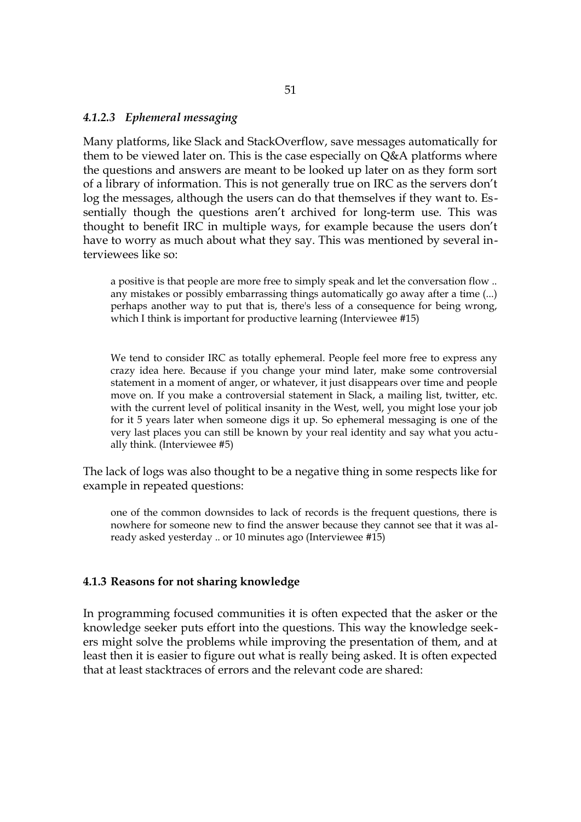#### *4.1.2.3 Ephemeral messaging*

Many platforms, like Slack and StackOverflow, save messages automatically for them to be viewed later on. This is the case especially on Q&A platforms where the questions and answers are meant to be looked up later on as they form sort of a library of information. This is not generally true on IRC as the servers don't log the messages, although the users can do that themselves if they want to. Essentially though the questions aren't archived for long-term use. This was thought to benefit IRC in multiple ways, for example because the users don't have to worry as much about what they say. This was mentioned by several interviewees like so:

a positive is that people are more free to simply speak and let the conversation flow .. any mistakes or possibly embarrassing things automatically go away after a time (...) perhaps another way to put that is, there's less of a consequence for being wrong, which I think is important for productive learning (Interviewee #15)

We tend to consider IRC as totally ephemeral. People feel more free to express any crazy idea here. Because if you change your mind later, make some controversial statement in a moment of anger, or whatever, it just disappears over time and people move on. If you make a controversial statement in Slack, a mailing list, twitter, etc. with the current level of political insanity in the West, well, you might lose your job for it 5 years later when someone digs it up. So ephemeral messaging is one of the very last places you can still be known by your real identity and say what you actually think. (Interviewee #5)

The lack of logs was also thought to be a negative thing in some respects like for example in repeated questions:

one of the common downsides to lack of records is the frequent questions, there is nowhere for someone new to find the answer because they cannot see that it was already asked yesterday .. or 10 minutes ago (Interviewee #15)

#### **4.1.3 Reasons for not sharing knowledge**

In programming focused communities it is often expected that the asker or the knowledge seeker puts effort into the questions. This way the knowledge seekers might solve the problems while improving the presentation of them, and at least then it is easier to figure out what is really being asked. It is often expected that at least stacktraces of errors and the relevant code are shared: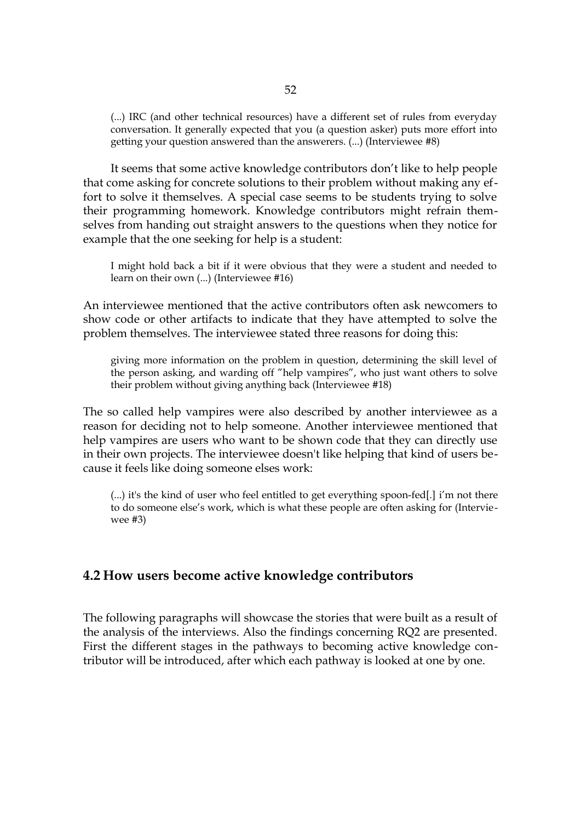(...) IRC (and other technical resources) have a different set of rules from everyday conversation. It generally expected that you (a question asker) puts more effort into getting your question answered than the answerers. (...) (Interviewee #8)

It seems that some active knowledge contributors don't like to help people that come asking for concrete solutions to their problem without making any effort to solve it themselves. A special case seems to be students trying to solve their programming homework. Knowledge contributors might refrain themselves from handing out straight answers to the questions when they notice for example that the one seeking for help is a student:

I might hold back a bit if it were obvious that they were a student and needed to learn on their own (...) (Interviewee #16)

An interviewee mentioned that the active contributors often ask newcomers to show code or other artifacts to indicate that they have attempted to solve the problem themselves. The interviewee stated three reasons for doing this:

giving more information on the problem in question, determining the skill level of the person asking, and warding off "help vampires", who just want others to solve their problem without giving anything back (Interviewee #18)

The so called help vampires were also described by another interviewee as a reason for deciding not to help someone. Another interviewee mentioned that help vampires are users who want to be shown code that they can directly use in their own projects. The interviewee doesn't like helping that kind of users because it feels like doing someone elses work:

(...) it's the kind of user who feel entitled to get everything spoon-fed[.] i'm not there to do someone else's work, which is what these people are often asking for (Interviewee #3)

## **4.2 How users become active knowledge contributors**

The following paragraphs will showcase the stories that were built as a result of the analysis of the interviews. Also the findings concerning RQ2 are presented. First the different stages in the pathways to becoming active knowledge contributor will be introduced, after which each pathway is looked at one by one.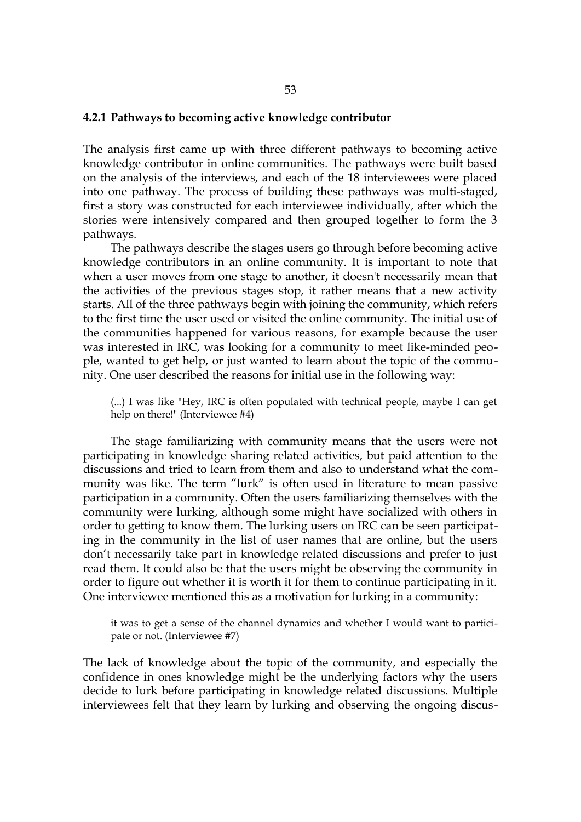#### **4.2.1 Pathways to becoming active knowledge contributor**

The analysis first came up with three different pathways to becoming active knowledge contributor in online communities. The pathways were built based on the analysis of the interviews, and each of the 18 interviewees were placed into one pathway. The process of building these pathways was multi-staged, first a story was constructed for each interviewee individually, after which the stories were intensively compared and then grouped together to form the 3 pathways.

The pathways describe the stages users go through before becoming active knowledge contributors in an online community. It is important to note that when a user moves from one stage to another, it doesn't necessarily mean that the activities of the previous stages stop, it rather means that a new activity starts. All of the three pathways begin with joining the community, which refers to the first time the user used or visited the online community. The initial use of the communities happened for various reasons, for example because the user was interested in IRC, was looking for a community to meet like-minded people, wanted to get help, or just wanted to learn about the topic of the community. One user described the reasons for initial use in the following way:

(...) I was like "Hey, IRC is often populated with technical people, maybe I can get help on there!" (Interviewee #4)

The stage familiarizing with community means that the users were not participating in knowledge sharing related activities, but paid attention to the discussions and tried to learn from them and also to understand what the community was like. The term "lurk" is often used in literature to mean passive participation in a community. Often the users familiarizing themselves with the community were lurking, although some might have socialized with others in order to getting to know them. The lurking users on IRC can be seen participating in the community in the list of user names that are online, but the users don't necessarily take part in knowledge related discussions and prefer to just read them. It could also be that the users might be observing the community in order to figure out whether it is worth it for them to continue participating in it. One interviewee mentioned this as a motivation for lurking in a community:

it was to get a sense of the channel dynamics and whether I would want to participate or not. (Interviewee #7)

The lack of knowledge about the topic of the community, and especially the confidence in ones knowledge might be the underlying factors why the users decide to lurk before participating in knowledge related discussions. Multiple interviewees felt that they learn by lurking and observing the ongoing discus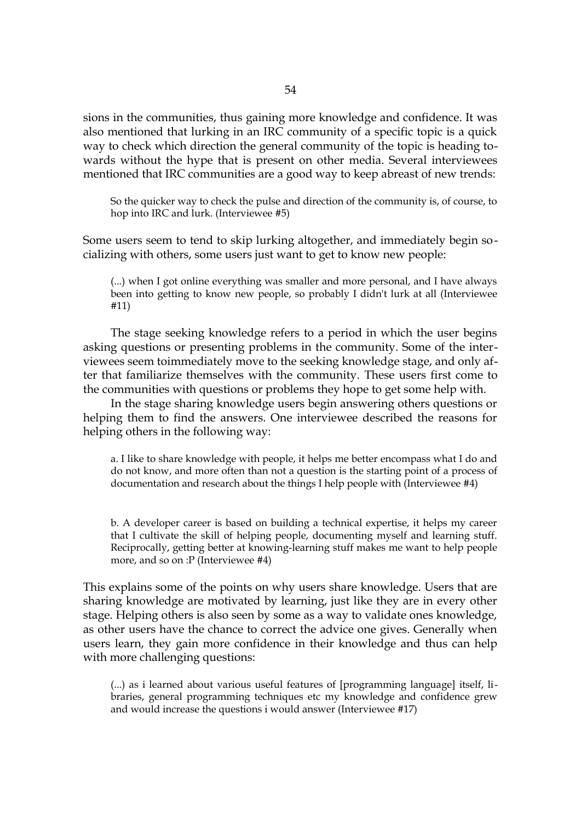sions in the communities, thus gaining more knowledge and confidence. It was also mentioned that lurking in an IRC community of a specific topic is a quick way to check which direction the general community of the topic is heading towards without the hype that is present on other media. Several interviewees mentioned that IRC communities are a good way to keep abreast of new trends:

So the quicker way to check the pulse and direction of the community is, of course, to hop into IRC and lurk. (Interviewee #5)

Some users seem to tend to skip lurking altogether, and immediately begin socializing with others, some users just want to get to know new people:

(...) when I got online everything was smaller and more personal, and I have always been into getting to know new people, so probably I didn't lurk at all (Interviewee #11)

The stage seeking knowledge refers to a period in which the user begins asking questions or presenting problems in the community. Some of the interviewees seem toimmediately move to the seeking knowledge stage, and only after that familiarize themselves with the community. These users first come to the communities with questions or problems they hope to get some help with.

In the stage sharing knowledge users begin answering others questions or helping them to find the answers. One interviewee described the reasons for helping others in the following way:

a. I like to share knowledge with people, it helps me better encompass what I do and do not know, and more often than not a question is the starting point of a process of documentation and research about the things I help people with (Interviewee #4)

b. A developer career is based on building a technical expertise, it helps my career that I cultivate the skill of helping people, documenting myself and learning stuff. Reciprocally, getting better at knowing-learning stuff makes me want to help people more, and so on :P (Interviewee #4)

This explains some of the points on why users share knowledge. Users that are sharing knowledge are motivated by learning, just like they are in every other stage. Helping others is also seen by some as a way to validate ones knowledge, as other users have the chance to correct the advice one gives. Generally when users learn, they gain more confidence in their knowledge and thus can help with more challenging questions:

(...) as i learned about various useful features of [programming language] itself, libraries, general programming techniques etc my knowledge and confidence grew and would increase the questions i would answer (Interviewee #17)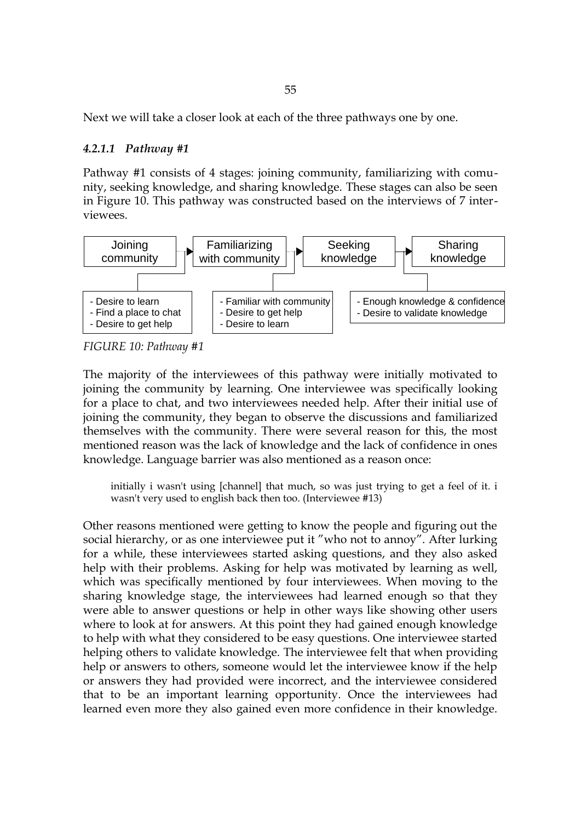Next we will take a closer look at each of the three pathways one by one.

#### *4.2.1.1 Pathway #1*

Pathway #1 consists of 4 stages: joining community, familiarizing with comunity, seeking knowledge, and sharing knowledge. These stages can also be seen in Figure [10.](#page-54-0) This pathway was constructed based on the interviews of 7 interviewees.



<span id="page-54-0"></span>*FIGURE 10: Pathway #1*

The majority of the interviewees of this pathway were initially motivated to joining the community by learning. One interviewee was specifically looking for a place to chat, and two interviewees needed help. After their initial use of joining the community, they began to observe the discussions and familiarized themselves with the community*.* There were several reason for this, the most mentioned reason was the lack of knowledge and the lack of confidence in ones knowledge. Language barrier was also mentioned as a reason once:

initially i wasn't using [channel] that much, so was just trying to get a feel of it. i wasn't very used to english back then too. (Interviewee #13)

Other reasons mentioned were getting to know the people and figuring out the social hierarchy, or as one interviewee put it "who not to annoy". After lurking for a while, these interviewees started asking questions, and they also asked help with their problems. Asking for help was motivated by learning as well, which was specifically mentioned by four interviewees. When moving to the sharing knowledge stage, the interviewees had learned enough so that they were able to answer questions or help in other ways like showing other users where to look at for answers. At this point they had gained enough knowledge to help with what they considered to be easy questions. One interviewee started helping others to validate knowledge. The interviewee felt that when providing help or answers to others, someone would let the interviewee know if the help or answers they had provided were incorrect, and the interviewee considered that to be an important learning opportunity. Once the interviewees had learned even more they also gained even more confidence in their knowledge.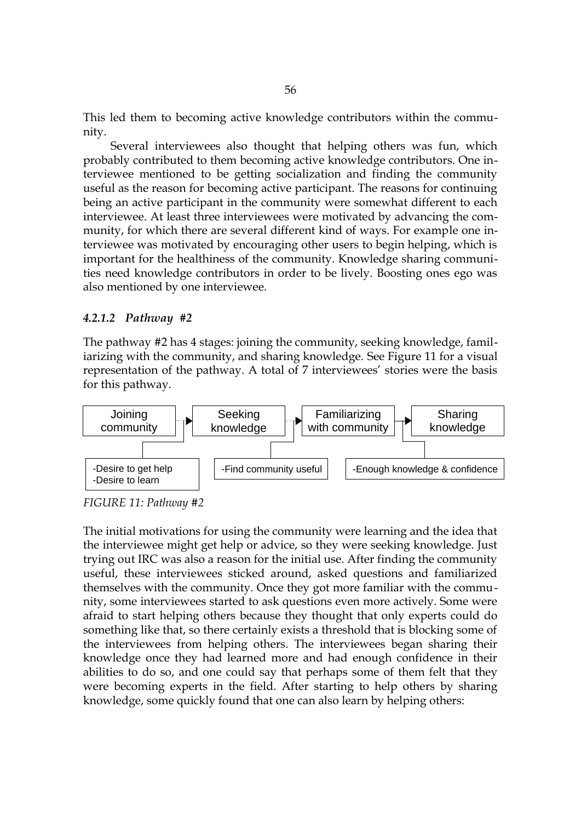This led them to becoming active knowledge contributors within the community.

Several interviewees also thought that helping others was fun, which probably contributed to them becoming active knowledge contributors. One interviewee mentioned to be getting socialization and finding the community useful as the reason for becoming active participant. The reasons for continuing being an active participant in the community were somewhat different to each interviewee. At least three interviewees were motivated by advancing the community, for which there are several different kind of ways. For example one interviewee was motivated by encouraging other users to begin helping, which is important for the healthiness of the community. Knowledge sharing communities need knowledge contributors in order to be lively. Boosting ones ego was also mentioned by one interviewee.

#### *4.2.1.2 Pathway #2*

The pathway #2 has 4 stages: joining the community, seeking knowledge, familiarizing with the community, and sharing knowledge. See Figure [11](#page-55-0) for a visual representation of the pathway. A total of 7 interviewees' stories were the basis for this pathway.



<span id="page-55-0"></span>*FIGURE 11: Pathway #2*

The initial motivations for using the community were learning and the idea that the interviewee might get help or advice, so they were seeking knowledge. Just trying out IRC was also a reason for the initial use. After finding the community useful, these interviewees sticked around, asked questions and familiarized themselves with the community. Once they got more familiar with the community, some interviewees started to ask questions even more actively. Some were afraid to start helping others because they thought that only experts could do something like that, so there certainly exists a threshold that is blocking some of the interviewees from helping others. The interviewees began sharing their knowledge once they had learned more and had enough confidence in their abilities to do so, and one could say that perhaps some of them felt that they were becoming experts in the field. After starting to help others by sharing knowledge, some quickly found that one can also learn by helping others: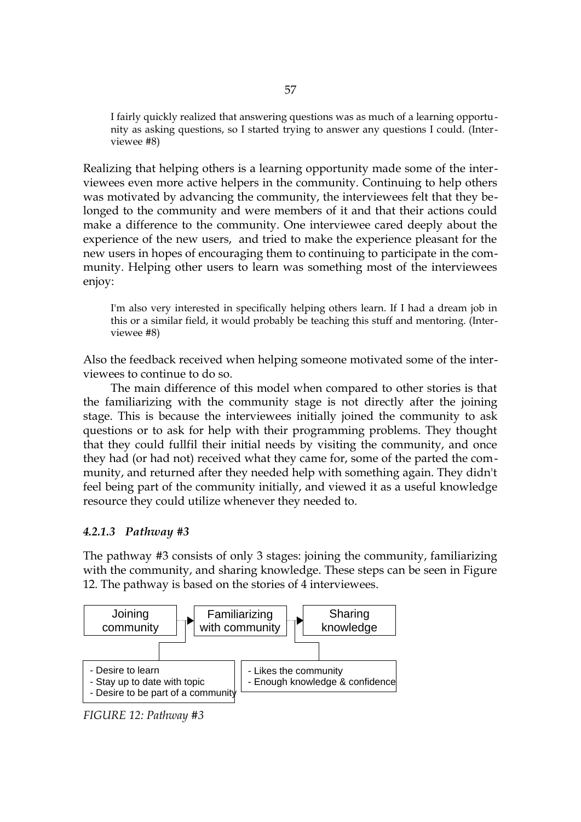I fairly quickly realized that answering questions was as much of a learning opportunity as asking questions, so I started trying to answer any questions I could. (Interviewee #8)

Realizing that helping others is a learning opportunity made some of the interviewees even more active helpers in the community. Continuing to help others was motivated by advancing the community, the interviewees felt that they belonged to the community and were members of it and that their actions could make a difference to the community. One interviewee cared deeply about the experience of the new users, and tried to make the experience pleasant for the new users in hopes of encouraging them to continuing to participate in the community. Helping other users to learn was something most of the interviewees enjoy:

I'm also very interested in specifically helping others learn. If I had a dream job in this or a similar field, it would probably be teaching this stuff and mentoring. (Interviewee #8)

Also the feedback received when helping someone motivated some of the interviewees to continue to do so.

The main difference of this model when compared to other stories is that the familiarizing with the community stage is not directly after the joining stage. This is because the interviewees initially joined the community to ask questions or to ask for help with their programming problems. They thought that they could fullfil their initial needs by visiting the community, and once they had (or had not) received what they came for, some of the parted the community, and returned after they needed help with something again. They didn't feel being part of the community initially, and viewed it as a useful knowledge resource they could utilize whenever they needed to.

#### *4.2.1.3 Pathway #3*

The pathway #3 consists of only 3 stages: joining the community, familiarizing with the community, and sharing knowledge. These steps can be seen in Figure [12.](#page-56-0) The pathway is based on the stories of 4 interviewees.



<span id="page-56-0"></span>*FIGURE 12: Pathway #3*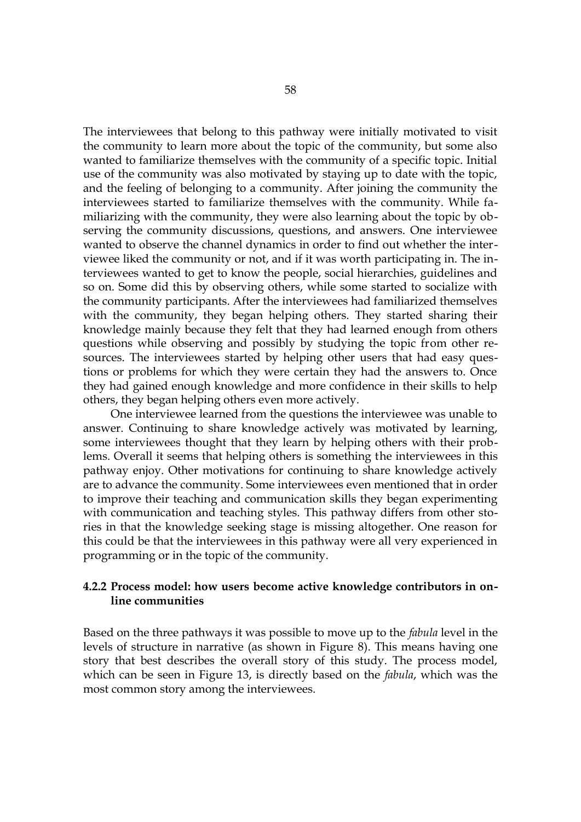The interviewees that belong to this pathway were initially motivated to visit the community to learn more about the topic of the community, but some also wanted to familiarize themselves with the community of a specific topic. Initial use of the community was also motivated by staying up to date with the topic, and the feeling of belonging to a community. After joining the community the interviewees started to familiarize themselves with the community. While familiarizing with the community, they were also learning about the topic by observing the community discussions, questions, and answers. One interviewee wanted to observe the channel dynamics in order to find out whether the interviewee liked the community or not, and if it was worth participating in. The interviewees wanted to get to know the people, social hierarchies, guidelines and so on. Some did this by observing others, while some started to socialize with the community participants. After the interviewees had familiarized themselves with the community, they began helping others. They started sharing their knowledge mainly because they felt that they had learned enough from others questions while observing and possibly by studying the topic from other resources. The interviewees started by helping other users that had easy questions or problems for which they were certain they had the answers to. Once they had gained enough knowledge and more confidence in their skills to help others, they began helping others even more actively.

One interviewee learned from the questions the interviewee was unable to answer. Continuing to share knowledge actively was motivated by learning, some interviewees thought that they learn by helping others with their problems. Overall it seems that helping others is something the interviewees in this pathway enjoy. Other motivations for continuing to share knowledge actively are to advance the community. Some interviewees even mentioned that in order to improve their teaching and communication skills they began experimenting with communication and teaching styles. This pathway differs from other stories in that the knowledge seeking stage is missing altogether. One reason for this could be that the interviewees in this pathway were all very experienced in programming or in the topic of the community.

#### **4.2.2 Process model: how users become active knowledge contributors in online communities**

Based on the three pathways it was possible to move up to the *fabula* level in the levels of structure in narrative (as shown in Figure [8\)](#page-38-0). This means having one story that best describes the overall story of this study. The process model, which can be seen in Figure [13,](#page-58-0) is directly based on the *fabula*, which was the most common story among the interviewees.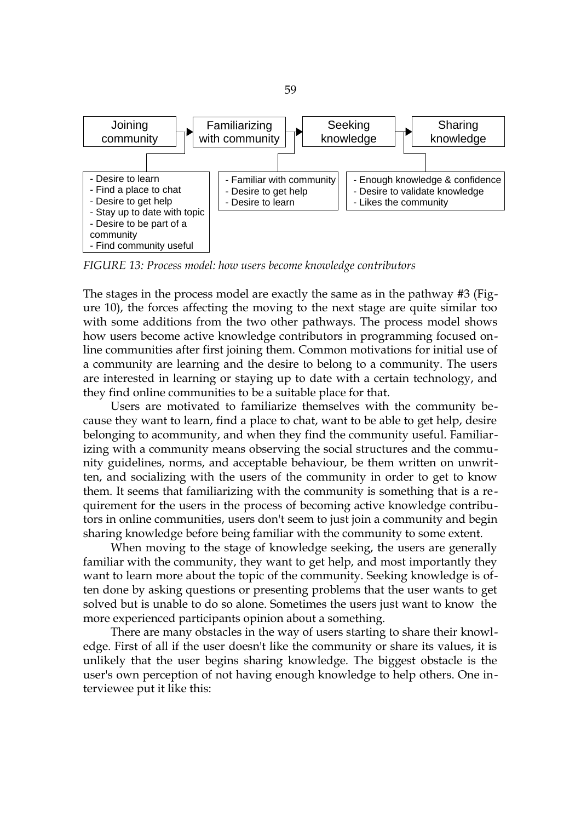

<span id="page-58-0"></span>*FIGURE 13: Process model: how users become knowledge contributors*

The stages in the process model are exactly the same as in the pathway #3 (Figure [10\)](#page-54-0), the forces affecting the moving to the next stage are quite similar too with some additions from the two other pathways. The process model shows how users become active knowledge contributors in programming focused online communities after first joining them. Common motivations for initial use of a community are learning and the desire to belong to a community. The users are interested in learning or staying up to date with a certain technology, and they find online communities to be a suitable place for that.

Users are motivated to familiarize themselves with the community because they want to learn, find a place to chat, want to be able to get help, desire belonging to acommunity, and when they find the community useful. Familiarizing with a community means observing the social structures and the community guidelines, norms, and acceptable behaviour, be them written on unwritten, and socializing with the users of the community in order to get to know them. It seems that familiarizing with the community is something that is a requirement for the users in the process of becoming active knowledge contributors in online communities, users don't seem to just join a community and begin sharing knowledge before being familiar with the community to some extent.

When moving to the stage of knowledge seeking, the users are generally familiar with the community, they want to get help, and most importantly they want to learn more about the topic of the community. Seeking knowledge is often done by asking questions or presenting problems that the user wants to get solved but is unable to do so alone. Sometimes the users just want to know the more experienced participants opinion about a something.

There are many obstacles in the way of users starting to share their knowledge. First of all if the user doesn't like the community or share its values, it is unlikely that the user begins sharing knowledge. The biggest obstacle is the user's own perception of not having enough knowledge to help others. One interviewee put it like this: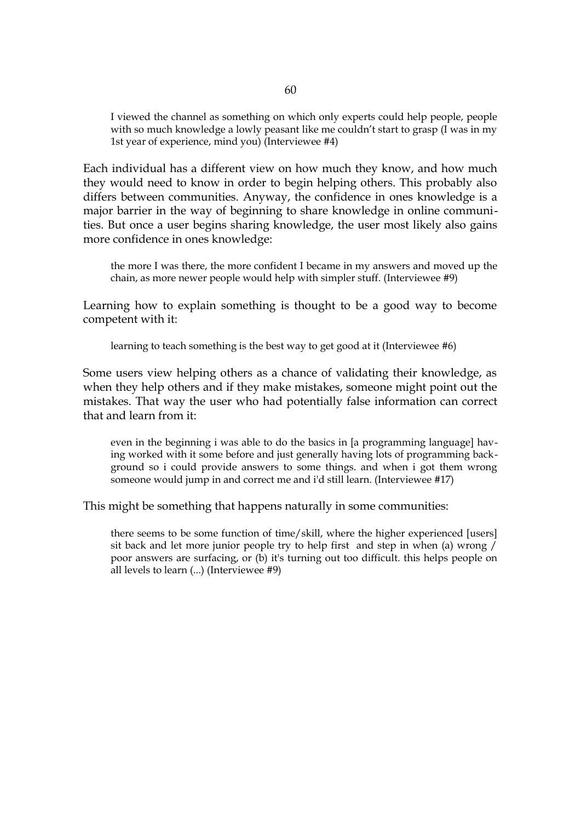I viewed the channel as something on which only experts could help people, people with so much knowledge a lowly peasant like me couldn't start to grasp (I was in my 1st year of experience, mind you) (Interviewee #4)

Each individual has a different view on how much they know, and how much they would need to know in order to begin helping others. This probably also differs between communities. Anyway, the confidence in ones knowledge is a major barrier in the way of beginning to share knowledge in online communities. But once a user begins sharing knowledge, the user most likely also gains more confidence in ones knowledge:

the more I was there, the more confident I became in my answers and moved up the chain, as more newer people would help with simpler stuff. (Interviewee #9)

Learning how to explain something is thought to be a good way to become competent with it:

learning to teach something is the best way to get good at it (Interviewee #6)

Some users view helping others as a chance of validating their knowledge, as when they help others and if they make mistakes, someone might point out the mistakes. That way the user who had potentially false information can correct that and learn from it:

even in the beginning i was able to do the basics in [a programming language] having worked with it some before and just generally having lots of programming background so i could provide answers to some things. and when i got them wrong someone would jump in and correct me and i'd still learn. (Interviewee #17)

This might be something that happens naturally in some communities:

there seems to be some function of time/skill, where the higher experienced [users] sit back and let more junior people try to help first and step in when (a) wrong / poor answers are surfacing, or (b) it's turning out too difficult. this helps people on all levels to learn (...) (Interviewee #9)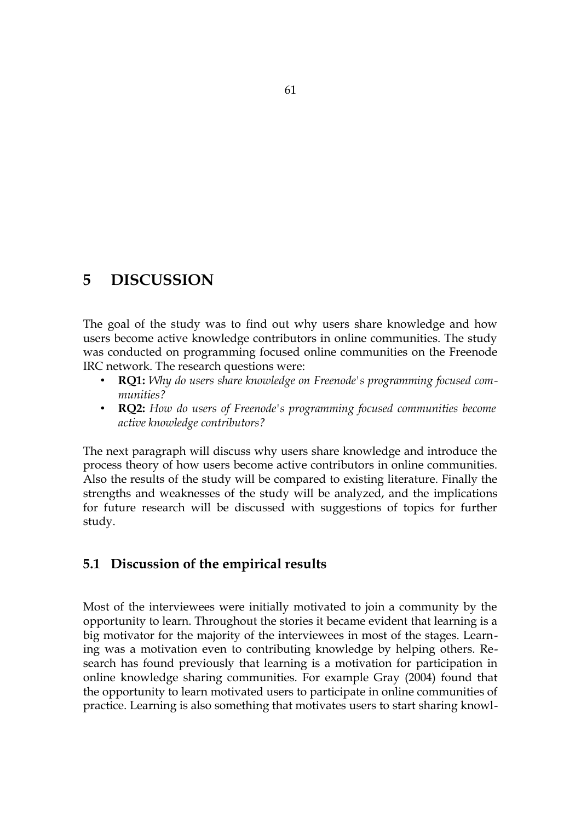# **5 DISCUSSION**

The goal of the study was to find out why users share knowledge and how users become active knowledge contributors in online communities. The study was conducted on programming focused online communities on the Freenode IRC network. The research questions were:

- **RQ1:** *Why do users share knowledge on Freenode's programming focused communities?*
- **RQ2:** *How do users of Freenode's programming focused communities become active knowledge contributors?*

The next paragraph will discuss why users share knowledge and introduce the process theory of how users become active contributors in online communities. Also the results of the study will be compared to existing literature. Finally the strengths and weaknesses of the study will be analyzed, and the implications for future research will be discussed with suggestions of topics for further study.

# **5.1 Discussion of the empirical results**

Most of the interviewees were initially motivated to join a community by the opportunity to learn. Throughout the stories it became evident that learning is a big motivator for the majority of the interviewees in most of the stages. Learning was a motivation even to contributing knowledge by helping others. Research has found previously that learning is a motivation for participation in online knowledge sharing communities. For example Gray (2004) found that the opportunity to learn motivated users to participate in online communities of practice. Learning is also something that motivates users to start sharing knowl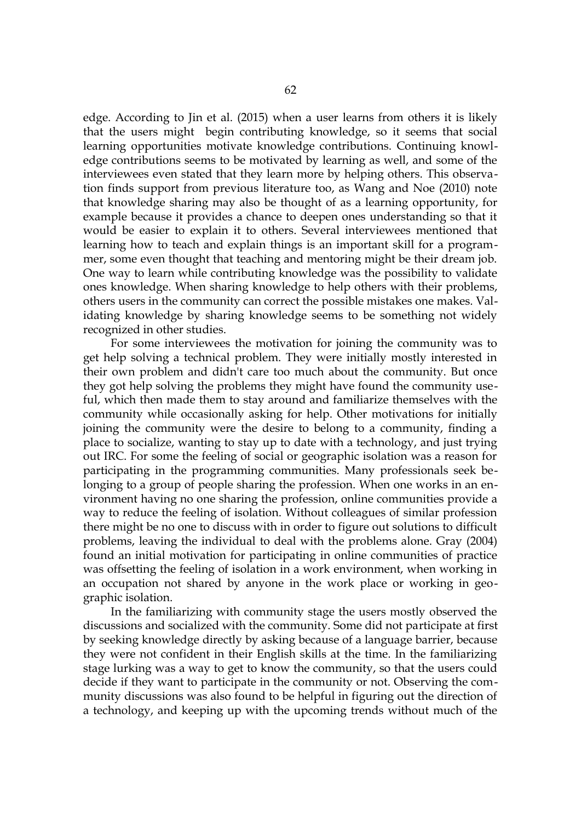edge. According to Jin et al. (2015) when a user learns from others it is likely that the users might begin contributing knowledge, so it seems that social learning opportunities motivate knowledge contributions. Continuing knowledge contributions seems to be motivated by learning as well, and some of the interviewees even stated that they learn more by helping others. This observation finds support from previous literature too, as Wang and Noe (2010) note that knowledge sharing may also be thought of as a learning opportunity, for example because it provides a chance to deepen ones understanding so that it would be easier to explain it to others. Several interviewees mentioned that learning how to teach and explain things is an important skill for a programmer, some even thought that teaching and mentoring might be their dream job. One way to learn while contributing knowledge was the possibility to validate ones knowledge. When sharing knowledge to help others with their problems, others users in the community can correct the possible mistakes one makes. Validating knowledge by sharing knowledge seems to be something not widely recognized in other studies.

For some interviewees the motivation for joining the community was to get help solving a technical problem. They were initially mostly interested in their own problem and didn't care too much about the community. But once they got help solving the problems they might have found the community useful, which then made them to stay around and familiarize themselves with the community while occasionally asking for help. Other motivations for initially joining the community were the desire to belong to a community, finding a place to socialize, wanting to stay up to date with a technology, and just trying out IRC. For some the feeling of social or geographic isolation was a reason for participating in the programming communities. Many professionals seek belonging to a group of people sharing the profession. When one works in an environment having no one sharing the profession, online communities provide a way to reduce the feeling of isolation. Without colleagues of similar profession there might be no one to discuss with in order to figure out solutions to difficult problems, leaving the individual to deal with the problems alone. Gray (2004) found an initial motivation for participating in online communities of practice was offsetting the feeling of isolation in a work environment, when working in an occupation not shared by anyone in the work place or working in geographic isolation.

In the familiarizing with community stage the users mostly observed the discussions and socialized with the community. Some did not participate at first by seeking knowledge directly by asking because of a language barrier, because they were not confident in their English skills at the time. In the familiarizing stage lurking was a way to get to know the community, so that the users could decide if they want to participate in the community or not. Observing the community discussions was also found to be helpful in figuring out the direction of a technology, and keeping up with the upcoming trends without much of the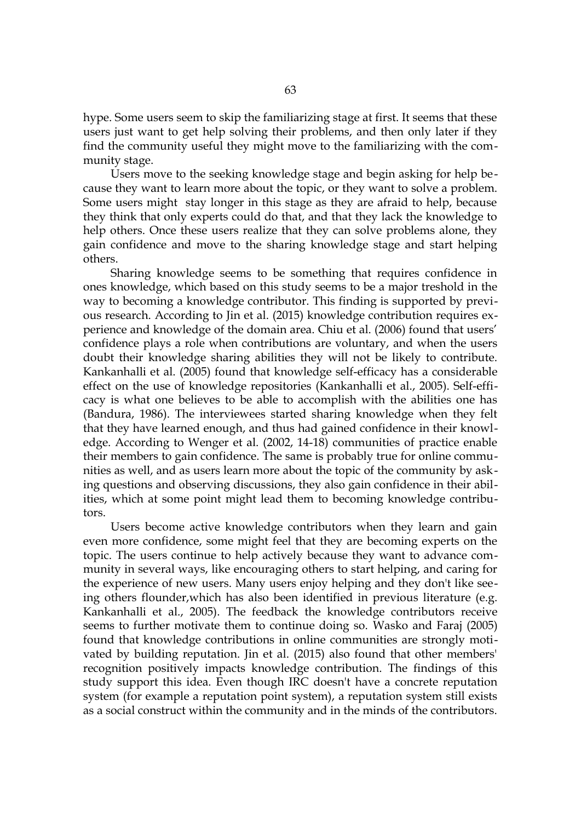hype. Some users seem to skip the familiarizing stage at first. It seems that these users just want to get help solving their problems, and then only later if they find the community useful they might move to the familiarizing with the community stage.

Users move to the seeking knowledge stage and begin asking for help because they want to learn more about the topic, or they want to solve a problem. Some users might stay longer in this stage as they are afraid to help, because they think that only experts could do that, and that they lack the knowledge to help others. Once these users realize that they can solve problems alone, they gain confidence and move to the sharing knowledge stage and start helping others.

Sharing knowledge seems to be something that requires confidence in ones knowledge, which based on this study seems to be a major treshold in the way to becoming a knowledge contributor. This finding is supported by previous research. According to Jin et al. (2015) knowledge contribution requires experience and knowledge of the domain area. Chiu et al. (2006) found that users' confidence plays a role when contributions are voluntary, and when the users doubt their knowledge sharing abilities they will not be likely to contribute. Kankanhalli et al. (2005) found that knowledge self-efficacy has a considerable effect on the use of knowledge repositories (Kankanhalli et al., 2005). Self-efficacy is what one believes to be able to accomplish with the abilities one has (Bandura, 1986). The interviewees started sharing knowledge when they felt that they have learned enough, and thus had gained confidence in their knowledge. According to Wenger et al. (2002, 14-18) communities of practice enable their members to gain confidence. The same is probably true for online communities as well, and as users learn more about the topic of the community by asking questions and observing discussions, they also gain confidence in their abilities, which at some point might lead them to becoming knowledge contributors.

Users become active knowledge contributors when they learn and gain even more confidence, some might feel that they are becoming experts on the topic. The users continue to help actively because they want to advance community in several ways, like encouraging others to start helping, and caring for the experience of new users. Many users enjoy helping and they don't like seeing others flounder,which has also been identified in previous literature (e.g. Kankanhalli et al., 2005). The feedback the knowledge contributors receive seems to further motivate them to continue doing so. Wasko and Faraj (2005) found that knowledge contributions in online communities are strongly motivated by building reputation. Jin et al. (2015) also found that other members' recognition positively impacts knowledge contribution. The findings of this study support this idea. Even though IRC doesn't have a concrete reputation system (for example a reputation point system), a reputation system still exists as a social construct within the community and in the minds of the contributors.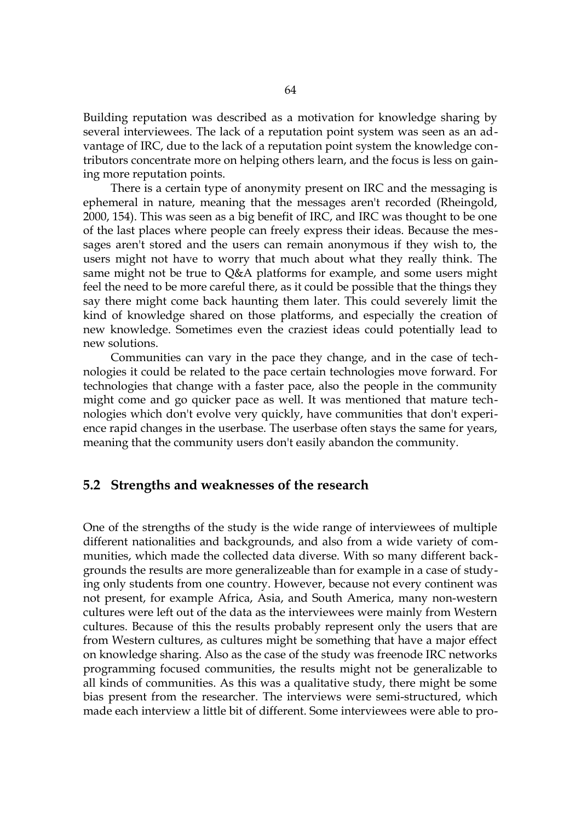Building reputation was described as a motivation for knowledge sharing by several interviewees. The lack of a reputation point system was seen as an advantage of IRC, due to the lack of a reputation point system the knowledge contributors concentrate more on helping others learn, and the focus is less on gaining more reputation points.

There is a certain type of anonymity present on IRC and the messaging is ephemeral in nature, meaning that the messages aren't recorded (Rheingold, 2000, 154). This was seen as a big benefit of IRC, and IRC was thought to be one of the last places where people can freely express their ideas. Because the messages aren't stored and the users can remain anonymous if they wish to, the users might not have to worry that much about what they really think. The same might not be true to Q&A platforms for example, and some users might feel the need to be more careful there, as it could be possible that the things they say there might come back haunting them later. This could severely limit the kind of knowledge shared on those platforms, and especially the creation of new knowledge. Sometimes even the craziest ideas could potentially lead to new solutions.

Communities can vary in the pace they change, and in the case of technologies it could be related to the pace certain technologies move forward. For technologies that change with a faster pace, also the people in the community might come and go quicker pace as well. It was mentioned that mature technologies which don't evolve very quickly, have communities that don't experience rapid changes in the userbase. The userbase often stays the same for years, meaning that the community users don't easily abandon the community.

#### **5.2 Strengths and weaknesses of the research**

One of the strengths of the study is the wide range of interviewees of multiple different nationalities and backgrounds, and also from a wide variety of communities, which made the collected data diverse. With so many different backgrounds the results are more generalizeable than for example in a case of studying only students from one country. However, because not every continent was not present, for example Africa, Asia, and South America, many non-western cultures were left out of the data as the interviewees were mainly from Western cultures. Because of this the results probably represent only the users that are from Western cultures, as cultures might be something that have a major effect on knowledge sharing. Also as the case of the study was freenode IRC networks programming focused communities, the results might not be generalizable to all kinds of communities. As this was a qualitative study, there might be some bias present from the researcher. The interviews were semi-structured, which made each interview a little bit of different. Some interviewees were able to pro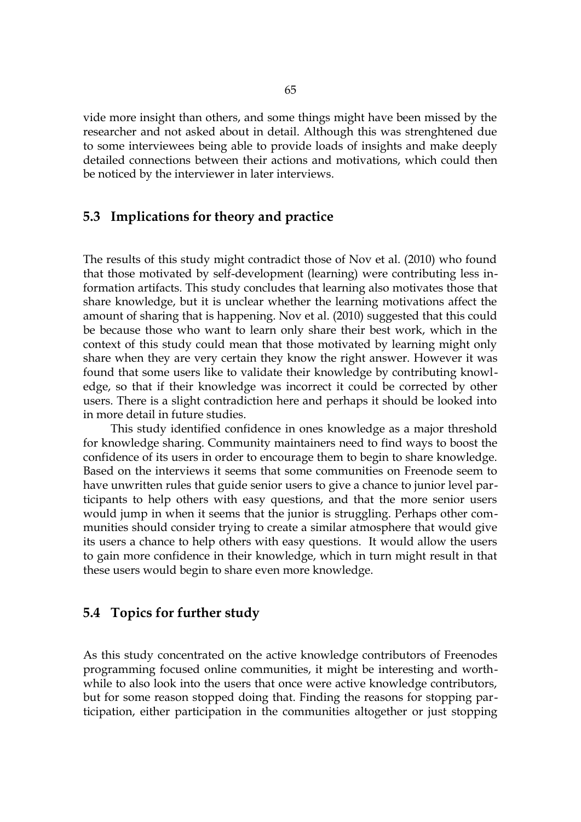vide more insight than others, and some things might have been missed by the researcher and not asked about in detail. Although this was strenghtened due to some interviewees being able to provide loads of insights and make deeply detailed connections between their actions and motivations, which could then be noticed by the interviewer in later interviews.

## **5.3 Implications for theory and practice**

The results of this study might contradict those of Nov et al. (2010) who found that those motivated by self-development (learning) were contributing less information artifacts. This study concludes that learning also motivates those that share knowledge, but it is unclear whether the learning motivations affect the amount of sharing that is happening. Nov et al. (2010) suggested that this could be because those who want to learn only share their best work, which in the context of this study could mean that those motivated by learning might only share when they are very certain they know the right answer. However it was found that some users like to validate their knowledge by contributing knowledge, so that if their knowledge was incorrect it could be corrected by other users. There is a slight contradiction here and perhaps it should be looked into in more detail in future studies.

This study identified confidence in ones knowledge as a major threshold for knowledge sharing. Community maintainers need to find ways to boost the confidence of its users in order to encourage them to begin to share knowledge. Based on the interviews it seems that some communities on Freenode seem to have unwritten rules that guide senior users to give a chance to junior level participants to help others with easy questions, and that the more senior users would jump in when it seems that the junior is struggling. Perhaps other communities should consider trying to create a similar atmosphere that would give its users a chance to help others with easy questions. It would allow the users to gain more confidence in their knowledge, which in turn might result in that these users would begin to share even more knowledge.

#### **5.4 Topics for further study**

As this study concentrated on the active knowledge contributors of Freenodes programming focused online communities, it might be interesting and worthwhile to also look into the users that once were active knowledge contributors, but for some reason stopped doing that. Finding the reasons for stopping participation, either participation in the communities altogether or just stopping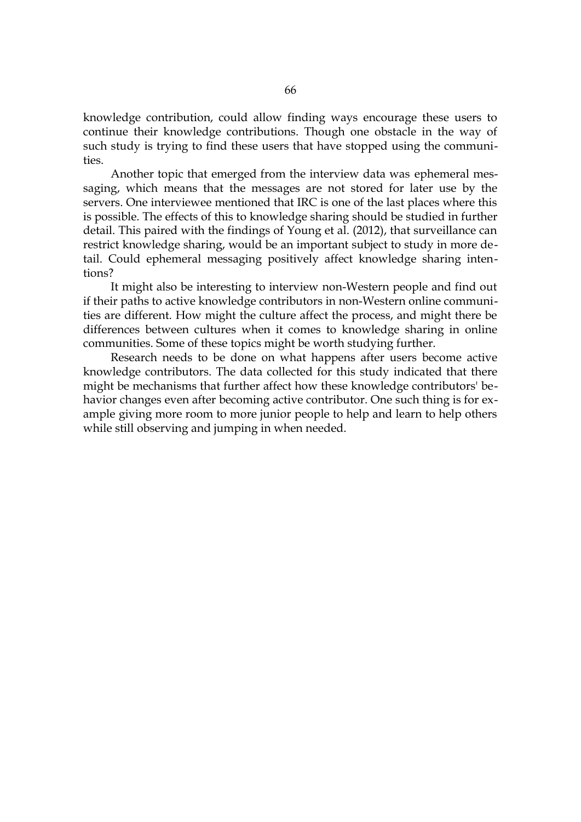knowledge contribution, could allow finding ways encourage these users to continue their knowledge contributions. Though one obstacle in the way of such study is trying to find these users that have stopped using the communities.

Another topic that emerged from the interview data was ephemeral messaging, which means that the messages are not stored for later use by the servers. One interviewee mentioned that IRC is one of the last places where this is possible. The effects of this to knowledge sharing should be studied in further detail. This paired with the findings of Young et al. (2012), that surveillance can restrict knowledge sharing, would be an important subject to study in more detail. Could ephemeral messaging positively affect knowledge sharing intentions?

It might also be interesting to interview non-Western people and find out if their paths to active knowledge contributors in non-Western online communities are different. How might the culture affect the process, and might there be differences between cultures when it comes to knowledge sharing in online communities. Some of these topics might be worth studying further.

Research needs to be done on what happens after users become active knowledge contributors. The data collected for this study indicated that there might be mechanisms that further affect how these knowledge contributors' behavior changes even after becoming active contributor. One such thing is for example giving more room to more junior people to help and learn to help others while still observing and jumping in when needed.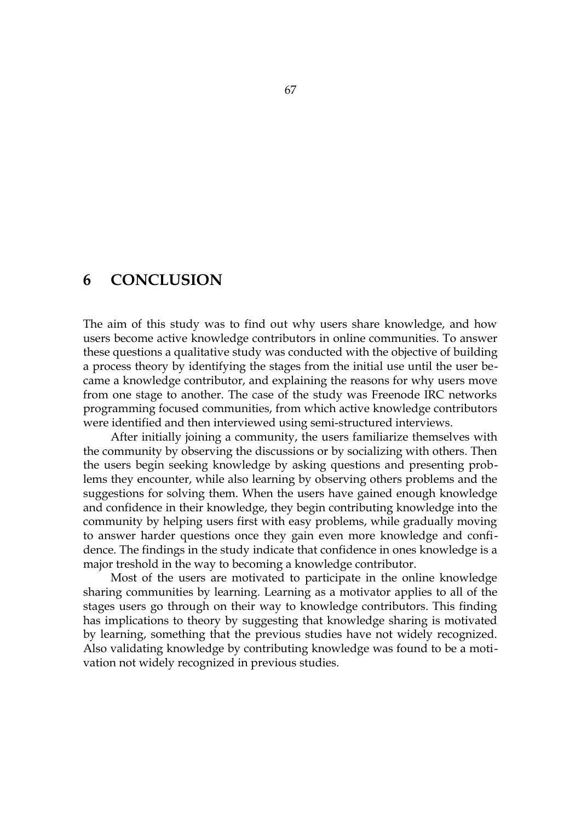# **6 CONCLUSION**

The aim of this study was to find out why users share knowledge, and how users become active knowledge contributors in online communities. To answer these questions a qualitative study was conducted with the objective of building a process theory by identifying the stages from the initial use until the user became a knowledge contributor, and explaining the reasons for why users move from one stage to another. The case of the study was Freenode IRC networks programming focused communities, from which active knowledge contributors were identified and then interviewed using semi-structured interviews.

After initially joining a community, the users familiarize themselves with the community by observing the discussions or by socializing with others. Then the users begin seeking knowledge by asking questions and presenting problems they encounter, while also learning by observing others problems and the suggestions for solving them. When the users have gained enough knowledge and confidence in their knowledge, they begin contributing knowledge into the community by helping users first with easy problems, while gradually moving to answer harder questions once they gain even more knowledge and confidence. The findings in the study indicate that confidence in ones knowledge is a major treshold in the way to becoming a knowledge contributor.

Most of the users are motivated to participate in the online knowledge sharing communities by learning. Learning as a motivator applies to all of the stages users go through on their way to knowledge contributors. This finding has implications to theory by suggesting that knowledge sharing is motivated by learning, something that the previous studies have not widely recognized. Also validating knowledge by contributing knowledge was found to be a motivation not widely recognized in previous studies.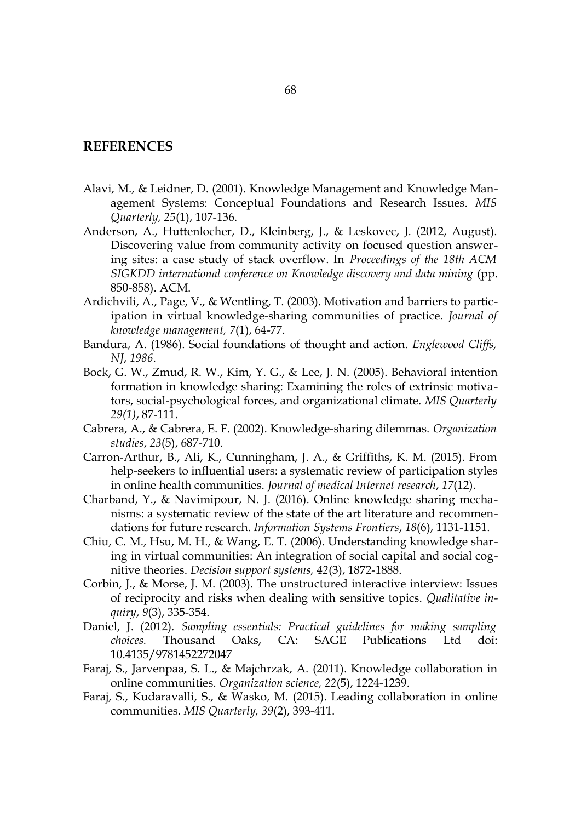#### **REFERENCES**

- Alavi, M., & Leidner, D. (2001). Knowledge Management and Knowledge Management Systems: Conceptual Foundations and Research Issues. *MIS Quarterly, 25*(1), 107-136.
- Anderson, A., Huttenlocher, D., Kleinberg, J., & Leskovec, J. (2012, August). Discovering value from community activity on focused question answering sites: a case study of stack overflow. In *Proceedings of the 18th ACM SIGKDD international conference on Knowledge discovery and data mining* (pp. 850-858). ACM.
- Ardichvili, A., Page, V., & Wentling, T. (2003). Motivation and barriers to participation in virtual knowledge-sharing communities of practice. *Journal of knowledge management, 7*(1), 64-77.
- Bandura, A. (1986). Social foundations of thought and action. *Englewood Cliffs, NJ*, *1986*.
- Bock, G. W., Zmud, R. W., Kim, Y. G., & Lee, J. N. (2005). Behavioral intention formation in knowledge sharing: Examining the roles of extrinsic motivators, social-psychological forces, and organizational climate. *MIS Quarterly 29(1)*, 87-111.
- Cabrera, A., & Cabrera, E. F. (2002). Knowledge-sharing dilemmas. *Organization studies*, *23*(5), 687-710.
- Carron-Arthur, B., Ali, K., Cunningham, J. A., & Griffiths, K. M. (2015). From help-seekers to influential users: a systematic review of participation styles in online health communities. *Journal of medical Internet research*, *17*(12).
- Charband, Y., & Navimipour, N. J. (2016). Online knowledge sharing mechanisms: a systematic review of the state of the art literature and recommendations for future research. *Information Systems Frontiers*, *18*(6), 1131-1151.
- Chiu, C. M., Hsu, M. H., & Wang, E. T. (2006). Understanding knowledge sharing in virtual communities: An integration of social capital and social cognitive theories. *Decision support systems, 42*(3), 1872-1888.
- Corbin, J., & Morse, J. M. (2003). The unstructured interactive interview: Issues of reciprocity and risks when dealing with sensitive topics. *Qualitative inquiry*, *9*(3), 335-354.
- Daniel, J. (2012). *Sampling essentials: Practical guidelines for making sampling choices.* Thousand Oaks, CA: SAGE Publications Ltd doi: 10.4135/9781452272047
- Faraj, S., Jarvenpaa, S. L., & Majchrzak, A. (2011). Knowledge collaboration in online communities. *Organization science, 22*(5), 1224-1239.
- Faraj, S., Kudaravalli, S., & Wasko, M. (2015). Leading collaboration in online communities. *MIS Quarterly, 39*(2), 393-411.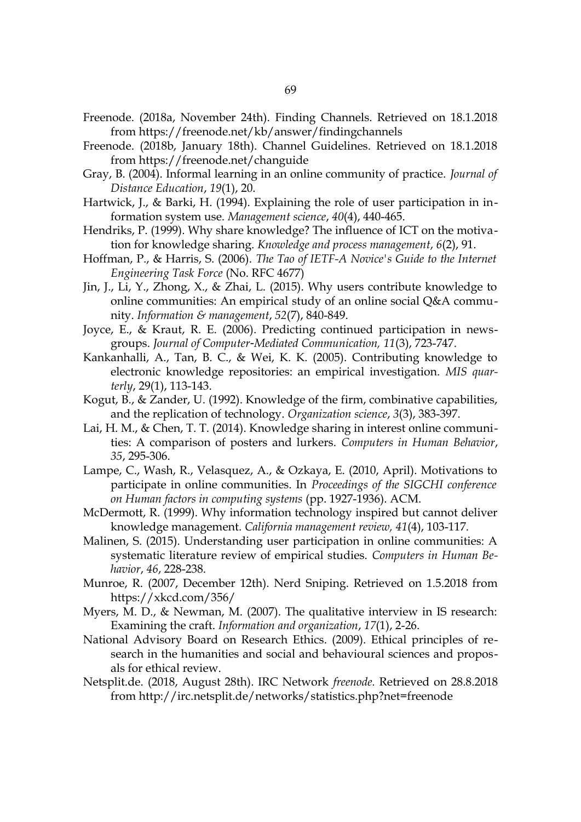- Freenode. (2018a, November 24th). Finding Channels. Retrieved on 18.1.2018 from https://freenode.net/kb/answer/findingchannels
- Freenode. (2018b, January 18th). Channel Guidelines. Retrieved on 18.1.2018 from https://freenode.net/changuide
- Gray, B. (2004). Informal learning in an online community of practice. *Journal of Distance Education*, *19*(1), 20.
- Hartwick, J., & Barki, H. (1994). Explaining the role of user participation in information system use. *Management science*, *40*(4), 440-465.
- Hendriks, P. (1999). Why share knowledge? The influence of ICT on the motivation for knowledge sharing. *Knowledge and process management*, *6*(2), 91.
- Hoffman, P., & Harris, S. (2006). *The Tao of IETF-A Novice's Guide to the Internet Engineering Task Force* (No. RFC 4677)
- Jin, J., Li, Y., Zhong, X., & Zhai, L. (2015). Why users contribute knowledge to online communities: An empirical study of an online social Q&A community. *Information & management*, *52*(7), 840-849.
- Joyce, E., & Kraut, R. E. (2006). Predicting continued participation in newsgroups. *Journal of Computer-Mediated Communication*, 11(3), 723-747.
- Kankanhalli, A., Tan, B. C., & Wei, K. K. (2005). Contributing knowledge to electronic knowledge repositories: an empirical investigation. *MIS quarterly*, 29(1), 113-143.
- Kogut, B., & Zander, U. (1992). Knowledge of the firm, combinative capabilities, and the replication of technology. *Organization science*, *3*(3), 383-397.
- Lai, H. M., & Chen, T. T. (2014). Knowledge sharing in interest online communities: A comparison of posters and lurkers. *Computers in Human Behavior*, *35*, 295-306.
- Lampe, C., Wash, R., Velasquez, A., & Ozkaya, E. (2010, April). Motivations to participate in online communities. In *Proceedings of the SIGCHI conference on Human factors in computing systems* (pp. 1927-1936). ACM.
- McDermott, R. (1999). Why information technology inspired but cannot deliver knowledge management. *California management review, 41*(4), 103-117.
- Malinen, S. (2015). Understanding user participation in online communities: A systematic literature review of empirical studies. *Computers in Human Behavior*, *46*, 228-238.
- Munroe, R. (2007, December 12th). Nerd Sniping. Retrieved on 1.5.2018 from https://xkcd.com/356/
- Myers, M. D., & Newman, M. (2007). The qualitative interview in IS research: Examining the craft. *Information and organization*, *17*(1), 2-26.
- National Advisory Board on Research Ethics. (2009). Ethical principles of research in the humanities and social and behavioural sciences and proposals for ethical review.
- Netsplit.de. (2018, August 28th). IRC Network *freenode.* Retrieved on 28.8.2018 from http://irc.netsplit.de/networks/statistics.php?net=freenode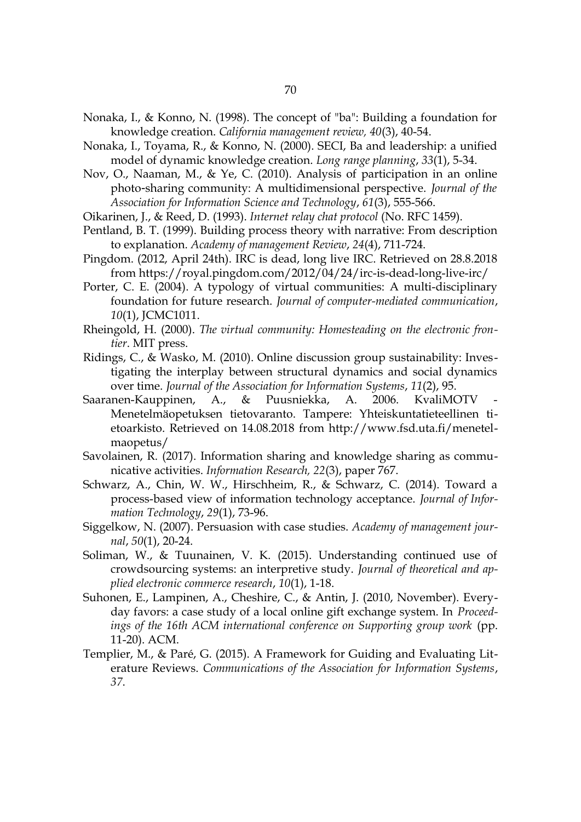- Nonaka, I., & Konno, N. (1998). The concept of "ba": Building a foundation for knowledge creation. *California management review, 40*(3), 40-54.
- Nonaka, I., Toyama, R., & Konno, N. (2000). SECI, Ba and leadership: a unified model of dynamic knowledge creation. *Long range planning*, *33*(1), 5-34.
- Nov, O., Naaman, M., & Ye, C. (2010). Analysis of participation in an online photo-sharing community: A multidimensional perspective. *Journal of the Association for Information Science and Technology*, *61*(3), 555-566.
- Oikarinen, J., & Reed, D. (1993). *Internet relay chat protocol* (No. RFC 1459).
- Pentland, B. T. (1999). Building process theory with narrative: From description to explanation. *Academy of management Review*, *24*(4), 711-724.
- Pingdom. (2012, April 24th). IRC is dead, long live IRC. Retrieved on 28.8.2018 from https://royal.pingdom.com/2012/04/24/irc-is-dead-long-live-irc/
- Porter, C. E. (2004). A typology of virtual communities: A multi-disciplinary foundation for future research. *Journal of computer-mediated communication*, *10*(1), JCMC1011.
- Rheingold, H. (2000). *The virtual community: Homesteading on the electronic frontier*. MIT press.
- Ridings, C., & Wasko, M. (2010). Online discussion group sustainability: Investigating the interplay between structural dynamics and social dynamics over time. *Journal of the Association for Information Systems*, *11*(2), 95.
- Saaranen-Kauppinen, A., & Puusniekka, A. 2006. KvaliMOTV Menetelmäopetuksen tietovaranto. Tampere: Yhteiskuntatieteellinen tietoarkisto. Retrieved on 14.08.2018 from http://www.fsd.uta.fi/menetelmaopetus/
- Savolainen, R. (2017). Information sharing and knowledge sharing as communicative activities. *Information Research, 22*(3), paper 767.
- Schwarz, A., Chin, W. W., Hirschheim, R., & Schwarz, C. (2014). Toward a process-based view of information technology acceptance. *Journal of Information Technology*, *29*(1), 73-96.
- Siggelkow, N. (2007). Persuasion with case studies. *Academy of management journal*, *50*(1), 20-24.
- Soliman, W., & Tuunainen, V. K. (2015). Understanding continued use of crowdsourcing systems: an interpretive study. *Journal of theoretical and applied electronic commerce research*, *10*(1), 1-18.
- Suhonen, E., Lampinen, A., Cheshire, C., & Antin, J. (2010, November). Everyday favors: a case study of a local online gift exchange system. In *Proceedings of the 16th ACM international conference on Supporting group work* (pp. 11-20). ACM.
- Templier, M., & Paré, G. (2015). A Framework for Guiding and Evaluating Literature Reviews. *Communications of the Association for Information Systems*, *37*.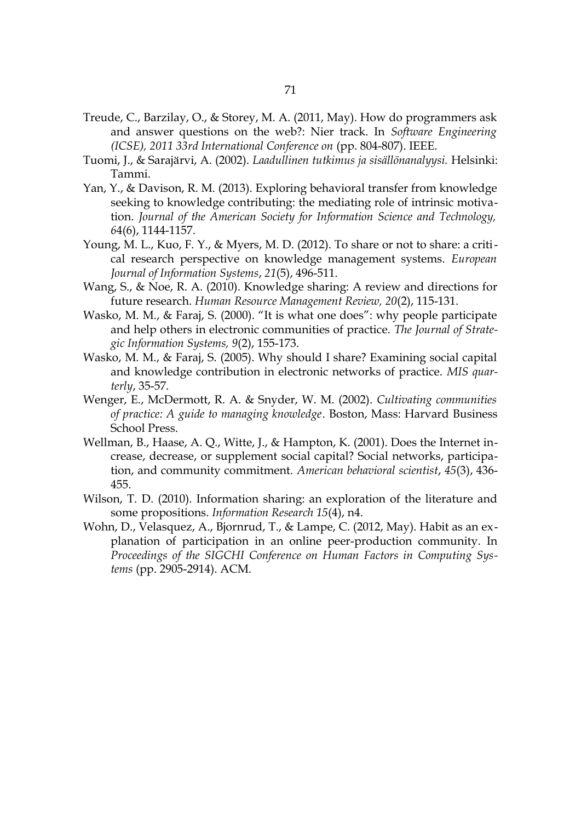- Treude, C., Barzilay, O., & Storey, M. A. (2011, May). How do programmers ask and answer questions on the web?: Nier track. In *Software Engineering (ICSE), 2011 33rd International Conference on* (pp. 804-807). IEEE.
- Tuomi, J., & Sarajärvi, A. (2002). *Laadullinen tutkimus ja sisällönanalyysi.* Helsinki: Tammi.
- Yan, Y., & Davison, R. M. (2013). Exploring behavioral transfer from knowledge seeking to knowledge contributing: the mediating role of intrinsic motivation. *Journal of the American Society for Information Science and Technology, 6*4(6), 1144-1157.
- Young, M. L., Kuo, F. Y., & Myers, M. D. (2012). To share or not to share: a critical research perspective on knowledge management systems. *European Journal of Information Systems*, *21*(5), 496-511.
- Wang, S., & Noe, R. A. (2010). Knowledge sharing: A review and directions for future research. *Human Resource Management Review, 20*(2), 115-131.
- Wasko, M. M., & Faraj, S. (2000). "It is what one does": why people participate and help others in electronic communities of practice. *The Journal of Strategic Information Systems, 9*(2), 155-173.
- Wasko, M. M., & Faraj, S. (2005). Why should I share? Examining social capital and knowledge contribution in electronic networks of practice. *MIS quarterly*, 35-57.
- Wenger, E., McDermott, R. A. & Snyder, W. M. (2002). *Cultivating communities of practice: A guide to managing knowledge*. Boston, Mass: Harvard Business School Press.
- Wellman, B., Haase, A. Q., Witte, J., & Hampton, K. (2001). Does the Internet increase, decrease, or supplement social capital? Social networks, participation, and community commitment. *American behavioral scientist*, *45*(3), 436- 455.
- Wilson, T. D. (2010). Information sharing: an exploration of the literature and some propositions. *Information Research 15*(4), n4.
- Wohn, D., Velasquez, A., Bjornrud, T., & Lampe, C. (2012, May). Habit as an explanation of participation in an online peer-production community. In *Proceedings of the SIGCHI Conference on Human Factors in Computing Systems* (pp. 2905-2914). ACM.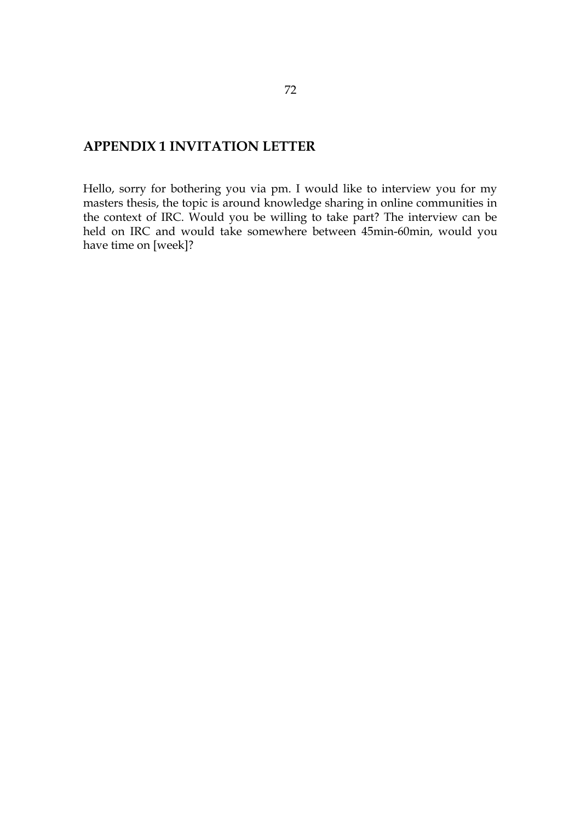# **APPENDIX 1 INVITATION LETTER**

Hello, sorry for bothering you via pm. I would like to interview you for my masters thesis, the topic is around knowledge sharing in online communities in the context of IRC. Would you be willing to take part? The interview can be held on IRC and would take somewhere between 45min-60min, would you have time on [week]?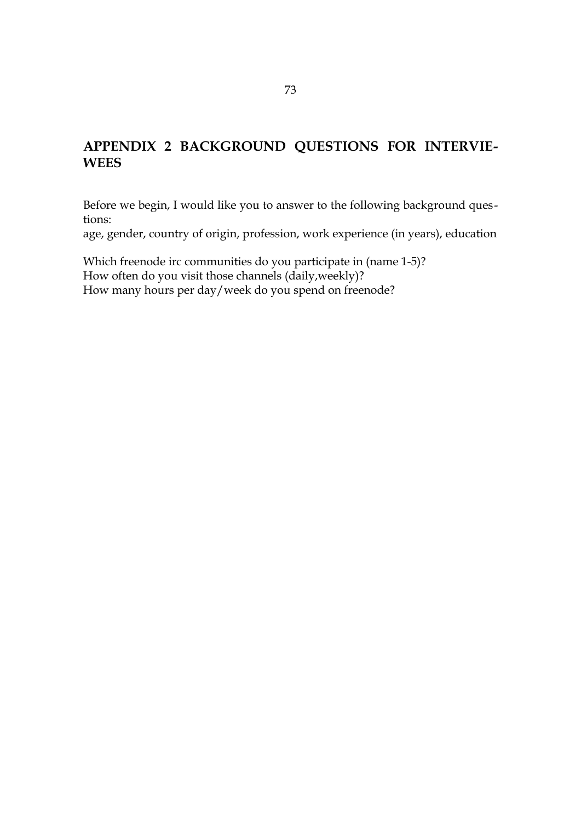## **APPENDIX 2 BACKGROUND QUESTIONS FOR INTERVIE-WEES**

Before we begin, I would like you to answer to the following background questions:

age, gender, country of origin, profession, work experience (in years), education

Which freenode irc communities do you participate in (name 1-5)? How often do you visit those channels (daily, weekly)? How many hours per day/week do you spend on freenode?